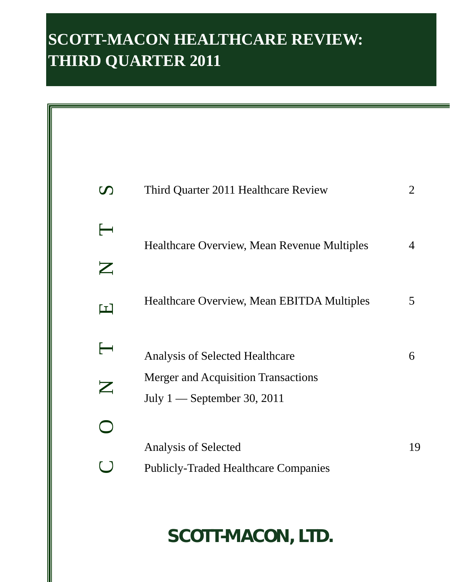# **SCOTT-MACON HEALTHCARE REVIEW: THIRD QUARTER 2011**

| $\boldsymbol{\mathcal{D}}$ | Third Quarter 2011 Healthcare Review               | 2              |
|----------------------------|----------------------------------------------------|----------------|
| $\longleftarrow$           | <b>Healthcare Overview, Mean Revenue Multiples</b> | $\overline{4}$ |
| Z                          |                                                    |                |
| $\blacksquare$             | Healthcare Overview, Mean EBITDA Multiples         | 5              |
| $\overline{\phantom{a}}$   | <b>Analysis of Selected Healthcare</b>             | 6              |
| $\boldsymbol{\mathsf{Z}}$  | <b>Merger and Acquisition Transactions</b>         |                |
|                            | July $1$ — September 30, 2011                      |                |
|                            |                                                    |                |
|                            | Analysis of Selected                               | 19             |
|                            | <b>Publicly-Traded Healthcare Companies</b>        |                |

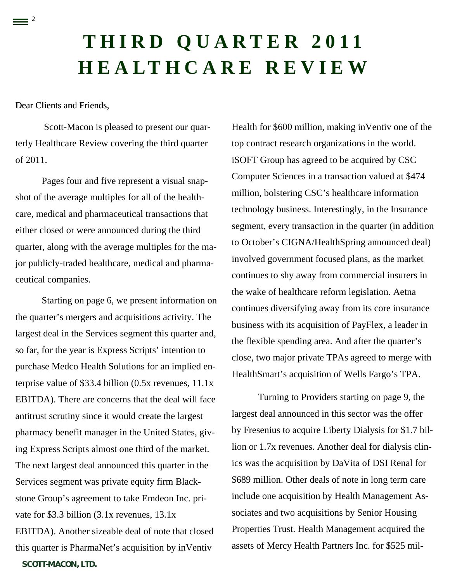# **THIRD QUARTER 2011 HEALTHCARE REVIEW**

### Dear Clients and Friends,

 $\equiv$  <sup>2</sup>

Scott-Macon is pleased to present our quarterly Healthcare Review covering the third quarter of 2011.

Pages four and five represent a visual snapshot of the average multiples for all of the healthcare, medical and pharmaceutical transactions that either closed or were announced during the third quarter, along with the average multiples for the major publicly-traded healthcare, medical and pharmaceutical companies.

*SCOTT-MACON, LTD.* Starting on page 6, we present information on the quarter's mergers and acquisitions activity. The largest deal in the Services segment this quarter and, so far, for the year is Express Scripts' intention to purchase Medco Health Solutions for an implied enterprise value of \$33.4 billion (0.5x revenues, 11.1x EBITDA). There are concerns that the deal will face antitrust scrutiny since it would create the largest pharmacy benefit manager in the United States, giving Express Scripts almost one third of the market. The next largest deal announced this quarter in the Services segment was private equity firm Blackstone Group's agreement to take Emdeon Inc. private for \$3.3 billion (3.1x revenues, 13.1x EBITDA). Another sizeable deal of note that closed this quarter is PharmaNet's acquisition by inVentiv

Health for \$600 million, making inVentiv one of the top contract research organizations in the world. iSOFT Group has agreed to be acquired by CSC Computer Sciences in a transaction valued at \$474 million, bolstering CSC's healthcare information technology business. Interestingly, in the Insurance segment, every transaction in the quarter (in addition to October's CIGNA/HealthSpring announced deal) involved government focused plans, as the market continues to shy away from commercial insurers in the wake of healthcare reform legislation. Aetna continues diversifying away from its core insurance business with its acquisition of PayFlex, a leader in the flexible spending area. And after the quarter's close, two major private TPAs agreed to merge with HealthSmart's acquisition of Wells Fargo's TPA.

Turning to Providers starting on page 9, the largest deal announced in this sector was the offer by Fresenius to acquire Liberty Dialysis for \$1.7 billion or 1.7x revenues. Another deal for dialysis clinics was the acquisition by DaVita of DSI Renal for \$689 million. Other deals of note in long term care include one acquisition by Health Management Associates and two acquisitions by Senior Housing Properties Trust. Health Management acquired the assets of Mercy Health Partners Inc. for \$525 mil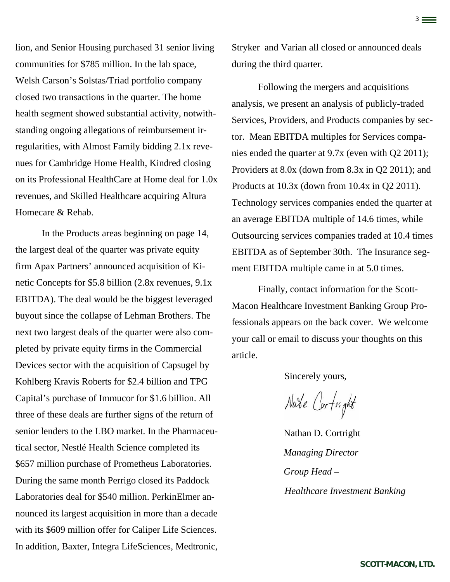lion, and Senior Housing purchased 31 senior living communities for \$785 million. In the lab space, Welsh Carson's Solstas/Triad portfolio company closed two transactions in the quarter. The home health segment showed substantial activity, notwithstanding ongoing allegations of reimbursement irregularities, with Almost Family bidding 2.1x revenues for Cambridge Home Health, Kindred closing on its Professional HealthCare at Home deal for 1.0x revenues, and Skilled Healthcare acquiring Altura Homecare & Rehab.

 In the Products areas beginning on page 14, the largest deal of the quarter was private equity firm Apax Partners' announced acquisition of Kinetic Concepts for \$5.8 billion (2.8x revenues, 9.1x EBITDA). The deal would be the biggest leveraged buyout since the collapse of Lehman Brothers. The next two largest deals of the quarter were also completed by private equity firms in the Commercial Devices sector with the acquisition of Capsugel by Kohlberg Kravis Roberts for \$2.4 billion and TPG Capital's purchase of Immucor for \$1.6 billion. All three of these deals are further signs of the return of senior lenders to the LBO market. In the Pharmaceutical sector, Nestlé Health Science completed its \$657 million purchase of Prometheus Laboratories. During the same month Perrigo closed its Paddock Laboratories deal for \$540 million. PerkinElmer announced its largest acquisition in more than a decade with its \$609 million offer for Caliper Life Sciences. In addition, Baxter, Integra LifeSciences, Medtronic, Stryker and Varian all closed or announced deals during the third quarter.

3

Following the mergers and acquisitions analysis, we present an analysis of publicly-traded Services, Providers, and Products companies by sector. Mean EBITDA multiples for Services companies ended the quarter at 9.7x (even with Q2 2011); Providers at 8.0x (down from 8.3x in Q2 2011); and Products at 10.3x (down from 10.4x in Q2 2011). Technology services companies ended the quarter at an average EBITDA multiple of 14.6 times, while Outsourcing services companies traded at 10.4 times EBITDA as of September 30th. The Insurance segment EBITDA multiple came in at 5.0 times.

Finally, contact information for the Scott-Macon Healthcare Investment Banking Group Professionals appears on the back cover. We welcome your call or email to discuss your thoughts on this article.

Sincerely yours,

Nate Cortright

Nathan D. Cortright *Managing Director Group Head – Healthcare Investment Banking*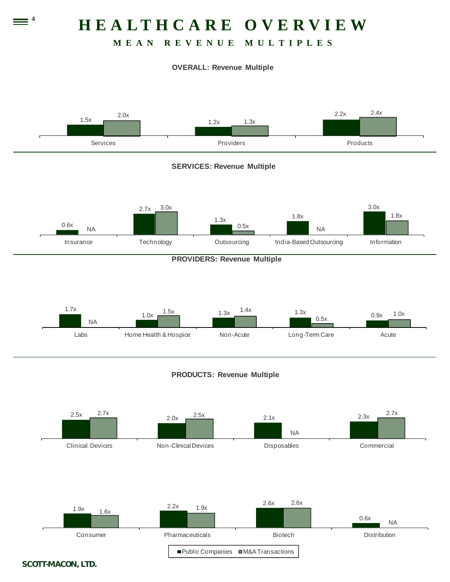# **HEALTHCARE OVERVIEW**

## **MEAN REVENUE MULTIPLES**

#### **OVERALL: Revenue Multiple**





#### *SCOTT-MACON, LTD.*

 $\equiv$   $\frac{4}{1}$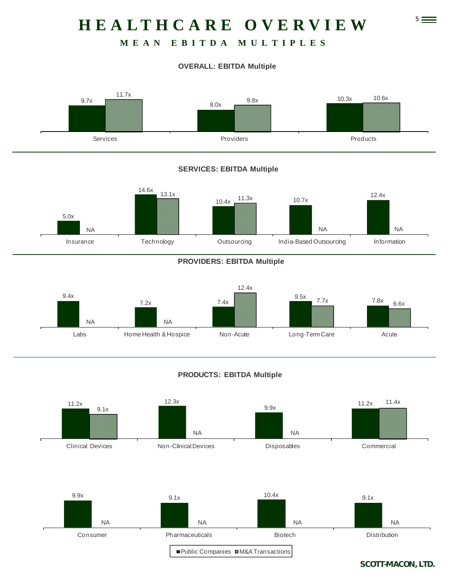# 5 **HEALTHCARE OVERVIEW**

## **MEAN EBITDA MULTIPLES**

### **OVERALL: EBITDA Multiple**



### **SERVICES: EBITDA Multiple**



#### **PROVIDERS: EBITDA Multiple**



#### **PRODUCTS: EBITDA Multiple**

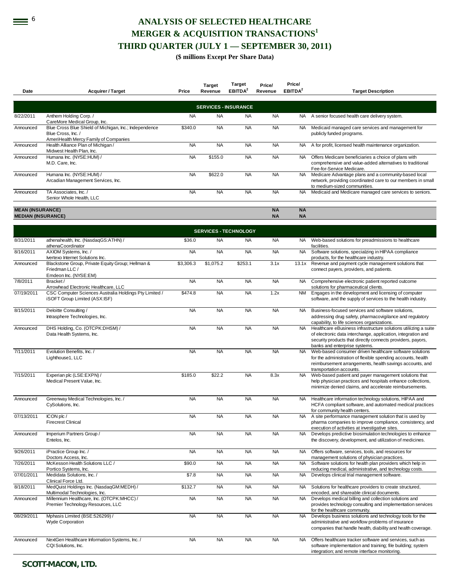## **EXECTED HEALTHCARE MERGER & ACQUISITION TRANSACTIONS<sup>1</sup> THIRD QUARTER (JULY 1 — SEPTEMBER 30, 2011)**

#### **(\$ millions Except Per Share Data)**

**Price/** 

| Date                                                 | <b>Acquirer / Target</b>                                                                                             | Price     | <b>Target</b><br>Revenue | <b>Target</b><br>EBITDA <sup>2</sup> | Price/<br>Revenue      | Price/<br>EBITDA <sup>2</sup> | <b>Target Description</b>                                                                                                                                                                                                        |
|------------------------------------------------------|----------------------------------------------------------------------------------------------------------------------|-----------|--------------------------|--------------------------------------|------------------------|-------------------------------|----------------------------------------------------------------------------------------------------------------------------------------------------------------------------------------------------------------------------------|
|                                                      |                                                                                                                      |           |                          |                                      |                        |                               |                                                                                                                                                                                                                                  |
|                                                      |                                                                                                                      |           |                          | <b>SERVICES - INSURANCE</b>          |                        |                               |                                                                                                                                                                                                                                  |
| 8/22/2011                                            | Anthem Holding Corp. /<br>CareMore Medical Group, Inc.                                                               | <b>NA</b> | <b>NA</b>                | <b>NA</b>                            | <b>NA</b>              |                               | NA A senior focused health care delivery system.                                                                                                                                                                                 |
| Announced                                            | Blue Cross Blue Shield of Michigan, Inc.; Independence<br>Blue Cross, Inc./<br>AmeriHealth Mercy Family of Companies | \$340.0   | <b>NA</b>                | <b>NA</b>                            | <b>NA</b>              | NA                            | Medicaid managed care services and management for<br>publicly funded programs.                                                                                                                                                   |
| Announced                                            | Health Alliance Plan of Michigan /<br>Midwest Health Plan, Inc.                                                      | <b>NA</b> | <b>NA</b>                | <b>NA</b>                            | <b>NA</b>              | <b>NA</b>                     | A for profit, licensed health maintenance organization.                                                                                                                                                                          |
| Announced                                            | Humana Inc. (NYSE:HUM) /<br>M.D. Care, Inc.                                                                          | <b>NA</b> | \$155.0                  | <b>NA</b>                            | <b>NA</b>              | <b>NA</b>                     | Offers Medicare beneficiaries a choice of plans with<br>comprehensive and value-added alternatives to traditional<br>Fee-for-Service Medicare.                                                                                   |
| Announced                                            | Humana Inc. (NYSE:HUM) /<br>Arcadian Management Services, Inc.                                                       | <b>NA</b> | \$622.0                  | <b>NA</b>                            | <b>NA</b>              | <b>NA</b>                     | Medicare Advantage plans and a community-based local<br>network, providing coordinated care to our members in small<br>to medium-sized communities.                                                                              |
| Announced                                            | TA Associates, Inc. /<br>Senior Whole Health, LLC                                                                    | <b>NA</b> | <b>NA</b>                | <b>NA</b>                            | <b>NA</b>              | <b>NA</b>                     | Medicaid and Medicare managed care services to seniors.                                                                                                                                                                          |
| <b>MEAN (INSURANCE)</b><br><b>MEDIAN (INSURANCE)</b> |                                                                                                                      |           |                          |                                      | <b>NA</b><br><b>NA</b> | <b>NA</b><br><b>NA</b>        |                                                                                                                                                                                                                                  |
|                                                      |                                                                                                                      |           |                          | <b>SERVICES - TECHNOLOGY</b>         |                        |                               |                                                                                                                                                                                                                                  |
| 8/31/2011                                            | athenahealth, Inc. (NasdaqGS:ATHN) /<br>athenaCoordinator                                                            | \$36.0    | <b>NA</b>                | <b>NA</b>                            | <b>NA</b>              | NA                            | Web-based solutions for preadmissions to healthcare<br>facilities.                                                                                                                                                               |
| 8/16/2011                                            | AXIOM Systems, Inc. /<br>Ivertexo Internet Solutions Inc.                                                            | <b>NA</b> | <b>NA</b>                | <b>NA</b>                            | <b>NA</b>              | <b>NA</b>                     | Software solutions, specialzing in HIPAA compliance<br>products, for the healthcare industry.                                                                                                                                    |
| Announced                                            | Blackstone Group, Private Equity Group; Hellman &<br>Friedman LLC /<br>Emdeon Inc. (NYSE:EM)                         | \$3,306.3 | \$1,075.2                | \$253.1                              | 3.1x                   | 13.1x                         | Revenue and payment cycle management solutions that<br>connect payers, providers, and patients.                                                                                                                                  |
| 7/8/2011                                             | Bracket/<br>Arrowhead Electronic Healthcare, LLC                                                                     | <b>NA</b> | <b>NA</b>                | <b>NA</b>                            | <b>NA</b>              | NA.                           | Comprehensive electronic patient reported outcome<br>solutions for pharmaceutical clients.                                                                                                                                       |
| 07/19/2011                                           | CSC Computer Sciences Australia Holdings Pty Limited /<br>iSOFT Group Limited (ASX:ISF)                              | \$474.8   | <b>NA</b>                | <b>NA</b>                            | 1.2x                   | NM                            | Engages in the development and licensing of computer<br>software, and the supply of services to the health industry.                                                                                                             |
| 8/15/2011                                            | Deloitte Consulting /<br>Intrasphere Technologies, Inc.                                                              | <b>NA</b> | <b>NA</b>                | <b>NA</b>                            | <b>NA</b>              | <b>NA</b>                     | Business-focused services and software solutions,<br>addressing drug safety, pharmacovigilance and regulatory<br>capability, to life sciences organizations.                                                                     |
| Announced                                            | DHS Holding, Co. (OTCPK:DHSM) /<br>Data Health Systems, Inc.                                                         | <b>NA</b> | <b>NA</b>                | <b>NA</b>                            | <b>NA</b>              | <b>NA</b>                     | Healthcare eBusiness infrastructure solutions utiliizing a suite<br>of electronic data interchange, application, integration and<br>security products that directly connects providers, payors,<br>banks and enterprise systems. |
| 7/11/2011                                            | Evolution Benefits, Inc. /<br>Lighthouse1, LLC                                                                       | <b>NA</b> | <b>NA</b>                | <b>NA</b>                            | <b>NA</b>              | <b>NA</b>                     | Web-based consumer driven healthcare software solutions<br>for the administration of flexible spending accounts, health<br>reimbursement arrangements, health savings accounts, and<br>transportation accounts.                  |
| 7/15/2011                                            | Experian plc (LSE:EXPN) /<br>Medical Present Value, Inc.                                                             | \$185.0   | \$22.2                   | <b>NA</b>                            | 8.3x                   | <b>NA</b>                     | Web-based patient and payer management solutions that<br>help physician practices and hospitals enhance collections,<br>minimize denied claims, and accelerate reimbursements.                                                   |
| Announced                                            | Greenway Medical Technologies, Inc. /<br>CySolutions, Inc.                                                           | <b>NA</b> | <b>NA</b>                | <b>NA</b>                            | <b>NA</b>              | NA                            | Healthcare information technology solutions, HIPAA and<br>HCFA compliant software, and automated medical practices<br>for community health centers.                                                                              |
| 07/13/2011                                           | ICON plc /<br><b>Firecrest Clinical</b>                                                                              | <b>NA</b> | <b>NA</b>                | <b>NA</b>                            | <b>NA</b>              |                               | NA A site performance management solution that is used by<br>pharma companies to improve compliance, consistency, and<br>execution of activities at investigative sites.                                                         |
| Announced                                            | Imperium Partners Group /<br>Entelos, Inc.                                                                           | <b>NA</b> | <b>NA</b>                | <b>NA</b>                            | <b>NA</b>              | <b>NA</b>                     | Develops predictive biosimulation technologies to enhance<br>the discovery, development, and utilization of medicines.                                                                                                           |
| 9/26/2011                                            | iPractice Group Inc. /<br>Doctors Access, Inc.                                                                       | <b>NA</b> | <b>NA</b>                | <b>NA</b>                            | <b>NA</b>              | NA                            | Offers software, services, tools, and resources for<br>management solutions of physician practices.                                                                                                                              |
| 7/26/2011                                            | McKesson Health Solutions LLC /<br>Portico Systems, Inc.                                                             | \$90.0    | <b>NA</b>                | <b>NA</b>                            | <b>NA</b>              | <b>NA</b>                     | Software solutions for health plan providers which help in<br>reducing medical, administrative, and technology costs.                                                                                                            |
| 07/01/2011                                           | Medidata Solutions, Inc. /<br>Clinical Force Ltd.                                                                    | \$7.8     | <b>NA</b>                | <b>NA</b>                            | <b>NA</b>              | <b>NA</b>                     | Develops clinical trial management software.                                                                                                                                                                                     |
| 8/18/2011                                            | MedQuist Holdings Inc. (NasdaqGM:MEDH) /<br>Multimodal Technologies, Inc.                                            | \$132.7   | <b>NA</b>                | <b>NA</b>                            | <b>NA</b>              | NA.                           | Solutions for healthcare providers to create structured,<br>encoded, and shareable clinical documents.                                                                                                                           |
| Announced                                            | Millennium Healthcare, Inc. (OTCPK:MHCC) /<br>Premier Technology Resources, LLC                                      | <b>NA</b> | <b>NA</b>                | <b>NA</b>                            | <b>NA</b>              | <b>NA</b>                     | Develops medical billing and collection solutions and<br>provides technology consulting and implementation services<br>for the healthcare community.                                                                             |
| 08/29/2011                                           | Mphasis Limited (BSE:526299) /<br>Wyde Corporation                                                                   | <b>NA</b> | <b>NA</b>                | <b>NA</b>                            | <b>NA</b>              | <b>NA</b>                     | Develops business solutions and technology tools for the<br>administrative and workflow problems of insurance<br>companies that handle health, diability and health coverage.                                                    |
| Announced                                            | NextGen Healthcare Information Systems, Inc. /<br>CQI Solutions, Inc.                                                | <b>NA</b> | <b>NA</b>                | <b>NA</b>                            | <b>NA</b>              | <b>NA</b>                     | Offers healthcare tracker software and services, such as<br>software implementation and training; file building; system<br>integration; and remote interface monitoring.                                                         |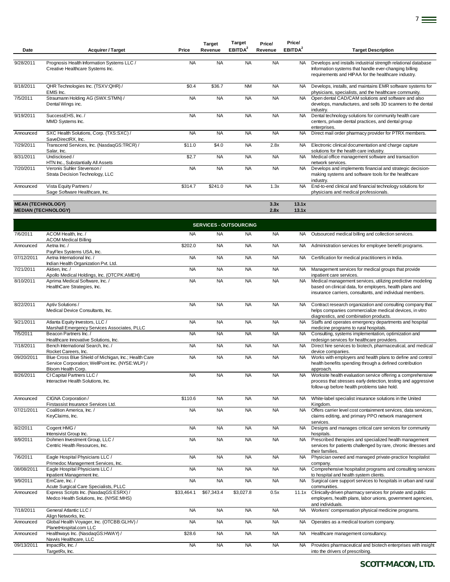| <b>NA</b><br>9/28/2011<br>Prognosis Health Information Systems LLC /<br><b>NA</b><br><b>NA</b><br><b>NA</b><br>Develops and installs industrial strength relational database<br><b>NA</b><br>Creative Healthcare Systems Inc.<br>Information systems that handle ever-changing billing<br>requirements and HIPAA for the healthcare industry.<br><b>NA</b><br>8/18/2011<br>QHR Technologies Inc. (TSXV:QHR) /<br>\$0.4<br>\$36.7<br><b>NM</b><br><b>NA</b><br>Develops, installs, and maintains EMR software systems for<br>EMIS Inc.<br>physicians, specialists, and the healthcare community.<br>7/5/2011<br>Straumann Holding AG (SWX:STMN) /<br><b>NA</b><br><b>NA</b><br><b>NA</b><br><b>NA</b><br><b>NA</b><br>Open dental CAD/CAM solutions and software and also<br>Dental Wings inc.<br>develops, manufactures, and sells 3D scanners to the dental<br>industry.<br><b>NA</b><br><b>NA</b><br>9/19/2011<br>SuccessEHS, Inc./<br><b>NA</b><br><b>NA</b><br><b>NA</b><br>Dental technology solutions for community health care<br>MMD Systems Inc.<br>centers, private dental practices, and dental group<br>enterprises.<br>SXC Health Solutions, Corp. (TXS:SXC) /<br><b>NA</b><br><b>NA</b><br><b>NA</b><br><b>NA</b><br>Direct mail order pharmacy provider for PTRX members.<br>Announced<br><b>NA</b><br>SaveDirectRX, Inc.<br>Transcend Services, Inc. (NasdaqGS:TRCR) /<br>\$11.0<br>\$4.0<br><b>NA</b><br>2.8x<br>NA.<br>Electronic clinical documentation and charge capture<br>Salar, Inc.<br>solutions for the health care industry.<br>\$2.7<br><b>NA</b><br>Undisclosed /<br><b>NA</b><br><b>NA</b><br>NA.<br>Medical office management software and transaction<br>HTN Inc., Substantially All Assets<br>network services.<br><b>NA</b><br><b>NA</b><br>Veronis Suhler Stevenson /<br><b>NA</b><br><b>NA</b><br>Develops and implements financial and strategic decision-<br><b>NA</b><br>Strata Decision Technology, LLC<br>making systems and software tools for the healthcare<br>industry.<br>\$314.7<br>Vista Equity Partners /<br>\$241.0<br><b>NA</b><br>1.3x<br><b>NA</b><br>End-to-end clinical and financial technology solutions for<br>Announced<br>Sage Software Healthcare, Inc.<br>physicians and medical professionals.<br><b>MEAN (TECHNOLOGY)</b><br>13.1x<br>3.3x<br><b>MEDIAN (TECHNOLOGY)</b><br>2.8x<br>13.1x<br><b>SERVICES - OUTSOURCING</b><br><b>NA</b><br><b>NA</b><br>ACOM Health, Inc. /<br><b>NA</b><br><b>NA</b><br>Outsourced medical billing and collection services.<br>NA.<br><b>ACOM Medical Billing</b><br>\$202.0<br><b>NA</b><br><b>NA</b><br><b>NA</b><br>Announced<br>Aetna Inc./<br><b>NA</b><br>Administration services for employee benefit programs.<br>PayFlex Systems USA, Inc.<br>Aetna International Inc. /<br><b>NA</b><br><b>NA</b><br><b>NA</b><br><b>NA</b><br>07/12/2011<br>Certification for medical practitioners in India.<br>NA.<br>Indian Health Organization Pvt. Ltd.<br><b>NA</b><br><b>NA</b><br><b>NA</b><br><b>NA</b><br>Management services for medical groups that provide<br>Aktien, Inc./<br>NA .<br>Apollo Medical Holdings, Inc. (OTCPK:AMEH)<br>inpatient care services.<br><b>NA</b><br><b>NA</b><br><b>NA</b><br>Aprima Medical Software, Inc. /<br><b>NA</b><br><b>NA</b><br>Medical management services, utilizing predictive modeling<br>HealthCare Strategies, Inc.<br>based on clinical data, for employers, health plans and<br>insurance carriers, consultants, and individual members.<br><b>NA</b><br><b>NA</b><br><b>NA</b><br><b>NA</b><br>Aptiv Solutions /<br>NA.<br>Contract research organization and consulting company that<br>Medical Device Consultants, Inc.<br>helps companies commercialize medical devices, in vitro<br>diagnostics, and combination products.<br><b>NA</b><br><b>NA</b><br><b>NA</b><br><b>NA</b><br>9/21/2011<br>Atlanta Equity Investors, LLC /<br><b>NA</b><br>Staffs and operates emergency departments and hospital<br>Marshall Emergency Services Associates, PLLC<br>medicine programs to rural hospitals.<br>Beacon Partners Inc. /<br><b>NA</b><br><b>NA</b><br><b>NA</b><br><b>NA</b><br>Consulting, systems implementation, optimization and<br><b>NA</b> |  |
|--------------------------------------------------------------------------------------------------------------------------------------------------------------------------------------------------------------------------------------------------------------------------------------------------------------------------------------------------------------------------------------------------------------------------------------------------------------------------------------------------------------------------------------------------------------------------------------------------------------------------------------------------------------------------------------------------------------------------------------------------------------------------------------------------------------------------------------------------------------------------------------------------------------------------------------------------------------------------------------------------------------------------------------------------------------------------------------------------------------------------------------------------------------------------------------------------------------------------------------------------------------------------------------------------------------------------------------------------------------------------------------------------------------------------------------------------------------------------------------------------------------------------------------------------------------------------------------------------------------------------------------------------------------------------------------------------------------------------------------------------------------------------------------------------------------------------------------------------------------------------------------------------------------------------------------------------------------------------------------------------------------------------------------------------------------------------------------------------------------------------------------------------------------------------------------------------------------------------------------------------------------------------------------------------------------------------------------------------------------------------------------------------------------------------------------------------------------------------------------------------------------------------------------------------------------------------------------------------------------------------------------------------------------------------------------------------------------------------------------------------------------------------------------------------------------------------------------------------------------------------------------------------------------------------------------------------------------------------------------------------------------------------------------------------------------------------------------------------------------------------------------------------------------------------------------------------------------------------------------------------------------------------------------------------------------------------------------------------------------------------------------------------------------------------------------------------------------------------------------------------------------------------------------------------------------------------------------------------------------------------------------------------------------------------------------------------------------------------------------------------------------------------------------------------------------------------------------------------------------------------------------------------------------------------------------------------------------------------------------------------------------------------------------------------------------------------------------------------------------------------------------------------------------------------------------------------------------|--|
|                                                                                                                                                                                                                                                                                                                                                                                                                                                                                                                                                                                                                                                                                                                                                                                                                                                                                                                                                                                                                                                                                                                                                                                                                                                                                                                                                                                                                                                                                                                                                                                                                                                                                                                                                                                                                                                                                                                                                                                                                                                                                                                                                                                                                                                                                                                                                                                                                                                                                                                                                                                                                                                                                                                                                                                                                                                                                                                                                                                                                                                                                                                                                                                                                                                                                                                                                                                                                                                                                                                                                                                                                                                                                                                                                                                                                                                                                                                                                                                                                                                                                                                                                                                                              |  |
|                                                                                                                                                                                                                                                                                                                                                                                                                                                                                                                                                                                                                                                                                                                                                                                                                                                                                                                                                                                                                                                                                                                                                                                                                                                                                                                                                                                                                                                                                                                                                                                                                                                                                                                                                                                                                                                                                                                                                                                                                                                                                                                                                                                                                                                                                                                                                                                                                                                                                                                                                                                                                                                                                                                                                                                                                                                                                                                                                                                                                                                                                                                                                                                                                                                                                                                                                                                                                                                                                                                                                                                                                                                                                                                                                                                                                                                                                                                                                                                                                                                                                                                                                                                                              |  |
|                                                                                                                                                                                                                                                                                                                                                                                                                                                                                                                                                                                                                                                                                                                                                                                                                                                                                                                                                                                                                                                                                                                                                                                                                                                                                                                                                                                                                                                                                                                                                                                                                                                                                                                                                                                                                                                                                                                                                                                                                                                                                                                                                                                                                                                                                                                                                                                                                                                                                                                                                                                                                                                                                                                                                                                                                                                                                                                                                                                                                                                                                                                                                                                                                                                                                                                                                                                                                                                                                                                                                                                                                                                                                                                                                                                                                                                                                                                                                                                                                                                                                                                                                                                                              |  |
| 7/29/2011<br>8/31/2011<br>7/20/2011<br>7/6/2011<br>7/21/2011<br>8/10/2011<br>8/22/2011<br>7/5/2011                                                                                                                                                                                                                                                                                                                                                                                                                                                                                                                                                                                                                                                                                                                                                                                                                                                                                                                                                                                                                                                                                                                                                                                                                                                                                                                                                                                                                                                                                                                                                                                                                                                                                                                                                                                                                                                                                                                                                                                                                                                                                                                                                                                                                                                                                                                                                                                                                                                                                                                                                                                                                                                                                                                                                                                                                                                                                                                                                                                                                                                                                                                                                                                                                                                                                                                                                                                                                                                                                                                                                                                                                                                                                                                                                                                                                                                                                                                                                                                                                                                                                                           |  |
|                                                                                                                                                                                                                                                                                                                                                                                                                                                                                                                                                                                                                                                                                                                                                                                                                                                                                                                                                                                                                                                                                                                                                                                                                                                                                                                                                                                                                                                                                                                                                                                                                                                                                                                                                                                                                                                                                                                                                                                                                                                                                                                                                                                                                                                                                                                                                                                                                                                                                                                                                                                                                                                                                                                                                                                                                                                                                                                                                                                                                                                                                                                                                                                                                                                                                                                                                                                                                                                                                                                                                                                                                                                                                                                                                                                                                                                                                                                                                                                                                                                                                                                                                                                                              |  |
|                                                                                                                                                                                                                                                                                                                                                                                                                                                                                                                                                                                                                                                                                                                                                                                                                                                                                                                                                                                                                                                                                                                                                                                                                                                                                                                                                                                                                                                                                                                                                                                                                                                                                                                                                                                                                                                                                                                                                                                                                                                                                                                                                                                                                                                                                                                                                                                                                                                                                                                                                                                                                                                                                                                                                                                                                                                                                                                                                                                                                                                                                                                                                                                                                                                                                                                                                                                                                                                                                                                                                                                                                                                                                                                                                                                                                                                                                                                                                                                                                                                                                                                                                                                                              |  |
|                                                                                                                                                                                                                                                                                                                                                                                                                                                                                                                                                                                                                                                                                                                                                                                                                                                                                                                                                                                                                                                                                                                                                                                                                                                                                                                                                                                                                                                                                                                                                                                                                                                                                                                                                                                                                                                                                                                                                                                                                                                                                                                                                                                                                                                                                                                                                                                                                                                                                                                                                                                                                                                                                                                                                                                                                                                                                                                                                                                                                                                                                                                                                                                                                                                                                                                                                                                                                                                                                                                                                                                                                                                                                                                                                                                                                                                                                                                                                                                                                                                                                                                                                                                                              |  |
|                                                                                                                                                                                                                                                                                                                                                                                                                                                                                                                                                                                                                                                                                                                                                                                                                                                                                                                                                                                                                                                                                                                                                                                                                                                                                                                                                                                                                                                                                                                                                                                                                                                                                                                                                                                                                                                                                                                                                                                                                                                                                                                                                                                                                                                                                                                                                                                                                                                                                                                                                                                                                                                                                                                                                                                                                                                                                                                                                                                                                                                                                                                                                                                                                                                                                                                                                                                                                                                                                                                                                                                                                                                                                                                                                                                                                                                                                                                                                                                                                                                                                                                                                                                                              |  |
|                                                                                                                                                                                                                                                                                                                                                                                                                                                                                                                                                                                                                                                                                                                                                                                                                                                                                                                                                                                                                                                                                                                                                                                                                                                                                                                                                                                                                                                                                                                                                                                                                                                                                                                                                                                                                                                                                                                                                                                                                                                                                                                                                                                                                                                                                                                                                                                                                                                                                                                                                                                                                                                                                                                                                                                                                                                                                                                                                                                                                                                                                                                                                                                                                                                                                                                                                                                                                                                                                                                                                                                                                                                                                                                                                                                                                                                                                                                                                                                                                                                                                                                                                                                                              |  |
|                                                                                                                                                                                                                                                                                                                                                                                                                                                                                                                                                                                                                                                                                                                                                                                                                                                                                                                                                                                                                                                                                                                                                                                                                                                                                                                                                                                                                                                                                                                                                                                                                                                                                                                                                                                                                                                                                                                                                                                                                                                                                                                                                                                                                                                                                                                                                                                                                                                                                                                                                                                                                                                                                                                                                                                                                                                                                                                                                                                                                                                                                                                                                                                                                                                                                                                                                                                                                                                                                                                                                                                                                                                                                                                                                                                                                                                                                                                                                                                                                                                                                                                                                                                                              |  |
|                                                                                                                                                                                                                                                                                                                                                                                                                                                                                                                                                                                                                                                                                                                                                                                                                                                                                                                                                                                                                                                                                                                                                                                                                                                                                                                                                                                                                                                                                                                                                                                                                                                                                                                                                                                                                                                                                                                                                                                                                                                                                                                                                                                                                                                                                                                                                                                                                                                                                                                                                                                                                                                                                                                                                                                                                                                                                                                                                                                                                                                                                                                                                                                                                                                                                                                                                                                                                                                                                                                                                                                                                                                                                                                                                                                                                                                                                                                                                                                                                                                                                                                                                                                                              |  |
|                                                                                                                                                                                                                                                                                                                                                                                                                                                                                                                                                                                                                                                                                                                                                                                                                                                                                                                                                                                                                                                                                                                                                                                                                                                                                                                                                                                                                                                                                                                                                                                                                                                                                                                                                                                                                                                                                                                                                                                                                                                                                                                                                                                                                                                                                                                                                                                                                                                                                                                                                                                                                                                                                                                                                                                                                                                                                                                                                                                                                                                                                                                                                                                                                                                                                                                                                                                                                                                                                                                                                                                                                                                                                                                                                                                                                                                                                                                                                                                                                                                                                                                                                                                                              |  |
|                                                                                                                                                                                                                                                                                                                                                                                                                                                                                                                                                                                                                                                                                                                                                                                                                                                                                                                                                                                                                                                                                                                                                                                                                                                                                                                                                                                                                                                                                                                                                                                                                                                                                                                                                                                                                                                                                                                                                                                                                                                                                                                                                                                                                                                                                                                                                                                                                                                                                                                                                                                                                                                                                                                                                                                                                                                                                                                                                                                                                                                                                                                                                                                                                                                                                                                                                                                                                                                                                                                                                                                                                                                                                                                                                                                                                                                                                                                                                                                                                                                                                                                                                                                                              |  |
|                                                                                                                                                                                                                                                                                                                                                                                                                                                                                                                                                                                                                                                                                                                                                                                                                                                                                                                                                                                                                                                                                                                                                                                                                                                                                                                                                                                                                                                                                                                                                                                                                                                                                                                                                                                                                                                                                                                                                                                                                                                                                                                                                                                                                                                                                                                                                                                                                                                                                                                                                                                                                                                                                                                                                                                                                                                                                                                                                                                                                                                                                                                                                                                                                                                                                                                                                                                                                                                                                                                                                                                                                                                                                                                                                                                                                                                                                                                                                                                                                                                                                                                                                                                                              |  |
|                                                                                                                                                                                                                                                                                                                                                                                                                                                                                                                                                                                                                                                                                                                                                                                                                                                                                                                                                                                                                                                                                                                                                                                                                                                                                                                                                                                                                                                                                                                                                                                                                                                                                                                                                                                                                                                                                                                                                                                                                                                                                                                                                                                                                                                                                                                                                                                                                                                                                                                                                                                                                                                                                                                                                                                                                                                                                                                                                                                                                                                                                                                                                                                                                                                                                                                                                                                                                                                                                                                                                                                                                                                                                                                                                                                                                                                                                                                                                                                                                                                                                                                                                                                                              |  |
|                                                                                                                                                                                                                                                                                                                                                                                                                                                                                                                                                                                                                                                                                                                                                                                                                                                                                                                                                                                                                                                                                                                                                                                                                                                                                                                                                                                                                                                                                                                                                                                                                                                                                                                                                                                                                                                                                                                                                                                                                                                                                                                                                                                                                                                                                                                                                                                                                                                                                                                                                                                                                                                                                                                                                                                                                                                                                                                                                                                                                                                                                                                                                                                                                                                                                                                                                                                                                                                                                                                                                                                                                                                                                                                                                                                                                                                                                                                                                                                                                                                                                                                                                                                                              |  |
|                                                                                                                                                                                                                                                                                                                                                                                                                                                                                                                                                                                                                                                                                                                                                                                                                                                                                                                                                                                                                                                                                                                                                                                                                                                                                                                                                                                                                                                                                                                                                                                                                                                                                                                                                                                                                                                                                                                                                                                                                                                                                                                                                                                                                                                                                                                                                                                                                                                                                                                                                                                                                                                                                                                                                                                                                                                                                                                                                                                                                                                                                                                                                                                                                                                                                                                                                                                                                                                                                                                                                                                                                                                                                                                                                                                                                                                                                                                                                                                                                                                                                                                                                                                                              |  |
|                                                                                                                                                                                                                                                                                                                                                                                                                                                                                                                                                                                                                                                                                                                                                                                                                                                                                                                                                                                                                                                                                                                                                                                                                                                                                                                                                                                                                                                                                                                                                                                                                                                                                                                                                                                                                                                                                                                                                                                                                                                                                                                                                                                                                                                                                                                                                                                                                                                                                                                                                                                                                                                                                                                                                                                                                                                                                                                                                                                                                                                                                                                                                                                                                                                                                                                                                                                                                                                                                                                                                                                                                                                                                                                                                                                                                                                                                                                                                                                                                                                                                                                                                                                                              |  |
| Healthcare Innovative Solutions, Inc.<br>redesign services for healthcare providers.                                                                                                                                                                                                                                                                                                                                                                                                                                                                                                                                                                                                                                                                                                                                                                                                                                                                                                                                                                                                                                                                                                                                                                                                                                                                                                                                                                                                                                                                                                                                                                                                                                                                                                                                                                                                                                                                                                                                                                                                                                                                                                                                                                                                                                                                                                                                                                                                                                                                                                                                                                                                                                                                                                                                                                                                                                                                                                                                                                                                                                                                                                                                                                                                                                                                                                                                                                                                                                                                                                                                                                                                                                                                                                                                                                                                                                                                                                                                                                                                                                                                                                                         |  |
| 7/18/2011<br>Bench International Search, Inc. /<br><b>NA</b><br><b>NA</b><br><b>NA</b><br><b>NA</b><br><b>NA</b><br>Direct hire services to biotech, pharmaceutical, and medical<br>Rocket Careers, Inc.<br>device companies.                                                                                                                                                                                                                                                                                                                                                                                                                                                                                                                                                                                                                                                                                                                                                                                                                                                                                                                                                                                                                                                                                                                                                                                                                                                                                                                                                                                                                                                                                                                                                                                                                                                                                                                                                                                                                                                                                                                                                                                                                                                                                                                                                                                                                                                                                                                                                                                                                                                                                                                                                                                                                                                                                                                                                                                                                                                                                                                                                                                                                                                                                                                                                                                                                                                                                                                                                                                                                                                                                                                                                                                                                                                                                                                                                                                                                                                                                                                                                                                |  |
| <b>NA</b><br><b>NA</b><br><b>NA</b><br>09/20/2011<br>Blue Cross Blue Shield of Michigan, Inc.; Health Care<br><b>NA</b><br>Works with employers and health plans to define and control<br>NA.<br>Service Corporation; WellPoint Inc. (NYSE:WLP) /<br>health benefits spending through a defined contribution<br>Bloom Health Corp.<br>approach.                                                                                                                                                                                                                                                                                                                                                                                                                                                                                                                                                                                                                                                                                                                                                                                                                                                                                                                                                                                                                                                                                                                                                                                                                                                                                                                                                                                                                                                                                                                                                                                                                                                                                                                                                                                                                                                                                                                                                                                                                                                                                                                                                                                                                                                                                                                                                                                                                                                                                                                                                                                                                                                                                                                                                                                                                                                                                                                                                                                                                                                                                                                                                                                                                                                                                                                                                                                                                                                                                                                                                                                                                                                                                                                                                                                                                                                              |  |
| <b>NA</b><br><b>NA</b><br><b>NA</b><br><b>NA</b><br>8/26/2011<br>CI Capital Partners LLC /<br><b>NA</b><br>Worksite health evaluation service offering a comprehensive<br>process that stresses early detection, testing and aggressive<br>Interactive Health Solutions, Inc.<br>follow-up before health problems take hold.                                                                                                                                                                                                                                                                                                                                                                                                                                                                                                                                                                                                                                                                                                                                                                                                                                                                                                                                                                                                                                                                                                                                                                                                                                                                                                                                                                                                                                                                                                                                                                                                                                                                                                                                                                                                                                                                                                                                                                                                                                                                                                                                                                                                                                                                                                                                                                                                                                                                                                                                                                                                                                                                                                                                                                                                                                                                                                                                                                                                                                                                                                                                                                                                                                                                                                                                                                                                                                                                                                                                                                                                                                                                                                                                                                                                                                                                                 |  |
| \$110.6<br><b>NA</b><br>CIGNA Corporation /<br><b>NA</b><br><b>NA</b><br>White-label specialist insurance solutions in the United<br>Announced<br><b>NA</b><br>Firstassist Insurance Services Ltd.<br>Kingdom.                                                                                                                                                                                                                                                                                                                                                                                                                                                                                                                                                                                                                                                                                                                                                                                                                                                                                                                                                                                                                                                                                                                                                                                                                                                                                                                                                                                                                                                                                                                                                                                                                                                                                                                                                                                                                                                                                                                                                                                                                                                                                                                                                                                                                                                                                                                                                                                                                                                                                                                                                                                                                                                                                                                                                                                                                                                                                                                                                                                                                                                                                                                                                                                                                                                                                                                                                                                                                                                                                                                                                                                                                                                                                                                                                                                                                                                                                                                                                                                               |  |
| <b>NA</b><br><b>NA</b><br><b>NA</b><br><b>NA</b><br>07/21/2011<br>Coalition America, Inc. /<br><b>NA</b><br>Offers carrier level cost containment services, data services,<br>KeyClaims, Inc.<br>claims editing, and primary PPO network management<br>services.                                                                                                                                                                                                                                                                                                                                                                                                                                                                                                                                                                                                                                                                                                                                                                                                                                                                                                                                                                                                                                                                                                                                                                                                                                                                                                                                                                                                                                                                                                                                                                                                                                                                                                                                                                                                                                                                                                                                                                                                                                                                                                                                                                                                                                                                                                                                                                                                                                                                                                                                                                                                                                                                                                                                                                                                                                                                                                                                                                                                                                                                                                                                                                                                                                                                                                                                                                                                                                                                                                                                                                                                                                                                                                                                                                                                                                                                                                                                             |  |
| 8/2/2011<br>Cogent HMG /<br><b>NA</b><br><b>NA</b><br><b>NA</b><br><b>NA</b><br><b>NA</b><br>Designs and manages critical care services for community<br>Intensivist Group Inc.<br>hospitals.                                                                                                                                                                                                                                                                                                                                                                                                                                                                                                                                                                                                                                                                                                                                                                                                                                                                                                                                                                                                                                                                                                                                                                                                                                                                                                                                                                                                                                                                                                                                                                                                                                                                                                                                                                                                                                                                                                                                                                                                                                                                                                                                                                                                                                                                                                                                                                                                                                                                                                                                                                                                                                                                                                                                                                                                                                                                                                                                                                                                                                                                                                                                                                                                                                                                                                                                                                                                                                                                                                                                                                                                                                                                                                                                                                                                                                                                                                                                                                                                                |  |
| Dohmen Investment Group, LLC /<br>Prescribed therapies and specialized health management<br><b>NA</b><br><b>NA</b><br><b>NA</b><br><b>NA</b><br>8/9/2011<br><b>NA</b><br>Centric Health Resources, Inc.<br>services for patients challenged by rare, chronic illnesses and<br>their families.                                                                                                                                                                                                                                                                                                                                                                                                                                                                                                                                                                                                                                                                                                                                                                                                                                                                                                                                                                                                                                                                                                                                                                                                                                                                                                                                                                                                                                                                                                                                                                                                                                                                                                                                                                                                                                                                                                                                                                                                                                                                                                                                                                                                                                                                                                                                                                                                                                                                                                                                                                                                                                                                                                                                                                                                                                                                                                                                                                                                                                                                                                                                                                                                                                                                                                                                                                                                                                                                                                                                                                                                                                                                                                                                                                                                                                                                                                                |  |
| Eagle Hospital Physicians LLC /<br>Physician owned and managed private-practice hospitalist<br>7/6/2011<br><b>NA</b><br><b>NA</b><br><b>NA</b><br><b>NA</b><br><b>NA</b><br>Primedoc Management Services, Inc.<br>company.                                                                                                                                                                                                                                                                                                                                                                                                                                                                                                                                                                                                                                                                                                                                                                                                                                                                                                                                                                                                                                                                                                                                                                                                                                                                                                                                                                                                                                                                                                                                                                                                                                                                                                                                                                                                                                                                                                                                                                                                                                                                                                                                                                                                                                                                                                                                                                                                                                                                                                                                                                                                                                                                                                                                                                                                                                                                                                                                                                                                                                                                                                                                                                                                                                                                                                                                                                                                                                                                                                                                                                                                                                                                                                                                                                                                                                                                                                                                                                                   |  |
| Comprehensive hospitalist programs and consulting services<br>08/08/2011<br>Eagle Hospital Physicians LLC /<br><b>NA</b><br><b>NA</b><br><b>NA</b><br><b>NA</b><br><b>NA</b><br>Inpatient Management Inc.<br>to hospital and health system clients.                                                                                                                                                                                                                                                                                                                                                                                                                                                                                                                                                                                                                                                                                                                                                                                                                                                                                                                                                                                                                                                                                                                                                                                                                                                                                                                                                                                                                                                                                                                                                                                                                                                                                                                                                                                                                                                                                                                                                                                                                                                                                                                                                                                                                                                                                                                                                                                                                                                                                                                                                                                                                                                                                                                                                                                                                                                                                                                                                                                                                                                                                                                                                                                                                                                                                                                                                                                                                                                                                                                                                                                                                                                                                                                                                                                                                                                                                                                                                          |  |
| <b>NA</b><br>9/9/2011<br>EmCare, Inc./<br><b>NA</b><br><b>NA</b><br><b>NA</b><br>Surgical care support services to hospitals in urban and rural<br>NA .<br>Acute Surgical Care Specialists, PLLC<br>communities.                                                                                                                                                                                                                                                                                                                                                                                                                                                                                                                                                                                                                                                                                                                                                                                                                                                                                                                                                                                                                                                                                                                                                                                                                                                                                                                                                                                                                                                                                                                                                                                                                                                                                                                                                                                                                                                                                                                                                                                                                                                                                                                                                                                                                                                                                                                                                                                                                                                                                                                                                                                                                                                                                                                                                                                                                                                                                                                                                                                                                                                                                                                                                                                                                                                                                                                                                                                                                                                                                                                                                                                                                                                                                                                                                                                                                                                                                                                                                                                             |  |
| Clinically-driven pharmacy services for private and public<br>Express Scripts Inc. (NasdaqGS:ESRX) /<br>\$33,464.1<br>\$67,343.4<br>\$3,027.8<br>0.5x<br>Announced<br>11.1x<br>employers, health plans, labor unions, government agencies,<br>Medco Health Solutions, Inc. (NYSE:MHS)<br>and individuals.                                                                                                                                                                                                                                                                                                                                                                                                                                                                                                                                                                                                                                                                                                                                                                                                                                                                                                                                                                                                                                                                                                                                                                                                                                                                                                                                                                                                                                                                                                                                                                                                                                                                                                                                                                                                                                                                                                                                                                                                                                                                                                                                                                                                                                                                                                                                                                                                                                                                                                                                                                                                                                                                                                                                                                                                                                                                                                                                                                                                                                                                                                                                                                                                                                                                                                                                                                                                                                                                                                                                                                                                                                                                                                                                                                                                                                                                                                    |  |
| General Atlantic LLC /<br>7/18/2011<br><b>NA</b><br><b>NA</b><br><b>NA</b><br><b>NA</b><br>Workers' compensation physical medicine programs.<br><b>NA</b><br>Align Networks, Inc.                                                                                                                                                                                                                                                                                                                                                                                                                                                                                                                                                                                                                                                                                                                                                                                                                                                                                                                                                                                                                                                                                                                                                                                                                                                                                                                                                                                                                                                                                                                                                                                                                                                                                                                                                                                                                                                                                                                                                                                                                                                                                                                                                                                                                                                                                                                                                                                                                                                                                                                                                                                                                                                                                                                                                                                                                                                                                                                                                                                                                                                                                                                                                                                                                                                                                                                                                                                                                                                                                                                                                                                                                                                                                                                                                                                                                                                                                                                                                                                                                            |  |
| Global Health Voyager, Inc. (OTCBB:GLHV) /<br><b>NA</b><br><b>NA</b><br><b>NA</b><br><b>NA</b><br>Announced<br><b>NA</b><br>Operates as a medical tourism company.<br>PlanetHospital.com LLC                                                                                                                                                                                                                                                                                                                                                                                                                                                                                                                                                                                                                                                                                                                                                                                                                                                                                                                                                                                                                                                                                                                                                                                                                                                                                                                                                                                                                                                                                                                                                                                                                                                                                                                                                                                                                                                                                                                                                                                                                                                                                                                                                                                                                                                                                                                                                                                                                                                                                                                                                                                                                                                                                                                                                                                                                                                                                                                                                                                                                                                                                                                                                                                                                                                                                                                                                                                                                                                                                                                                                                                                                                                                                                                                                                                                                                                                                                                                                                                                                 |  |
| Healthways Inc. (NasdaqGS:HWAY) /<br><b>NA</b><br>\$28.6<br><b>NA</b><br><b>NA</b><br>Announced<br>Na<br>Healthcare management consultancy.<br>Nawis Healthcare, LLC                                                                                                                                                                                                                                                                                                                                                                                                                                                                                                                                                                                                                                                                                                                                                                                                                                                                                                                                                                                                                                                                                                                                                                                                                                                                                                                                                                                                                                                                                                                                                                                                                                                                                                                                                                                                                                                                                                                                                                                                                                                                                                                                                                                                                                                                                                                                                                                                                                                                                                                                                                                                                                                                                                                                                                                                                                                                                                                                                                                                                                                                                                                                                                                                                                                                                                                                                                                                                                                                                                                                                                                                                                                                                                                                                                                                                                                                                                                                                                                                                                         |  |
| 09/13/2011<br>ImpactRx, Inc./<br><b>NA</b><br><b>NA</b><br><b>NA</b><br><b>NA</b><br>Provides pharmaceutical and biotech enterprises with insight<br>NA.<br>TargetRx, Inc.<br>into the drivers of prescribing.                                                                                                                                                                                                                                                                                                                                                                                                                                                                                                                                                                                                                                                                                                                                                                                                                                                                                                                                                                                                                                                                                                                                                                                                                                                                                                                                                                                                                                                                                                                                                                                                                                                                                                                                                                                                                                                                                                                                                                                                                                                                                                                                                                                                                                                                                                                                                                                                                                                                                                                                                                                                                                                                                                                                                                                                                                                                                                                                                                                                                                                                                                                                                                                                                                                                                                                                                                                                                                                                                                                                                                                                                                                                                                                                                                                                                                                                                                                                                                                               |  |

7

**Target** 

**Price/** 

**Price/** 

**Target** 

Ξ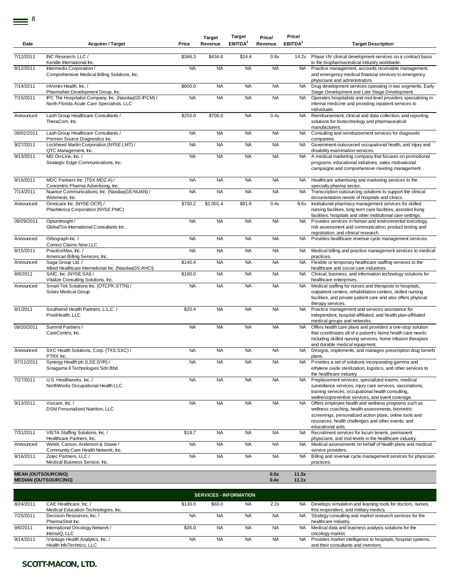| Date                      | <b>Acquirer / Target</b>                                                                         | Price              | <b>Target</b><br>Revenue | Target<br>EBITDA <sup>2</sup> | Price/<br>Revenue | Price/<br>EBITDA <sup>2</sup> | <b>Target Description</b>                                                                                                                                                                                                                                                                           |
|---------------------------|--------------------------------------------------------------------------------------------------|--------------------|--------------------------|-------------------------------|-------------------|-------------------------------|-----------------------------------------------------------------------------------------------------------------------------------------------------------------------------------------------------------------------------------------------------------------------------------------------------|
| 7/12/2011                 | INC Research. LLC /                                                                              | \$346.3            | \$434.6                  | \$24.4                        | 0.8x              | 14.2x                         | Phase I-IV clinical development services on a contract basis                                                                                                                                                                                                                                        |
|                           | Kendle International Inc.                                                                        |                    |                          |                               |                   |                               | to the biopharmaceutical industry worldwide.                                                                                                                                                                                                                                                        |
| 8/12/2011                 | Intermedix Corporation /<br>Comprehensive Medical Billing Solutions, Inc.                        | <b>NA</b>          | <b>NA</b>                | <b>NA</b>                     | <b>NA</b>         | <b>NA</b>                     | Practice management, accounts receivable management,<br>and emergency medical financial services to emergency<br>physicians and administrators.                                                                                                                                                     |
| 7/14/2011                 | inVentiv Health, Inc./<br>PharmaNet Development Group, Inc.                                      | \$600.0            | <b>NA</b>                | <b>NA</b>                     | <b>NA</b>         | <b>NA</b>                     | Drug development services operating in two segments, Early<br>Stage Development and Late Stage Development.                                                                                                                                                                                         |
| 7/15/2011                 | IPC The Hospitalist Company, Inc. (NasdaqGS:IPCM) /<br>North Florida Acute Care Specialists, LLC | <b>NA</b>          | <b>NA</b>                | <b>NA</b>                     | <b>NA</b>         | <b>NA</b>                     | Operates hospitalists and mid-level providers specializing in<br>internal medicine and providing inpatient services to<br>individuals.                                                                                                                                                              |
| Announced                 | Lash Group Healthcare Consultants /<br>TheraCom, Inc.                                            | \$250.0            | \$700.0                  | <b>NA</b>                     | 0.4x              | <b>NA</b>                     | Reimbursement, clinical and data collection, and reporting<br>solutions for biotechnology and pharmaceutical<br>manufacturers.                                                                                                                                                                      |
| 09/02/2011                | Lash Group Healthcare Consultants /<br>Premier Source Diagnostics Inc.                           | <b>NA</b>          | <b>NA</b>                | <b>NA</b>                     | <b>NA</b>         | <b>NA</b>                     | Consulting and reimbursement services for diagnostic<br>companies.                                                                                                                                                                                                                                  |
| 9/27/2011                 | Lockheed Martin Corporation (NYSE:LMT) /<br>QTC Management, Inc.                                 | <b>NA</b>          | <b>NA</b>                | <b>NA</b>                     | <b>NA</b>         | <b>NA</b>                     | Government-outsourced occupational health, and injury and<br>disability examination services.                                                                                                                                                                                                       |
| 9/13/2011                 | MD On-Line, Inc. /<br>Strategic Edge Communications, Inc.                                        | <b>NA</b>          | <b>NA</b>                | <b>NA</b>                     | <b>NA</b>         | <b>NA</b>                     | A medical marketing company that focuses on promotional<br>programs, educational initiatives, sales motivational<br>campaigns and comprehensive meeting management.                                                                                                                                 |
| 9/16/2011                 | MDC Partners Inc. (TSX:MDZ.A) /<br>Concentric Pharma Advertising, Inc.                           | <b>NA</b>          | <b>NA</b>                | <b>NA</b>                     | <b>NA</b>         | NA.                           | Healthcare advertising and marketing services to the<br>specialty pharma sector.                                                                                                                                                                                                                    |
| 7/14/2011                 | Nuance Communications, Inc. (NasdaqGS:NUAN) /<br>Webmedx, Inc.                                   | <b>NA</b>          | <b>NA</b>                | <b>NA</b>                     | <b>NA</b>         | <b>NA</b>                     | Transcription outsourcing solutions to support the clinical<br>documentation needs of hospitals and clinics.                                                                                                                                                                                        |
| Announced                 | Omnicare Inc. (NYSE:OCR) /<br>PharMerica Corporation (NYSE:PMC)                                  | \$700.2            | \$2,001.4                | \$81.6                        | 0.4x              | 8.6x                          | Institutional pharmacy management services for skilled<br>nursing facilities, long term care facilities, assisted living<br>facilities, hospitals and other institutional care settings.                                                                                                            |
| 09/29/2011                | OptumInsight /<br>GlobalTox International Consultants Inc.                                       | <b>NA</b>          | <b>NA</b>                | <b>NA</b>                     | <b>NA</b>         | <b>NA</b>                     | Provides services in human and environmental toxicology,<br>risk assessment and communication, product testing and<br>registration, and clinical research.                                                                                                                                          |
| Announced                 | Orbograph Inc. /<br><b>Correct Claims Now LLC</b>                                                | <b>NA</b>          | <b>NA</b>                | <b>NA</b>                     | <b>NA</b>         | <b>NA</b>                     | Provides healthcare revenue cycle management services.                                                                                                                                                                                                                                              |
| 8/15/2011                 | PracticeMax, Inc. /<br>American Billing Services, Inc.                                           | <b>NA</b>          | <b>NA</b>                | <b>NA</b>                     | <b>NA</b>         | NA.                           | Medical billing and practice management services to medical<br>practices.                                                                                                                                                                                                                           |
| Announced                 | Saga Group Ltd./<br>Allied Healthcare International Inc. (NasdaqGS:AHCI)                         | \$140.4            | <b>NA</b>                | <b>NA</b>                     | <b>NA</b>         | <b>NA</b>                     | Flexible or temporary healthcare staffing services to the<br>healthcare and social care industries.                                                                                                                                                                                                 |
| 8/8/2011                  | SAIC, Inc. (NYSE:SAI) /<br>Vitalize Consulting Solutions, Inc.                                   | \$190.0            | <b>NA</b>                | <b>NA</b>                     | <b>NA</b>         | NA.                           | Clinical, business, and information technology solutions for<br>healthcare enterprises.                                                                                                                                                                                                             |
| Announced                 | Smart-Tek Solutions Inc. (OTCPK:STTN) /<br>Solvis Medical Group                                  | <b>NA</b>          | <b>NA</b>                | <b>NA</b>                     | <b>NA</b>         | <b>NA</b>                     | Medical staffing for nurses and therapists to hospitals,<br>outpatient centers, rehabilitation centers, skilled nursing<br>facilities, and private patient care and also offers physical<br>therapy services.                                                                                       |
| 8/1/2011                  | Southwind Health Partners, L.L.C. /<br>PivotHealth, LLC                                          | \$20.4             | <b>NA</b>                | <b>NA</b>                     | <b>NA</b>         | <b>NA</b>                     | Practice management and services assistance for<br>independent, hospital-affiliated, and health plan-affiliated                                                                                                                                                                                     |
| 09/20/2011                | Summit Partners /<br>CareCentrix, Inc.                                                           | <b>NA</b>          | <b>NA</b>                | <b>NA</b>                     | <b>NA</b>         | <b>NA</b>                     | medical groups and networks.<br>Offers health care plans and providers a one-stop solution<br>that coordinates all of a patient's home health care needs<br>including skilled nursing services, home infusion therapies<br>and durable medical equipment.                                           |
| Announced                 | SXC Health Solutions, Corp. (TXS:SXC) /                                                          | <b>NA</b>          | <b>NA</b>                | <b>NA</b>                     | <b>NA</b>         | <b>NA</b>                     | Designs, implements, and manages prescription drug benefit                                                                                                                                                                                                                                          |
| 07/11/2011                | PTRX Inc.<br>Synergy Health plc (LSE:SYR) /<br>Sinagama II Technologies Sdn Bhd                  | <b>NA</b>          | <b>NA</b>                | <b>NA</b>                     | <b>NA</b>         | NA                            | plans.<br>Provides a set of solutions incorporating gamma and<br>ethylene oxide sterilization, logistics, and other services to                                                                                                                                                                     |
| 7/27/2011                 | U.S. Healthworks. Inc. /<br>NorthWorks Occupational Health LLC                                   | <b>NA</b>          | <b>NA</b>                | <b>NA</b>                     | <b>NA</b>         | NA                            | the healthcare industry.<br>Preplacement services, specialized exams, medical<br>surveillance services, injury care services, vaccinations,<br>training services, occupational health consulting,                                                                                                   |
| 9/13/2011                 | Viocare, Inc. /<br><b>DSM Personalized Nutrition, LLC</b>                                        | <b>NA</b>          | <b>NA</b>                | <b>NA</b>                     | <b>NA</b>         | <b>NA</b>                     | wellness/preventive services, and event coverage.<br>Offers employee health and wellness programs such as<br>wellness coaching, health assessments, biometric<br>screenings, personalized action plans, online tools and<br>resources, health challenges and other events, and<br>educational aids. |
| 7/31/2011                 | VISTA Staffing Solutions, Inc. /<br>Healthcare Partners, Inc.                                    | $\overline{$}18.7$ | <b>NA</b>                | <b>NA</b>                     | <b>NA</b>         | NA                            | Recruitment services for locum tenens, permanent<br>physicians, and mid-levels in the healthcare industry.                                                                                                                                                                                          |
| Announced                 | Welsh, Carson, Anderson & Stowe /<br>Community Care Health Network, Inc.                         | <b>NA</b>          | <b>NA</b>                | <b>NA</b>                     | <b>NA</b>         | NA.                           | Medical assessments on behalf of health plans and medical<br>service providers.                                                                                                                                                                                                                     |
| 9/16/2011                 | Zotec Partners, LLC /<br>Medical Business Service, Inc.                                          | <b>NA</b>          | <b>NA</b>                | <b>NA</b>                     | <b>NA</b>         | <b>NA</b>                     | Billing and revenue cycle management services for physician<br>practices.                                                                                                                                                                                                                           |
| <b>MEAN (OUTSOURCING)</b> |                                                                                                  |                    |                          |                               | 0.5x              | 11.3x                         |                                                                                                                                                                                                                                                                                                     |
|                           | <b>MEDIAN (OUTSOURCING)</b>                                                                      |                    |                          |                               | 0.4x              | 11.1x                         |                                                                                                                                                                                                                                                                                                     |
|                           |                                                                                                  |                    |                          | <b>SERVICES - INFORMATION</b> |                   |                               |                                                                                                                                                                                                                                                                                                     |
|                           |                                                                                                  |                    |                          |                               |                   |                               |                                                                                                                                                                                                                                                                                                     |

| 8/24/2011 | CAE Healthcare, Inc. /               | \$130.0   | \$60.0    | NA        | 2.2x      | <b>NA</b> | Develops simulation and learning tools for doctors, nurses,  |
|-----------|--------------------------------------|-----------|-----------|-----------|-----------|-----------|--------------------------------------------------------------|
|           | Medical Education Technologies, Inc. |           |           |           |           |           | first responders, and military medics.                       |
| 7/25/2011 | Decision Resources, Inc. /           | <b>NA</b> | <b>NA</b> | <b>NA</b> | <b>NA</b> | <b>NA</b> | Strategy consulting and market research services for the     |
|           | PharmaStrat Inc.                     |           |           |           |           |           | healthcare industry.                                         |
| 9/6/2011  | International Oncology Network /     | \$35.0    | <b>NA</b> | <b>NA</b> | <b>NA</b> | <b>NA</b> | Medical data and business analysis solutions for the         |
|           | IntrinsiQ. LLC                       |           |           |           |           |           | oncology market.                                             |
| 9/14/2011 | iVantage Health Analytics, Inc. /    | <b>NA</b> | <b>NA</b> | NA.       | <b>NA</b> | NA.       | Provides market intelligence to hospitals, hospital systems, |
|           | Health InfoTechnics, LLC             |           |           |           |           |           | and their consultants and investors.                         |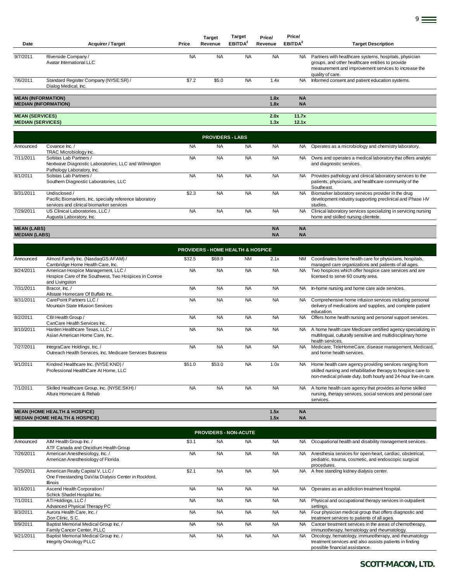| Date                                               | <b>Acquirer / Target</b>                                                                                             | Price     | <b>Target</b><br>Revenue | <b>Target</b><br><b>EBITDA</b> | Price/<br>Revenue | Price/<br>EBITDA <sup>2</sup> | <b>Target Description</b>                                                                                                                                                              |
|----------------------------------------------------|----------------------------------------------------------------------------------------------------------------------|-----------|--------------------------|--------------------------------|-------------------|-------------------------------|----------------------------------------------------------------------------------------------------------------------------------------------------------------------------------------|
| 9/7/2011                                           | Riverside Company/<br>Avatar International LLC                                                                       | <b>NA</b> | <b>NA</b>                | <b>NA</b>                      | <b>NA</b>         | <b>NA</b>                     | Partners with healthcare systems, hospitals, physician<br>groups, and other healthcare entities to provide<br>measurement and improvement services to increase the<br>quality of care. |
| 7/6/2011                                           | Standard Register Company (NYSE:SR) /<br>Dialog Medical, Inc.                                                        | \$7.2     | \$5.0                    | <b>NA</b>                      | 1.4x              | <b>NA</b>                     | Informed consent and patient education systems.                                                                                                                                        |
| <b>MEAN (INFORMATION)</b>                          | <b>MEDIAN (INFORMATION)</b>                                                                                          |           |                          |                                | 1.8x<br>1.8x      | <b>NA</b><br><b>NA</b>        |                                                                                                                                                                                        |
| <b>MEAN (SERVICES)</b><br><b>MEDIAN (SERVICES)</b> |                                                                                                                      |           |                          |                                | 2.0x<br>1.3x      | 11.7x<br>12.1x                |                                                                                                                                                                                        |
|                                                    |                                                                                                                      |           | <b>PROVIDERS - LABS</b>  |                                |                   |                               |                                                                                                                                                                                        |
| Announced                                          | Covance Inc./<br>TRAC Microbiology Inc.                                                                              | <b>NA</b> | <b>NA</b>                | <b>NA</b>                      | <b>NA</b>         | <b>NA</b>                     | Operates as a microbiology and chemistry laboratory.                                                                                                                                   |
| 7/11/2011                                          | Solstas Lab Partners /<br>Nextwave Diagnostic Laboratories, LLC and Wilmington<br>Pathology Laboratory, Inc.         | <b>NA</b> | <b>NA</b>                | <b>NA</b>                      | <b>NA</b>         | <b>NA</b>                     | Owns and operates a medical laboratory that offers analytic<br>and diagnostic services.                                                                                                |
| 8/1/2011                                           | Solstas Lab Partners /<br>Southern Diagnostic Laboratories, LLC                                                      | <b>NA</b> | <b>NA</b>                | <b>NA</b>                      | <b>NA</b>         | NA.                           | Provides pathology and clinical laboratory services to the<br>patients, physicians, and healthcare community of the<br>Southeast.                                                      |
| 8/31/2011                                          | Undisclosed /<br>Pacific Biomarkers, Inc, specialty reference laboratory<br>services and clinical biomarker services | \$2.3     | <b>NA</b>                | <b>NA</b>                      | <b>NA</b>         | <b>NA</b>                     | Biomarker laboratory services provider in the drug<br>development industry supporting preclinical and Phase I-IV<br>studies.                                                           |
| 7/29/2011                                          | US Clinical Laboratories, LLC /<br>Augusta Laboratory, Inc.                                                          | <b>NA</b> | <b>NA</b>                | <b>NA</b>                      | <b>NA</b>         | NA.                           | Clinical laboratory services specializing in servicing nursing<br>home and skilled nursing clientele.                                                                                  |
| <b>MEAN (LABS)</b>                                 |                                                                                                                      |           |                          |                                | <b>NA</b>         | <b>NA</b>                     |                                                                                                                                                                                        |

**MEDIAN (LABS) NA NA**

|           | <b>PROVIDERS - HOME HEALTH &amp; HOSPICE</b>                                                                  |           |           |           |           |           |                                                                                                                                                                                             |  |  |  |  |  |
|-----------|---------------------------------------------------------------------------------------------------------------|-----------|-----------|-----------|-----------|-----------|---------------------------------------------------------------------------------------------------------------------------------------------------------------------------------------------|--|--|--|--|--|
| Announced | Almost Family Inc. (NasdaqGS:AFAM) /<br>Cambridge Home Health Care, Inc.                                      | \$32.5    | \$69.9    | <b>NM</b> | 2.1x      | <b>NM</b> | Coordinates home health care for physicians, hospitals,<br>managed care organizations and patients of all ages.                                                                             |  |  |  |  |  |
| 8/24/2011 | American Hospice Management, LLC /<br>Hospice Care of the Southwest, Two Hospices in Conroe<br>and Livingston | <b>NA</b> | <b>NA</b> | <b>NA</b> | <b>NA</b> | <b>NA</b> | Two hospices which offer hospice care services and are<br>licensed to serve 60 county area.                                                                                                 |  |  |  |  |  |
| 7/31/2011 | Bracor, Inc./<br>Allstate Homecare Of Buffalo Inc.                                                            | <b>NA</b> | <b>NA</b> | <b>NA</b> | <b>NA</b> | NA.       | In-home nursing and home care aide services.                                                                                                                                                |  |  |  |  |  |
| 8/31/2011 | CarePoint Partners LLC /<br>Mountain State Infusion Services                                                  | <b>NA</b> | <b>NA</b> | <b>NA</b> | <b>NA</b> | <b>NA</b> | Comprehensive home infusion services including personal<br>delivery of medications and supplies, and complete patient<br>education.                                                         |  |  |  |  |  |
| 8/2/2011  | CBI Health Group /<br>CanCare Health Services Inc.                                                            | <b>NA</b> | <b>NA</b> | <b>NA</b> | <b>NA</b> | <b>NA</b> | Offers home health nursing and personal support services.                                                                                                                                   |  |  |  |  |  |
| 8/10/2011 | Harden Healthcare Texas, LLC /<br>Asian American Home Care, Inc.                                              | <b>NA</b> | <b>NA</b> | <b>NA</b> | <b>NA</b> | <b>NA</b> | A home health care Medicare certified agency specializing in<br>multilingual, culturally sensitive and multidisciplinary home<br>health services.                                           |  |  |  |  |  |
| 7/27/2011 | IntegraCare Holdings, Inc. /<br>Outreach Health Services, Inc, Medicare Services Business                     | <b>NA</b> | <b>NA</b> | <b>NA</b> | <b>NA</b> | <b>NA</b> | Medicare, TeleHomeCare, disease management, Medicaid,<br>and home health services.                                                                                                          |  |  |  |  |  |
| 9/1/2011  | Kindred Healthcare Inc. (NYSE:KND) /<br>Professional HealthCare At Home, LLC                                  | \$51.0    | \$53.0    | <b>NA</b> | 1.0x      | NA.       | Home health care agency providing services ranging from<br>skilled nursing and rehabilitative therapy to hospice care to<br>non-medical private duty, both hourly and 24-hour live-in care. |  |  |  |  |  |
| 7/1/2011  | Skilled Healthcare Group, Inc. (NYSE:SKH) /<br>Altura Homecare & Rehab                                        | <b>NA</b> | <b>NA</b> | <b>NA</b> | <b>NA</b> | NA.       | A home health care agency that provides at-home skilled<br>nursing, therapy services, social services and personal care<br>services.                                                        |  |  |  |  |  |
|           | <b>MEAN (HOME HEALTH &amp; HOSPICE)</b>                                                                       |           |           |           | 1.5x      | <b>NA</b> |                                                                                                                                                                                             |  |  |  |  |  |
|           | <b>MEDIAN (HOME HEALTH &amp; HOSPICE)</b>                                                                     |           |           |           | 1.5x      | <b>NA</b> |                                                                                                                                                                                             |  |  |  |  |  |

|           | <b>PROVIDERS - NON-ACUTE</b>                                                                         |           |           |           |           |           |                                                                                                                                                    |  |  |  |  |
|-----------|------------------------------------------------------------------------------------------------------|-----------|-----------|-----------|-----------|-----------|----------------------------------------------------------------------------------------------------------------------------------------------------|--|--|--|--|
| Announced | AIM Health Group Inc. /<br>ATF Canada and Oncidium Health Group                                      | \$3.1     | <b>NA</b> | <b>NA</b> | <b>NA</b> | NA.       | Occupational health and disability management services.                                                                                            |  |  |  |  |
| 7/26/2011 | American Anesthesiology, Inc. /<br>American Anesthesiology of Florida                                | <b>NA</b> | <b>NA</b> | <b>NA</b> | <b>NA</b> | <b>NA</b> | Anesthesia services for open-heart, cardiac, obstetrical,<br>pediatric, trauma, cosmetic, and endoscopic surgical<br>procedures.                   |  |  |  |  |
| 7/25/2011 | American Realty Capital V, LLC /<br>One Freestanding DaVita Dialysis Center in Rockford,<br>Illinois | \$2.1     | <b>NA</b> | <b>NA</b> | <b>NA</b> | NA.       | A free standing kidney dialysis center.                                                                                                            |  |  |  |  |
| 8/16/2011 | Ascend Health Corporation /<br>Schick Shadel Hospital Inc.                                           | <b>NA</b> | <b>NA</b> | <b>NA</b> | <b>NA</b> | NA.       | Operates as an addiction treatment hospital.                                                                                                       |  |  |  |  |
| 7/1/2011  | ATI Holdings, LLC /<br>Advanced Physical Therapy PC                                                  | <b>NA</b> | <b>NA</b> | <b>NA</b> | <b>NA</b> | <b>NA</b> | Physical and occupational therapy services in outpatient<br>settings.                                                                              |  |  |  |  |
| 8/3/2011  | Aurora Health Care, Inc./<br>Zion Clinic, S.C.                                                       | <b>NA</b> | <b>NA</b> | <b>NA</b> | <b>NA</b> | <b>NA</b> | Four physician medical group that offers diagnostic and<br>treatment services to patients of all ages.                                             |  |  |  |  |
| 8/9/2011  | Baptist Memorial Medical Group Inc. /<br>Family Cancer Center, PLLC                                  | <b>NA</b> | <b>NA</b> | <b>NA</b> | <b>NA</b> | <b>NA</b> | Cancer treatment services in the areas of chemotherapy,<br>immunotherapy, hematology and rheumatology.                                             |  |  |  |  |
| 9/21/2011 | Baptist Memorial Medical Group Inc. /<br><b>Integrity Oncology PLLC</b>                              | <b>NA</b> | <b>NA</b> | <b>NA</b> | <b>NA</b> | NA.       | Oncology, hematology, immunotherapy, and rheumatology<br>treatment services and also assists patients in finding<br>possible financial assistance. |  |  |  |  |

9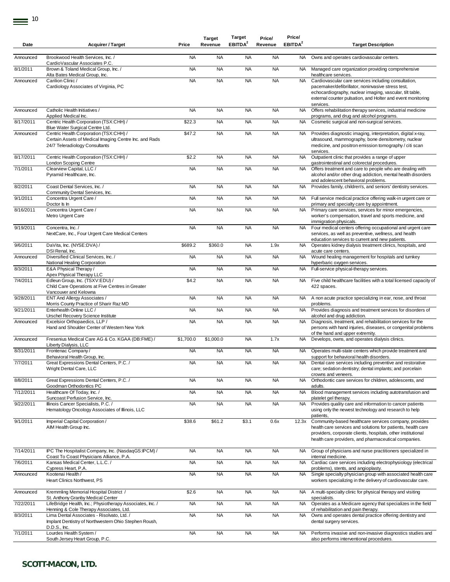| Date      | <b>Acquirer / Target</b>                                                                                                           | Price     | <b>Target</b><br>Revenue | <b>Target</b><br>EBITDA <sup>2</sup> | Price/<br>Revenue | Price/<br>EBITDA <sup>2</sup> | <b>Target Description</b>                                                                                                                                                                                                                         |
|-----------|------------------------------------------------------------------------------------------------------------------------------------|-----------|--------------------------|--------------------------------------|-------------------|-------------------------------|---------------------------------------------------------------------------------------------------------------------------------------------------------------------------------------------------------------------------------------------------|
| Announced | Brookwood Health Services, Inc. /                                                                                                  | <b>NA</b> | <b>NA</b>                | <b>NA</b>                            | <b>NA</b>         | NA                            | Owns and operates cardiovascular centers.                                                                                                                                                                                                         |
| 8/1/2011  | CardioVascular Associates P.C.<br>Brown & Toland Medical Group, Inc. /<br>Alta Bates Medical Group, Inc.                           | <b>NA</b> | <b>NA</b>                | <b>NA</b>                            | <b>NA</b>         | <b>NA</b>                     | Managed care organization providing comprehensive<br>healthcare services.                                                                                                                                                                         |
| Announced | Carilion Clinic /<br>Cardiology Associates of Virginia, PC                                                                         | <b>NA</b> | <b>NA</b>                | <b>NA</b>                            | <b>NA</b>         | NA                            | Cardiovascular care services including consultation,<br>pacemaker/defibrillator, noninvasive stress test,<br>echocardiography, nuclear imaging, vascular, tilt table,<br>external counter pulsation, and Holter and event monitoring<br>services. |
| Announced | Catholic Health Initiatives /<br>Applied Medical Inc.                                                                              | <b>NA</b> | <b>NA</b>                | <b>NA</b>                            | <b>NA</b>         | <b>NA</b>                     | Offers rehabilitation therapy services, industrial medicine<br>programs, and drug and alcohol programs.                                                                                                                                           |
| 8/17/2011 | Centric Health Corporation (TSX:CHH) /<br>Blue Water Surgical Centre Ltd.                                                          | \$22.3    | <b>NA</b>                | <b>NA</b>                            | <b>NA</b>         | NA                            | Cosmetic surgical and non-surgical services.                                                                                                                                                                                                      |
| Announced | Centric Health Corporation (TSX:CHH) /<br>Certain Assets of Medical Imaging Centre Inc. and Rads<br>24/7 Teleradiology Consultants | \$47.2    | <b>NA</b>                | <b>NA</b>                            | <b>NA</b>         | NA                            | Provides diagnostic imaging, interpretation, digital x-ray,<br>ultrasound, mammography, bone densitometry, nuclear<br>medicine, and positron emission tomography / citi scan<br>services.                                                         |
| 8/17/2011 | Centric Health Corporation (TSX:CHH) /<br><b>London Scoping Centre</b>                                                             | \$2.2     | <b>NA</b>                | <b>NA</b>                            | <b>NA</b>         | NA                            | Outpatient clinic that provides a range of upper<br>gastrointestinal and colorectal procedures.                                                                                                                                                   |
| 7/1/2011  | Clearview Capital, LLC /<br>Pyramid Healthcare, Inc.                                                                               | <b>NA</b> | <b>NA</b>                | <b>NA</b>                            | <b>NA</b>         | <b>NA</b>                     | Offers treatment and care to people who are dealing with<br>alcohol and/or other drug addiction, mental health disorders<br>and adolescent behavioral problems.                                                                                   |
| 8/2/2011  | Coast Dental Services, Inc. /<br>Community Dental Services, Inc.                                                                   | <b>NA</b> | <b>NA</b>                | <b>NA</b>                            | <b>NA</b>         | NA                            | Provides family, children's, and seniors' dentistry services.                                                                                                                                                                                     |
| 9/1/2011  | Concentra Urgent Care /<br>Doctor Is In                                                                                            | <b>NA</b> | <b>NA</b>                | <b>NA</b>                            | <b>NA</b>         | NA.                           | Full service medical practice offering walk-in urgent care or<br>primary and specialty care by appointment.                                                                                                                                       |
| 8/16/2011 | Concentra Urgent Care /<br>Metro Urgent Care                                                                                       | <b>NA</b> | <b>NA</b>                | <b>NA</b>                            | <b>NA</b>         | NA                            | Primary care services, services for minor emergencies,<br>worker's compensation, travel and sports medicine, and<br>immigration physicals.                                                                                                        |
| 9/19/2011 | Concentra, Inc. /<br>NextCare, Inc., Four Urgent Care Medical Centers                                                              | <b>NA</b> | <b>NA</b>                | <b>NA</b>                            | <b>NA</b>         | NA                            | Four medical centers offering occupational and urgent care<br>services, as well as preventive, wellness, and health<br>education services to current and new patients.                                                                            |
| 9/6/2011  | DaVita, Inc. (NYSE:DVA) /<br>DSI Renal, Inc.                                                                                       | \$689.2   | \$360.0                  | <b>NA</b>                            | 1.9x              | NA                            | Operates kidney dialysis treatment clinics, hospitals, and<br>acute care centers.                                                                                                                                                                 |
| Announced | Diversified Clinical Services, Inc. /<br>National Healing Corporation                                                              | <b>NA</b> | <b>NA</b>                | <b>NA</b>                            | <b>NA</b>         | NA                            | Wound healing management for hospitals and turnkey<br>hyperbaric oxygen services.                                                                                                                                                                 |
| 8/3/2011  | E&A Physical Therapy /<br>Apex Physical Therapy LLC                                                                                | <b>NA</b> | <b>NA</b>                | <b>NA</b>                            | <b>NA</b>         | NA                            | Full-service physical-therapy services.                                                                                                                                                                                                           |
| 7/4/2011  | Edleun Group, Inc. (TSXV:EDU) /<br>Child Care Operations at Five Centres in Greater<br>Vancouver and Kelowna                       | \$4.2     | <b>NA</b>                | <b>NA</b>                            | <b>NA</b>         | NA                            | Five child healthcare facilities with a total licensed capacity of<br>422 spaces.                                                                                                                                                                 |
| 9/28/2011 | ENT And Allergy Associates /<br>Morris County Practice of Sharir Raz MD                                                            | <b>NA</b> | <b>NA</b>                | <b>NA</b>                            | <b>NA</b>         | NA                            | A non acute practice specializing in ear, nose, and throat<br>problems.                                                                                                                                                                           |
| 9/21/2011 | Enterhealth Online LLC /<br>Urschel Recovery Science Institute                                                                     | <b>NA</b> | <b>NA</b>                | <b>NA</b>                            | <b>NA</b>         | <b>NA</b>                     | Provides diagnosis and treatment services for disorders of<br>alcohol and drug addiction.                                                                                                                                                         |
| Announced | Excelsior Orthopaedics, LLP /<br>Hand and Shoulder Center of Western New York                                                      | <b>NA</b> | <b>NA</b>                | <b>NA</b>                            | <b>NA</b>         | NA                            | Diagnosis, treatment, and rehabilitation services for the<br>persons with hand injuries, diseases, or congenital problems<br>of the hand and upper extremity.                                                                                     |
| Announced | Fresenius Medical Care AG & Co. KGAA (DB:FME) /<br>Liberty Dialysis, LLC                                                           | \$1,700.0 | \$1,000.0                | <b>NA</b>                            | 1.7x              | NA                            | Develops, owns, and operates dialysis clinics.                                                                                                                                                                                                    |
| 8/31/2011 | Frontenac Company /<br>Behavioral Health Group, Inc.                                                                               | <b>NA</b> | <b>NA</b>                | <b>NA</b>                            | <b>NA</b>         | NA.                           | Operates multi-state centers which provide treatment and<br>support for behavioral health disorders.                                                                                                                                              |
| 7/7/2011  | Great Expressions Dental Centers, P.C./<br>Wright Dental Care, LLC                                                                 | <b>NA</b> | <b>NA</b>                | <b>NA</b>                            | <b>NA</b>         | <b>NA</b>                     | Dental care services including preventive and restorative<br>care; sedation dentistry; dental implants; and porcelain<br>crowns and veneers.                                                                                                      |
| 8/8/2011  | Great Expressions Dental Centers, P.C. /<br>Goodman Orthodontics PC                                                                | <b>NA</b> | <b>NA</b>                | <b>NA</b>                            | <b>NA</b>         | <b>NA</b>                     | Orthodontic care services for children, adolescents, and<br>adults.                                                                                                                                                                               |
| 7/12/2011 | Healthcare Of Today, Inc. /<br>Suncoast Perfusion Service, Inc.                                                                    | <b>NA</b> | <b>NA</b>                | <b>NA</b>                            | <b>NA</b>         | <b>NA</b>                     | Blood management services including autotransfusion and<br>platelet gel therapy.                                                                                                                                                                  |
| 9/22/2011 | Illinois Cancer Specialists, P.C. /<br>Hematology Oncology Associates of Illinois, LLC                                             | <b>NA</b> | <b>NA</b>                | <b>NA</b>                            | <b>NA</b>         | <b>NA</b>                     | Provides quality care and information to cancer patients<br>using only the newest technology and research to help<br>patients,                                                                                                                    |
| 9/1/2011  | Imperial Capital Corporation /<br>AIM Health Group Inc.                                                                            | \$38.6    | \$61.2                   | \$3.1                                | 0.6x              | 12.3x                         | Community-based healthcare services company, provides<br>health care services and solutions for patients, health care<br>providers, corporate clients, hospitals, other institutional<br>health care providers, and pharmaceutical companies.     |
| 7/14/2011 | IPC The Hospitalist Company, Inc. (NasdaqGS:IPCM) /<br>Coast To Coast Physicians Alliance, P.A.                                    | <b>NA</b> | <b>NA</b>                | <b>NA</b>                            | <b>NA</b>         | NA                            | Group of physicians and nurse practitioners specialized in<br>internal medicine.                                                                                                                                                                  |
| 7/6/2011  | Kansas Medical Center, L.L.C. /<br>Cypress Heart, P.A.                                                                             | <b>NA</b> | <b>NA</b>                | <b>NA</b>                            | <b>NA</b>         | <b>NA</b>                     | Cardiac care services including electrophysiology (electrical<br>problems), stents, and angioplasty.                                                                                                                                              |
| Announced | Kootenai Health /<br>Heart Clinics Northwest, PS                                                                                   | <b>NA</b> | <b>NA</b>                | <b>NA</b>                            | <b>NA</b>         | <b>NA</b>                     | Single specialty physician group with associated health care<br>workers specializing in the delivery of cardiovascular care.                                                                                                                      |
| Announced | Kremmling Memorial Hospital District /<br>St. Anthony Granby Medical Center                                                        | \$2.6     | <b>NA</b>                | <b>NA</b>                            | <b>NA</b>         |                               | NA A multi-specialty clinic for physical therapy and visiting<br>specialists.                                                                                                                                                                     |
| 7/22/2011 | LifeBridge Health, Inc.; Physiotherapy Associates, Inc. /<br>Henning & Cole Therapy Associates, Ltd.                               | <b>NA</b> | <b>NA</b>                | <b>NA</b>                            | <b>NA</b>         | <b>NA</b>                     | Operates as a Medicare agency that specializes in the field<br>of rehabilitation and pain therapy.                                                                                                                                                |
| 8/3/2011  | Lima Dental Associates - Risolvato, Ltd. /<br>Implant Dentistry of Northwestern Ohio Stephen Roush,<br>D.D.S., Inc.                | <b>NA</b> | <b>NA</b>                | <b>NA</b>                            | <b>NA</b>         | NA                            | Owns and operates dental practice offering dentistry and<br>dental surgery services.                                                                                                                                                              |
| 7/1/2011  | Lourdes Health System /<br>South Jersey Heart Group, P.C.                                                                          | <b>NA</b> | <b>NA</b>                | <b>NA</b>                            | <b>NA</b>         | NA                            | Performs invasive and non-invasive diagnostics studies and<br>also performs interventional procedures.                                                                                                                                            |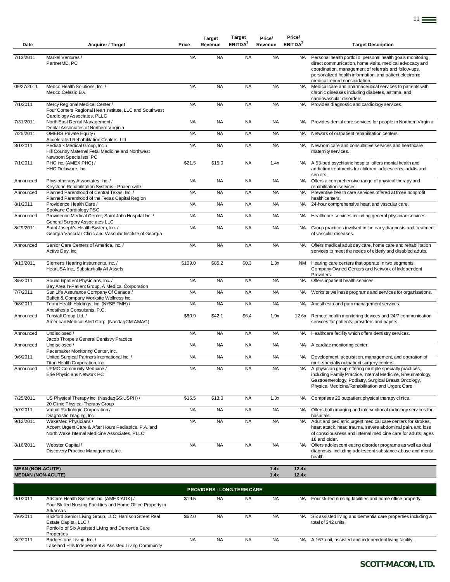| Date                                                 | <b>Acquirer / Target</b>                                                                                                       | Price     | <b>Target</b><br>Revenue | <b>Target</b><br>EBITDA <sup>2</sup> | Price/<br>Revenue | Price/<br>EBITDA <sup>2</sup> | <b>Target Description</b>                                                                                                                                                                                                                                                    |
|------------------------------------------------------|--------------------------------------------------------------------------------------------------------------------------------|-----------|--------------------------|--------------------------------------|-------------------|-------------------------------|------------------------------------------------------------------------------------------------------------------------------------------------------------------------------------------------------------------------------------------------------------------------------|
| 7/13/2011                                            | Markel Ventures /<br>PartnerMD, PC                                                                                             | <b>NA</b> | <b>NA</b>                | <b>NA</b>                            | <b>NA</b>         | NA                            | Personal health portfolio, personal health goals monitoring,<br>direct communication, home visits, medical advocacy and<br>coordination, management of referrals and follow-ups,<br>personalized health information, and patient electronic<br>medical record consolidation. |
| 09/27/2011                                           | Medco Health Solutions. Inc. /<br>Medco Celesio B.v.                                                                           | <b>NA</b> | <b>NA</b>                | <b>NA</b>                            | <b>NA</b>         | <b>NA</b>                     | Medical care and pharmaceutical services to patients with<br>chronic diseases including diabetes, asthma, and<br>cardiovascular disorders.                                                                                                                                   |
| 7/1/2011                                             | Mercy Regional Medical Center /<br>Four Corners Regional Heart Institute, LLC and Southwest<br>Cardiology Associates, PLLC     | <b>NA</b> | <b>NA</b>                | <b>NA</b>                            | <b>NA</b>         | <b>NA</b>                     | Provides diagnostic and cardiology services.                                                                                                                                                                                                                                 |
| 7/31/2011                                            | North East Dental Management /<br>Dental Associates of Northern Virginia                                                       | <b>NA</b> | <b>NA</b>                | <b>NA</b>                            | <b>NA</b>         | NA.                           | Provides dental care services for people in Northern Virginia.                                                                                                                                                                                                               |
| 7/25/2011                                            | <b>OMERS Private Equity/</b><br>Accelerated Rehabilitation Centers, Ltd.                                                       | <b>NA</b> | <b>NA</b>                | <b>NA</b>                            | <b>NA</b>         | <b>NA</b>                     | Network of outpatient rehabilitation centers.                                                                                                                                                                                                                                |
| 8/1/2011                                             | Pediatrix Medical Group, Inc. /<br>Hill Country Maternal Fetal Medicine and Northwest<br>Newborn Specialists, PC               | <b>NA</b> | <b>NA</b>                | <b>NA</b>                            | <b>NA</b>         | NA.                           | Newborn care and consultative services and healthcare<br>maternity services.                                                                                                                                                                                                 |
| 7/1/2011                                             | PHC Inc. (AMEX:PHC) /<br>HHC Delaware, Inc.                                                                                    | \$21.5    | \$15.0                   | <b>NA</b>                            | 1.4x              | <b>NA</b>                     | A 53-bed psychiatric hospital offers mental health and<br>addiction treatments for children, adolescents, adults and<br>seniors.                                                                                                                                             |
| Announced                                            | Physiotherapy Associates, Inc. /<br>Keystone Rehabilitation Systems - Phoenixville                                             | <b>NA</b> | <b>NA</b>                | <b>NA</b>                            | <b>NA</b>         | <b>NA</b>                     | Offers a comprehensive range of physical therapy and<br>rehabilitation services.                                                                                                                                                                                             |
| Announced                                            | Planned Parenthood of Central Texas, Inc. /<br>Planned Parenthood of the Texas Capital Region                                  | <b>NA</b> | <b>NA</b>                | <b>NA</b>                            | <b>NA</b>         | <b>NA</b>                     | Preventive health care services offered at three nonprofit<br>health centers.                                                                                                                                                                                                |
| 8/1/2011                                             | Providence Health Care /<br>Spokane Cardiology PSC                                                                             | <b>NA</b> | <b>NA</b>                | <b>NA</b>                            | <b>NA</b>         | <b>NA</b>                     | 24-hour comprehensive heart and vascular care.                                                                                                                                                                                                                               |
| Announced                                            | Providence Medical Center; Saint John Hospital Inc. /<br>General Surgery Associates LLC                                        | <b>NA</b> | <b>NA</b>                | <b>NA</b>                            | <b>NA</b>         | NA.                           | Healthcare services including general physician services.                                                                                                                                                                                                                    |
| 8/29/2011                                            | Saint Joseph's Health System, Inc. /<br>Georgia Vascular Clinic and Vascular Institute of Georgia                              | <b>NA</b> | <b>NA</b>                | <b>NA</b>                            | <b>NA</b>         | <b>NA</b>                     | Group practices involved in the early diagnosis and treatment<br>of vascular diseases.                                                                                                                                                                                       |
| Announced                                            | Senior Care Centers of America, Inc. /<br>Active Day, Inc.                                                                     | <b>NA</b> | <b>NA</b>                | <b>NA</b>                            | <b>NA</b>         | NA.                           | Offers medical adult day care, home care and rehabilitation<br>services to meet the needs of elderly and disabled adults.                                                                                                                                                    |
| 9/13/2011                                            | Siemens Hearing Instruments, Inc. /<br>HearUSA Inc., Substantially All Assets                                                  | \$109.0   | \$85.2                   | \$0.3                                | 1.3x              | <b>NM</b>                     | Hearing care centers that operate in two segments,<br>Company-Owned Centers and Network of Independent<br>Providers.                                                                                                                                                         |
| 8/5/2011                                             | Sound Inpatient Physicians, Inc. /<br>Bay Area In-Patient Group, A Medical Corporation                                         | <b>NA</b> | <b>NA</b>                | <b>NA</b>                            | <b>NA</b>         | <b>NA</b>                     | Offers inpatient health services.                                                                                                                                                                                                                                            |
| 7/7/2011                                             | Sun Life Assurance Company Of Canada /<br>Buffett & Company Worksite Wellness Inc.                                             | <b>NA</b> | <b>NA</b>                | <b>NA</b>                            | <b>NA</b>         | <b>NA</b>                     | Worksite wellness programs and services for organizations.                                                                                                                                                                                                                   |
| 9/8/2011                                             | Team Health Holdings, Inc. (NYSE:TMH) /<br>Anesthesia Consultants, P.C.                                                        | <b>NA</b> | <b>NA</b>                | <b>NA</b>                            | <b>NA</b>         | NA                            | Anesthesia and pain management services.                                                                                                                                                                                                                                     |
| Announced                                            | Tunstall Group Ltd. /<br>American Medical Alert Corp. (NasdaqCM:AMAC)                                                          | \$80.9    | \$42.1                   | \$6.4                                | 1.9x              | 12.6x                         | Remote health monitoring devices and 24/7 communication<br>services for patients, providers and payers.                                                                                                                                                                      |
| Announced                                            | Undisclosed /<br>Jacob Thorpe's General Dentistry Practice                                                                     | <b>NA</b> | <b>NA</b>                | <b>NA</b>                            | <b>NA</b>         | NA.                           | Healthcare facility which offers dentistry services.                                                                                                                                                                                                                         |
| Announced                                            | Undisclosed /<br>Pacemaker Monitoring Center, Inc.                                                                             | <b>NA</b> | <b>NA</b>                | <b>NA</b>                            | <b>NA</b>         | NA                            | A cardiac monitoring center.                                                                                                                                                                                                                                                 |
| 9/6/2011                                             | United Surgical Partners International Inc. /<br>Titan Health Corporation, Inc.                                                | <b>NA</b> | <b>NA</b>                | <b>NA</b>                            | <b>NA</b>         | NA                            | Development, acquisition, management, and operation of<br>multi-specialty outpatient surgery centers.                                                                                                                                                                        |
| Announced                                            | UPMC Community Medicine /<br>Erie Physicians Network PC                                                                        | <b>NA</b> | <b>NA</b>                | <b>NA</b>                            | <b>NA</b>         | NA                            | A physician group offering multiple specialty practices,<br>including Family Practice, Internal Medicine, Rheumatology,<br>Gastroenterology, Podiatry, Surgical Breast Oncology,<br>Physical Medicine/Rehabilitation and Urgent Care.                                        |
| 7/25/2011                                            | US Physical Therapy Inc. (NasdaqGS:USPH) /<br>20 Clinic Physical Therapy Group                                                 | \$16.5    | \$13.0                   | <b>NA</b>                            | 1.3x              | <b>NA</b>                     | Comprises 20 outpatient physical therapy clinics.                                                                                                                                                                                                                            |
| 9/7/2011                                             | Virtual Radiologic Corporation /<br>Diagnostic Imaging, Inc.                                                                   | <b>NA</b> | <b>NA</b>                | <b>NA</b>                            | <b>NA</b>         | NA .                          | Offers both imaging and interventional radiology services for<br>hospitals.                                                                                                                                                                                                  |
| 9/12/2011                                            | WakeMed Physicians /<br>Accent Urgent Care & After Hours Pediatrics, P.A. and<br>North Wake Internal Medicine Associates, PLLC | <b>NA</b> | <b>NA</b>                | <b>NA</b>                            | <b>NA</b>         | <b>NA</b>                     | Adult and pediatric urgent medical care centers for strokes,<br>heart attack, head trauma, severe abdominal pain, and loss<br>of consciousness and internal medicine care for adults, ages<br>18 and older.                                                                  |
| 8/16/2011                                            | Webster Capital /<br>Discovery Practice Management, Inc.                                                                       | <b>NA</b> | <b>NA</b>                | <b>NA</b>                            | <b>NA</b>         | NA                            | Offers adolescent eating disorder programs as well as dual<br>diagnosis, including adolescent substance abuse and mental<br>health.                                                                                                                                          |
| <b>MEAN (NON-ACUTE)</b><br><b>MEDIAN (NON-ACUTE)</b> |                                                                                                                                |           |                          |                                      | 1.4x<br>1.4x      | 12.4x<br>12.4x                |                                                                                                                                                                                                                                                                              |

|          | <b>PROVIDERS - LONG-TERM CARE</b>                                                                                                                    |           |           |     |           |     |                                                                                     |  |  |  |
|----------|------------------------------------------------------------------------------------------------------------------------------------------------------|-----------|-----------|-----|-----------|-----|-------------------------------------------------------------------------------------|--|--|--|
| 9/1/2011 | AdCare Health Systems Inc. (AMEX:ADK) /<br>Four Skilled Nursing Facilities and Home Office Property in<br>Arkansas                                   | \$19.5    | <b>NA</b> | NA. | <b>NA</b> | NA. | Four skilled nursing facilities and home office property.                           |  |  |  |
| 7/6/2011 | Bickford Senior Living Group, LLC; Harrison Street Real<br>Estate Capital, LLC /<br>Portfolio of Six Assisted Living and Dementia Care<br>Properties | \$62.0    | <b>NA</b> | NA. | <b>NA</b> | NA. | Six assisted living and dementia care properties including a<br>total of 342 units. |  |  |  |
| 8/2/2011 | Bridgestone Living, Inc. /<br>Lakeland Hills Independent & Assisted Living Community                                                                 | <b>NA</b> | <b>NA</b> | NA. | <b>NA</b> | NA. | A 167-unit, assisted and independent living facility.                               |  |  |  |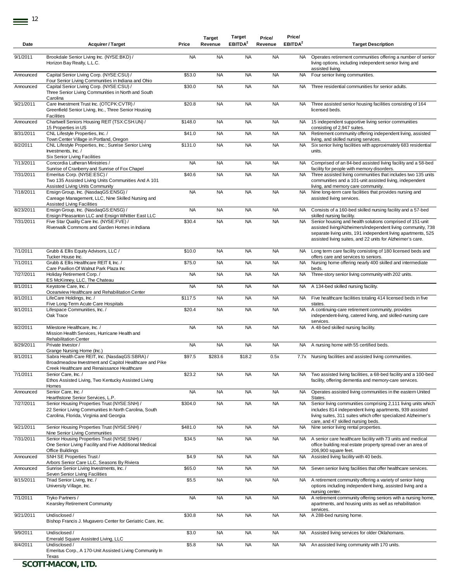| Date                 | <b>Acquirer / Target</b>                                                                                                                                                              | Price     | <b>Target</b><br>Revenue | Target<br>EBITDA <sup>2</sup> | Price/<br>Revenue | Price/<br>EBITDA <sup>2</sup> | <b>Target Description</b>                                                                                                                                                                                                                                |
|----------------------|---------------------------------------------------------------------------------------------------------------------------------------------------------------------------------------|-----------|--------------------------|-------------------------------|-------------------|-------------------------------|----------------------------------------------------------------------------------------------------------------------------------------------------------------------------------------------------------------------------------------------------------|
| 9/1/2011             | Brookdale Senior Living Inc. (NYSE:BKD) /<br>Horizon Bay Realty, L.L.C.                                                                                                               | <b>NA</b> | <b>NA</b>                | <b>NA</b>                     | <b>NA</b>         | NA.                           | Operates retirement communities offering a number of senior<br>living options, including independent senior living and<br>assisted living.                                                                                                               |
| Announced            | Capital Senior Living Corp. (NYSE:CSU) /                                                                                                                                              | \$53.0    | <b>NA</b>                | <b>NA</b>                     | <b>NA</b>         | <b>NA</b>                     | Four senior living communities.                                                                                                                                                                                                                          |
| Announced            | Four Senior Living Communities in Indiana and Ohio<br>Capital Senior Living Corp. (NYSE:CSU) /<br>Three Senior Living Communities in North and South                                  | \$30.0    | <b>NA</b>                | <b>NA</b>                     | <b>NA</b>         | <b>NA</b>                     | Three residential communities for senior adults.                                                                                                                                                                                                         |
| 9/21/2011            | Carolina<br>Care Investment Trust Inc. (OTCPK:CVTR) /<br>Greenfield Senior Living, Inc., Three Senior Housing<br>Facilities                                                           | \$20.8    | <b>NA</b>                | <b>NA</b>                     | <b>NA</b>         | <b>NA</b>                     | Three assisted senior housing facilities consisting of 164<br>licensed beds.                                                                                                                                                                             |
| Announced            | Chartwell Seniors Housing REIT (TSX:CSH.UN) /<br>15 Properties in US                                                                                                                  | \$148.0   | <b>NA</b>                | <b>NA</b>                     | <b>NA</b>         | <b>NA</b>                     | 15 independent supportive living senior communities<br>consisting of 2,947 suites.                                                                                                                                                                       |
| 8/31/2011            | CNL Lifestyle Properties, Inc. /<br>Town Center Village in Portland, Oregon                                                                                                           | \$41.0    | <b>NA</b>                | <b>NA</b>                     | <b>NA</b>         | <b>NA</b>                     | Retirement community offering independent living, assisted<br>living, and skilled nursing services.                                                                                                                                                      |
| 8/2/2011             | CNL Lifestyle Properties, Inc.; Sunrise Senior Living<br>Investments, Inc. /                                                                                                          | \$131.0   | <b>NA</b>                | <b>NA</b>                     | <b>NA</b>         | <b>NA</b>                     | Six senior living facilities with approximately 683 residential<br>units.                                                                                                                                                                                |
| 7/13/2011            | Six Senior Living Facilities<br>Concordia Lutheran Ministries /                                                                                                                       | <b>NA</b> | <b>NA</b>                | <b>NA</b>                     | <b>NA</b>         | <b>NA</b>                     | Comprised of an 84-bed assisted living facility and a 58-bed                                                                                                                                                                                             |
| 7/31/2011            | Sunrise of Cranberry and Sunrise of Fox Chapel<br>Emeritus Corp. (NYSE:ESC) /                                                                                                         | \$40.6    | <b>NA</b>                | <b>NA</b>                     | <b>NA</b>         | <b>NA</b>                     | facility for people with memory disorders.<br>Three assisted living communities that includes two 135 units                                                                                                                                              |
|                      | Two 135 Assisted Living Units Communities And A 101<br>Assisted Living Units Community                                                                                                |           |                          |                               |                   |                               | communities and a 101-unit assisted living, independent<br>living, and memory care community.                                                                                                                                                            |
| 7/18/2011            | Ensign Group, Inc. (NasdaqGS:ENSG) /<br>Careage Management, LLC, Nine Skilled Nursing and<br>Assisted Living Facilities                                                               | <b>NA</b> | <b>NA</b>                | <b>NA</b>                     | <b>NA</b>         | <b>NA</b>                     | Nine long-term care facilities that provides nursing and<br>assisted living services.                                                                                                                                                                    |
| 8/23/2011            | Ensign Group, Inc. (NasdaqGS:ENSG) /<br>Ensign Pleasanton LLC and Ensign Whittier East LLC                                                                                            | <b>NA</b> | <b>NA</b>                | <b>NA</b>                     | <b>NA</b>         | <b>NA</b>                     | Consists of a 160-bed skilled nursing facility and a 57-bed<br>skilled nursing facility.                                                                                                                                                                 |
| 7/31/2011            | Five Star Quality Care Inc. (NYSE:FVE) /<br>Riverwalk Commons and Garden Homes in Indiana                                                                                             | \$30.4    | <b>NA</b>                | <b>NA</b>                     | <b>NA</b>         | <b>NA</b>                     | Senior housing and health solutions comprised of 151-unit<br>assisted living/Alzheimers/independent living community, 738<br>separate living units, 191 independent living apartments, 525<br>assisted living suites, and 22 units for Alzheimer's care. |
| 7/1/2011             | Grubb & Ellis Equity Advisors, LLC /<br>Tucker House Inc.                                                                                                                             | \$10.0    | <b>NA</b>                | <b>NA</b>                     | <b>NA</b>         | NA.                           | Long term care facility consisting of 180 licensed beds and<br>offers care and services to seniors.                                                                                                                                                      |
| 7/1/2011             | Grubb & Ellis Healthcare REIT II, Inc. /<br>Care Pavilion Of Walnut Park Plaza Inc                                                                                                    | \$75.0    | <b>NA</b>                | <b>NA</b>                     | <b>NA</b>         | <b>NA</b>                     | Nursing home offering nearly 400 skilled and intermediate<br>beds.                                                                                                                                                                                       |
| 7/27/2011            | Holiday Retirement Corp./<br>ES McKinney, LLC, The Chateau                                                                                                                            | <b>NA</b> | <b>NA</b>                | <b>NA</b>                     | <b>NA</b>         | <b>NA</b>                     | Three-story senior living community with 202 units.                                                                                                                                                                                                      |
| 8/1/2011             | Keystone Care, Inc./<br>Oceanview Healthcare and Rehabilitation Center                                                                                                                | <b>NA</b> | <b>NA</b>                | <b>NA</b>                     | <b>NA</b>         | NA                            | A 134-bed skilled nursing facility.                                                                                                                                                                                                                      |
| 8/1/2011             | LifeCare Holdings, Inc. /<br>Five Long-Term Acute Care Hospitals                                                                                                                      | \$117.5   | <b>NA</b>                | <b>NA</b>                     | <b>NA</b>         | <b>NA</b>                     | Five healthcare facilities totaling 414 licensed beds in five<br>states.                                                                                                                                                                                 |
| 8/1/2011             | Lifespace Communities, Inc. /<br>Oak Trace                                                                                                                                            | \$20.4    | <b>NA</b>                | <b>NA</b>                     | <b>NA</b>         | <b>NA</b>                     | A continuing-care retirement community, provides<br>independent-living, catered living, and skilled-nursing care<br>services.                                                                                                                            |
| 8/2/2011             | Milestone Healthcare, Inc. /<br>Mission Health Services, Hurricane Health and                                                                                                         | <b>NA</b> | <b>NA</b>                | <b>NA</b>                     | <b>NA</b>         | <b>NA</b>                     | A 48-bed skilled nursing facility.                                                                                                                                                                                                                       |
| 8/29/2011            | <b>Rehabilitation Center</b><br>Private Investor /                                                                                                                                    | <b>NA</b> | <b>NA</b>                | <b>NA</b>                     | <b>NA</b>         | NA                            | A nursing home with 55 certified beds.                                                                                                                                                                                                                   |
| 8/1/2011             | Grange Nursing Home (Inc.)<br>Sabra Health Care REIT, Inc. (NasdaqGS:SBRA) /<br>Broadmeadow Investment and Capitol Healthcare and Pike                                                | \$97.5    | \$283.6                  | \$18.2                        | 0.5x              |                               | 7.7x Nursing facilities and assisted living communities.                                                                                                                                                                                                 |
| 7/1/2011             | Creek Healthcare and Renaissance Healthcare<br>Senior Care, Inc. /<br>Ethos Assisted Living, Two Kentucky Assisted Living                                                             | \$23.2    | <b>NA</b>                | <b>NA</b>                     | <b>NA</b>         | <b>NA</b>                     | Two assisted living facilities, a 68-bed facility and a 100-bed<br>facility, offering dementia and memory-care services.                                                                                                                                 |
| Announced            | Homes<br>Senior Care, Inc. /                                                                                                                                                          | <b>NA</b> | <b>NA</b>                | <b>NA</b>                     | <b>NA</b>         | NA                            | Operates assisted living communities in the eastern United                                                                                                                                                                                               |
| 7/27/2011            | Hearthstone Senior Services, L.P.<br>Senior Housing Properties Trust (NYSE:SNH) /<br>22 Senior Living Communities In North Carolina, South<br>Carolina, Florida, Virginia and Georgia | \$304.0   | <b>NA</b>                | <b>NA</b>                     | <b>NA</b>         | NA.                           | States.<br>Senior living communities comprising 2,111 living units which<br>includes 814 independent living apartments, 939 assisted<br>living suites, 311 suites which offer specialized Alzheimer's<br>care, and 47 skilled nursing beds.              |
| 9/21/2011            | Senior Housing Properties Trust (NYSE:SNH) /                                                                                                                                          | \$481.0   | <b>NA</b>                | <b>NA</b>                     | <b>NA</b>         | <b>NA</b>                     | Nine senior living rental properties.                                                                                                                                                                                                                    |
| 7/31/2011            | Nine Senior Living Communities<br>Senior Housing Properties Trust (NYSE:SNH) /<br>One Senior Living Facility and Five Additional Medical                                              | \$34.5    | <b>NA</b>                | <b>NA</b>                     | <b>NA</b>         | NA.                           | A senior care healthcare facility with 73 units and medical<br>office building real estate property spread over an area of                                                                                                                               |
| Announced            | Office Buildings<br>SNH SE Properties Trust /                                                                                                                                         | \$4.9     | <b>NA</b>                | <b>NA</b>                     | <b>NA</b>         | <b>NA</b>                     | 206,900 square feet.<br>Assisted living facility with 40 beds.                                                                                                                                                                                           |
| Announced            | Arbors Senior Care LLC, Seasons By Riviera<br>Sunrise Senior Living Investments, Inc. /                                                                                               | \$65.0    | <b>NA</b>                | <b>NA</b>                     | <b>NA</b>         | NA                            | Seven senior living facilities that offer healthcare services.                                                                                                                                                                                           |
| 8/15/2011            | Seven Senior Living Facilities<br>Triad Senior Living, Inc. /                                                                                                                         | \$5.5     | <b>NA</b>                | <b>NA</b>                     | <b>NA</b>         | NA.                           | A retirement community offering a variety of senior living                                                                                                                                                                                               |
| $\frac{1}{7}$ 1/2011 | University Village, Inc.<br>Tryko Partners /                                                                                                                                          | <b>NA</b> | <b>NA</b>                | <b>NA</b>                     | <b>NA</b>         | <b>NA</b>                     | options including independent living, assisted living and a<br>nursing center.<br>A retirement community offering seniors with a nursing home,                                                                                                           |
|                      | Kearsley Retirement Community                                                                                                                                                         |           |                          |                               |                   |                               | apartments, and housing units as well as rehabilitation<br>services.                                                                                                                                                                                     |
| 9/21/2011            | Undisclosed /<br>Bishop Francis J. Mugavero Center for Geriatric Care, Inc.                                                                                                           | \$30.8    | <b>NA</b>                | <b>NA</b>                     | <b>NA</b>         | <b>NA</b>                     | A 288-bed nursing home.                                                                                                                                                                                                                                  |
| 9/9/2011             | Undisclosed /<br>Emerald Square Assisted Living, LLC                                                                                                                                  | \$3.0     | <b>NA</b>                | <b>NA</b>                     | <b>NA</b>         | <b>NA</b>                     | Assisted living services for older Oklahomans.                                                                                                                                                                                                           |
| 8/4/2011             | Undisclosed /<br>Emeritus Corp., A 170-Unit Assisted Living Community In                                                                                                              | \$5.8     | <b>NA</b>                | <b>NA</b>                     | <b>NA</b>         | <b>NA</b>                     | An assisted living community with 170 units.                                                                                                                                                                                                             |
|                      | Texas                                                                                                                                                                                 |           |                          |                               |                   |                               |                                                                                                                                                                                                                                                          |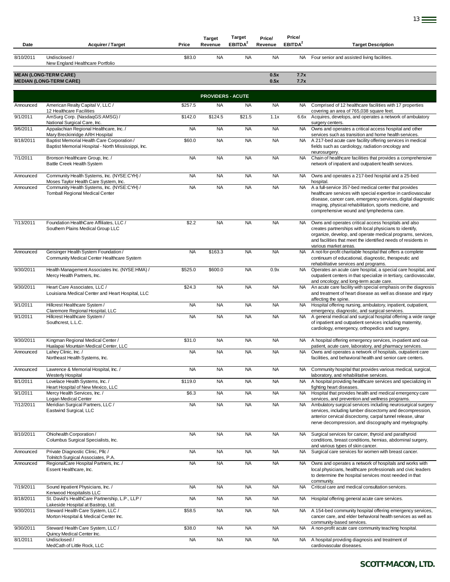| Date      | <b>Acquirer / Target</b>                                                                         | Price     | <b>Target</b><br>Revenue | <b>Target</b><br>EBITDA <sup>2</sup> | Price/<br>Revenue | Price/<br>EBITDA <sup>2</sup> | <b>Target Description</b>                                                                                                                                                                                                                                                                   |
|-----------|--------------------------------------------------------------------------------------------------|-----------|--------------------------|--------------------------------------|-------------------|-------------------------------|---------------------------------------------------------------------------------------------------------------------------------------------------------------------------------------------------------------------------------------------------------------------------------------------|
| 8/10/2011 | Undisclosed /<br>New England Healthcare Portfolio                                                | \$83.0    | <b>NA</b>                | <b>NA</b>                            | <b>NA</b>         |                               | NA Four senior and assisted living facilities.                                                                                                                                                                                                                                              |
|           | <b>MEAN (LONG-TERM CARE)</b><br><b>MEDIAN (LONG-TERM CARE)</b>                                   |           |                          |                                      | 0.5x<br>0.5x      | 7.7x<br>7.7x                  |                                                                                                                                                                                                                                                                                             |
|           |                                                                                                  |           | <b>PROVIDERS - ACUTE</b> |                                      |                   |                               |                                                                                                                                                                                                                                                                                             |
| Announced | American Realty Capital V, LLC /                                                                 | \$257.5   | <b>NA</b>                | <b>NA</b>                            | <b>NA</b>         | NA.                           | Comprised of 12 healthcare facilities with 17 properties                                                                                                                                                                                                                                    |
| 9/1/2011  | 12 Healthcare Facilities<br>AmSurg Corp. (NasdaqGS:AMSG) /                                       | \$142.0   | \$124.5                  | \$21.5                               | 1.1x              | 6.6x                          | covering an area of 765,038 square feet.<br>Acquires, develops, and operates a network of ambulatory                                                                                                                                                                                        |
| 9/6/2011  | National Surgical Care, Inc.<br>Appalachian Regional Healthcare, Inc./                           | <b>NA</b> | <b>NA</b>                | <b>NA</b>                            | <b>NA</b>         | <b>NA</b>                     | surgery centers.<br>Owns and operates a critical access hospital and other                                                                                                                                                                                                                  |
| 8/18/2011 | Mary Breckinridge ARH Hospital<br>Baptist Memorial Health Care Corporation /                     | \$60.0    | <b>NA</b>                | <b>NA</b>                            | <b>NA</b>         | <b>NA</b>                     | services such as transition and home health services.<br>A 217-bed acute care facility offering services in medical                                                                                                                                                                         |
|           | Baptist Memorial Hospital - North Mississippi, Inc.                                              |           |                          |                                      |                   |                               | fields such as cardiology, radiation oncology and<br>neurosurgery.                                                                                                                                                                                                                          |
| 7/1/2011  | Bronson Healthcare Group, Inc. /<br>Battle Creek Health System                                   | <b>NA</b> | <b>NA</b>                | <b>NA</b>                            | <b>NA</b>         | <b>NA</b>                     | Chain of healthcare facilities that provides a comprehensive<br>network of inpatient and outpatient health services.                                                                                                                                                                        |
| Announced | Community Health Systems, Inc. (NYSE:CYH) /<br>Moses Taylor Health Care System, Inc.             | <b>NA</b> | <b>NA</b>                | <b>NA</b>                            | <b>NA</b>         | NA                            | Owns and operates a 217-bed hospital and a 25-bed<br>hospital.                                                                                                                                                                                                                              |
| Announced | Community Health Systems, Inc. (NYSE:CYH) /<br><b>Tomball Regional Medical Center</b>            | <b>NA</b> | <b>NA</b>                | <b>NA</b>                            | <b>NA</b>         | <b>NA</b>                     | A a full-service 357-bed medical center that provides<br>healthcare services with special expertise in cardiovascular<br>disease, cancer care, emergency services, digital diagnostic<br>imaging, physical rehabilitation, sports medicine, and<br>comprehensive wound and lymphedema care. |
| 7/13/2011 | Foundation HealthCare Affiliates, LLC /<br>Southern Plains Medical Group LLC                     | \$2.2     | <b>NA</b>                | <b>NA</b>                            | <b>NA</b>         | <b>NA</b>                     | Owns and operates critical access hospitals and also<br>creates partnerships with local physicians to identify,<br>organize, develop, and operate medical programs, services,<br>and facilities that meet the identified needs of residents in<br>various market areas.                     |
| Announced | Geisinger Health System Foundation /<br>Community Medical Center Healthcare System               | <b>NA</b> | \$163.3                  | <b>NA</b>                            | <b>NA</b>         | NA                            | A not-for-profit charitable hospital that offers a complete<br>continuum of educational, diagnostic, therapeutic and<br>rehabilitative services and programs.                                                                                                                               |
| 9/30/2011 | Health Management Associates Inc. (NYSE:HMA) /<br>Mercy Health Partners, Inc.                    | \$525.0   | \$600.0                  | <b>NA</b>                            | 0.9x              | <b>NA</b>                     | Operates an acute care hospital, a special care hospital, and<br>outpatient centers in that specialize in tertiary, cardiovascular,<br>and oncology; and long-term acute care.                                                                                                              |
| 9/30/2011 | Heart Care Associates, LLC /<br>Louisiana Medical Center and Heart Hospital, LLC                 | \$24.3    | <b>NA</b>                | <b>NA</b>                            | <b>NA</b>         | <b>NA</b>                     | An acute care facility with special emphasis on the diagnosis<br>and treatment of heart disease as well as disease and injury<br>affecting the spine.                                                                                                                                       |
| 9/1/2011  | Hillcrest Healthcare System /<br>Claremore Regional Hospital, LLC                                | <b>NA</b> | <b>NA</b>                | <b>NA</b>                            | <b>NA</b>         | <b>NA</b>                     | Hospital offering nursing, ambulatory, inpatient, outpatient,                                                                                                                                                                                                                               |
| 9/1/2011  | Hillcrest Healthcare System /<br>Southcrest, L.L.C.                                              | <b>NA</b> | <b>NA</b>                | <b>NA</b>                            | <b>NA</b>         | NA.                           | emergency, diagnostic, and surgical services.<br>A general medical and surgical hospital offering a wide range<br>of inpatient and outpatient services including maternity,<br>cardiology, emergency, orthopedics and surgery.                                                              |
| 9/30/2011 | Kingman Regional Medical Center /                                                                | \$31.0    | <b>NA</b>                | <b>NA</b>                            | <b>NA</b>         | <b>NA</b>                     | A hospital offering emergency services, in-patient and out-                                                                                                                                                                                                                                 |
| Announced | Hualapai Mountain Medical Center, LLC<br>Lahey Clinic, Inc. /<br>Northeast Health Systems, Inc.  | <b>NA</b> | <b>NA</b>                | <b>NA</b>                            | <b>NA</b>         | <b>NA</b>                     | patient, acute care, laboratory, and pharmacy services.<br>Owns and operates a network of hospitals, outpatient care<br>facilities, and behavioral health and senior care centers.                                                                                                          |
| Announced | Lawrence & Memorial Hospital, Inc. /                                                             | <b>NA</b> | <b>NA</b>                | <b>NA</b>                            | <b>NA</b>         | NA.                           | Community hospital that provides various medical, surgical,                                                                                                                                                                                                                                 |
| 8/1/2011  | <b>Westerly Hospital</b><br>Lovelace Health Systems, Inc. /<br>Heart Hospital of New Mexico, LLC | \$119.0   | <b>NA</b>                | <b>NA</b>                            | <b>NA</b>         | <b>NA</b>                     | laboratory, and rehabilitative services.<br>A hospital providing healthcare services and specializing in<br>fighting heart diseases.                                                                                                                                                        |
| 9/1/2011  | Mercy Health Services, Inc. /<br>Logan Medical Center                                            | \$6.3     | <b>NA</b>                | <b>NA</b>                            | <b>NA</b>         | <b>NA</b>                     | Hospital that provides health and medical emergency care<br>services, and prevention and wellness programs.                                                                                                                                                                                 |
| 7/12/2011 | Meridian Surgical Partners, LLC /<br>Eastwind Surgical, LLC                                      | <b>NA</b> | <b>NA</b>                | <b>NA</b>                            | <b>NA</b>         | <b>NA</b>                     | Ambulatory surgical services including neurosurgical surgery<br>services, including lumber discectomy and decompression,<br>anterior cervical discectomy, carpal tunnel release, ulnar<br>nerve decompression, and discography and myelography.                                             |
| 8/10/2011 | Ohiohealth Corporation /<br>Columbus Surgical Specialists, Inc.                                  | <b>NA</b> | <b>NA</b>                | <b>NA</b>                            | <b>NA</b>         | <b>NA</b>                     | Surgical services for cancer, thyroid and parathyroid<br>conditions, breast conditions, hernias, abdominal surgery,<br>and various types of skin cancer.                                                                                                                                    |
| Announced | Private Diagnostic Clinic, Pllc /<br>Tolnitch Surgical Associates, P.A.                          | <b>NA</b> | <b>NA</b>                | <b>NA</b>                            | <b>NA</b>         | <b>NA</b>                     | Surgical care services for women with breast cancer.                                                                                                                                                                                                                                        |
| Announced | RegionalCare Hospital Partners, Inc. /<br>Essent Healthcare, Inc.                                | <b>NA</b> | <b>NA</b>                | <b>NA</b>                            | <b>NA</b>         | NA.                           | Owns and operates a network of hospitals and works with<br>local physicians, healthcare professionals and civic leaders<br>to determine the hospital services most needed in that<br>community.                                                                                             |
| 7/19/2011 | Sound Inpatient Physicians, Inc. /<br>Kenwood Hospitalists LLC                                   | <b>NA</b> | <b>NA</b>                | <b>NA</b>                            | <b>NA</b>         | <b>NA</b>                     | Critical care and medical consultation services.                                                                                                                                                                                                                                            |
| 8/18/2011 | St. David's HealthCare Partnership, L.P., LLP /<br>Lakeside Hospital at Bastrop, Ltd.            | <b>NA</b> | <b>NA</b>                | <b>NA</b>                            | <b>NA</b>         | <b>NA</b>                     | Hospital offering general acute care services.                                                                                                                                                                                                                                              |
| 9/30/2011 | Steward Health Care System, LLC /<br>Morton Hospital & Medical Center Inc.                       | \$58.5    | <b>NA</b>                | <b>NA</b>                            | <b>NA</b>         | NA .                          | A 154-bed community hospital offering emergency services,<br>cancer care, and elder behavioral health services as well as<br>community-based services.                                                                                                                                      |
| 9/30/2011 | Steward Health Care System, LLC /<br>Quincy Medical Center Inc.                                  | \$38.0    | <b>NA</b>                | <b>NA</b>                            | <b>NA</b>         | <b>NA</b>                     | A non-profit acute care community teaching hospital.                                                                                                                                                                                                                                        |
| 8/1/2011  | Undisclosed /                                                                                    | <b>NA</b> | <b>NA</b>                | <b>NA</b>                            | <b>NA</b>         | <b>NA</b>                     | A hospital providing diagnosis and treatment of                                                                                                                                                                                                                                             |
|           | MedCath of Little Rock, LLC                                                                      |           |                          |                                      |                   |                               | cardiovascular diseases.                                                                                                                                                                                                                                                                    |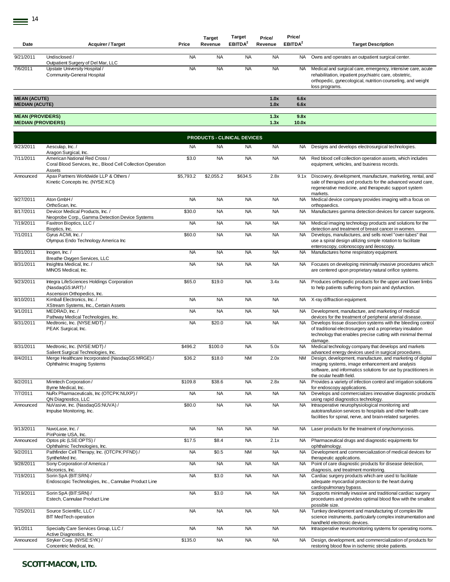| Date                                                 | <b>Acquirer / Target</b>                                                                               | Price     | <b>Target</b><br>Revenue           | Target<br>EBITDA <sup>2</sup> | Price/<br>Revenue | Price/<br>EBITDA <sup>2</sup> | <b>Target Description</b>                                                                                                                                                                                    |
|------------------------------------------------------|--------------------------------------------------------------------------------------------------------|-----------|------------------------------------|-------------------------------|-------------------|-------------------------------|--------------------------------------------------------------------------------------------------------------------------------------------------------------------------------------------------------------|
| 9/21/2011                                            | Undisclosed /<br>Outpatient Surgery of Del Mar, LLC                                                    | <b>NA</b> | <b>NA</b>                          | <b>NA</b>                     | <b>NA</b>         | NA.                           | Owns and operates an outpatient surgical center.                                                                                                                                                             |
| 7/6/2011                                             | Upstate University Hospital /<br>Community-General Hospital                                            | <b>NA</b> | <b>NA</b>                          | <b>NA</b>                     | <b>NA</b>         | <b>NA</b>                     | Medical and surgical care, emergency, intensive care, acute<br>rehabilitation, inpatient psychiatric care, obstetric,<br>orthopedic, gynecological, nutrition counseling, and weight<br>loss programs.       |
| <b>MEAN (ACUTE)</b><br><b>MEDIAN (ACUTE)</b>         |                                                                                                        |           |                                    |                               | 1.0x<br>1.0x      | 6.6x<br>6.6x                  |                                                                                                                                                                                                              |
| <b>MEAN (PROVIDERS)</b><br><b>MEDIAN (PROVIDERS)</b> |                                                                                                        |           |                                    |                               | 1.3x<br>1.3x      | 9.8x<br>10.0x                 |                                                                                                                                                                                                              |
|                                                      |                                                                                                        |           | <b>PRODUCTS - CLINICAL DEVICES</b> |                               |                   |                               |                                                                                                                                                                                                              |
| 9/23/2011                                            | Aesculap, Inc. /<br>Aragon Surgical, Inc.                                                              | <b>NA</b> | <b>NA</b>                          | <b>NA</b>                     | <b>NA</b>         | NA.                           | Designs and develops electrosurgical technologies.                                                                                                                                                           |
| 7/11/2011                                            | American National Red Cross /<br>Coral Blood Services, Inc., Blood Cell Collection Operation<br>Assets | \$3.0     | <b>NA</b>                          | <b>NA</b>                     | <b>NA</b>         | NA.                           | Red blood cell collection operation assets, which includes<br>equipment, vehicles, and business records.                                                                                                     |
| Announced                                            | Apax Partners Worldwide LLP & Others /<br>Kinetic Concepts Inc. (NYSE:KCI)                             | \$5,793.2 | \$2,055.2                          | \$634.5                       | 2.8x              | 9.1x                          | Discovery, development, manufacture, marketing, rental, and<br>sale of therapies and products for the advanced wound care,<br>regenerative medicine, and therapeutic support system<br>markets.              |
| 9/27/2011                                            | Aton GmbH /<br>OrthoScan, Inc.                                                                         | <b>NA</b> | <b>NA</b>                          | <b>NA</b>                     | <b>NA</b>         | <b>NA</b>                     | Medical device company provides imaging with a focus on<br>orthopaedics.                                                                                                                                     |
| 8/17/2011                                            | Devicor Medical Products. Inc. /<br>Neoprobe Corp., Gamma Detection Device Systems                     | \$30.0    | <b>NA</b>                          | <b>NA</b>                     | <b>NA</b>         | <b>NA</b>                     | Manufactures gamma detection devices for cancer surgeons.                                                                                                                                                    |
| 7/19/2011                                            | Faxitron Bioptics, LLC /<br>Bioptics, Inc.                                                             | <b>NA</b> | <b>NA</b>                          | <b>NA</b>                     | <b>NA</b>         | NA.                           | Medical imaging technology products and solutions for the<br>detection and treatment of breast cancer in women.                                                                                              |
| 7/1/2011                                             | Gyrus ACMI, Inc. /<br>Olympus Endo Technology America Inc                                              | \$60.0    | <b>NA</b>                          | <b>NA</b>                     | <b>NA</b>         | <b>NA</b>                     | Develops, manufactures, and sells novel "over-tubes" that<br>use a spiral design utilizing simple rotation to facilitate<br>enteroscopy, colonoscopy and ileoscopy.                                          |
| 8/31/2011                                            | Inogen, Inc. /<br>Breathe Oxygen Services, LLC                                                         | <b>NA</b> | <b>NA</b>                          | <b>NA</b>                     | <b>NA</b>         | <b>NA</b>                     | Manufactures home respiratory equipment.                                                                                                                                                                     |
| 8/31/2011                                            | Insightra Medical, Inc. /<br>MINOS Medical, Inc.                                                       | <b>NA</b> | <b>NA</b>                          | <b>NA</b>                     | <b>NA</b>         | <b>NA</b>                     | Focuses on developing minimally invasive procedures which<br>are centered upon proprietary natural orifice systems.                                                                                          |
| 9/23/2011                                            | Integra LifeSciences Holdings Corporation<br>(NasdaqGS:IART) /<br>Ascension Orthopedics, Inc.          | \$65.0    | \$19.0                             | <b>NA</b>                     | 3.4x              | NA                            | Produces orthopedic products for the upper and lower limbs<br>to help patients suffering from pain and dysfunction.                                                                                          |
| 8/10/2011                                            | Kimball Electronics, Inc. /<br>XStream Systems, Inc., Certain Assets                                   | <b>NA</b> | <b>NA</b>                          | <b>NA</b>                     | <b>NA</b>         | NA.                           | X-ray diffraction equipment.                                                                                                                                                                                 |
| 9/1/2011                                             | MEDRAD, Inc. /<br>Pathway Medical Technologies, Inc.                                                   | <b>NA</b> | <b>NA</b>                          | <b>NA</b>                     | <b>NA</b>         | <b>NA</b>                     | Development, manufacture, and marketing of medical<br>devices for the treatment of peripheral arterial disease.                                                                                              |
| 8/31/2011                                            | Medtronic, Inc. (NYSE:MDT) /<br>PEAK Surgical, Inc.                                                    | <b>NA</b> | \$20.0                             | <b>NA</b>                     | <b>NA</b>         | <b>NA</b>                     | Develops tissue dissection systems with the bleeding control<br>of traditional electrosurgery and a proprietary insulation<br>technology that enables precise cutting with minimal thermal<br>damage.        |
| 8/31/2011                                            | Medtronic, Inc. (NYSE:MDT) /<br>Salient Surgical Technologies, Inc.                                    | \$496.2   | \$100.0                            | <b>NA</b>                     | 5.0x              | <b>NA</b>                     | Medical technology company that develops and markets<br>advanced energy devices used in surgical procedures.                                                                                                 |
| 8/4/2011                                             | Merge Healthcare Incorporated (NasdaqGS:MRGE) /<br>Ophthalmic Imaging Systems                          | \$36.2    | \$18.0                             | <b>NM</b>                     | 2.0x              | <b>NM</b>                     | Design, development, manufacture, and marketing of digital<br>imaging systems, image enhancement and analysis<br>software, and informatics solutions for use by practitioners in<br>the ocular health field. |
| 8/2/2011                                             | Minntech Corporation /<br>Byrne Medical, Inc.                                                          | \$109.8   | \$38.6                             | <b>NA</b>                     | 2.8x              | <b>NA</b>                     | Provides a variety of infection control and irrigation solutions<br>for endoscopy applications.                                                                                                              |
| 7/7/2011                                             | NuRx Pharmaceuticals, Inc (OTCPK:NUXP) /<br>QN Diagnostics, LLC                                        | <b>NA</b> | <b>NA</b>                          | <b>NA</b>                     | <b>NA</b>         | <b>NA</b>                     | Develops and commercializes innovative diagnostic products<br>using rapid diagnostics technology.                                                                                                            |
| Announced                                            | NuVasive, Inc. (NasdaqGS:NUVA) /<br>Impulse Monitoring, Inc.                                           | \$80.0    | <b>NA</b>                          | <b>NA</b>                     | <b>NA</b>         | <b>NA</b>                     | Intraoperative neurophysiological monitoring and<br>autotransfusion services to hospitals and other health care<br>facilities for spinal, nerve, and brain-related surgeries.                                |
| 9/13/2011                                            | NuvoLase, Inc. /<br>PinPointe USA, Inc.                                                                | <b>NA</b> | <b>NA</b>                          | <b>NA</b>                     | <b>NA</b>         | NA.                           | Laser products for the treatment of onychomycosis.                                                                                                                                                           |
| Announced                                            | Optos plc (LSE:OPTS) /<br>Ophthalmic Technologies, Inc.                                                | \$17.5    | \$8.4                              | <b>NA</b>                     | 2.1x              | NA.                           | Pharmaceutical drugs and diagnostic equipments for<br>ophthalmology.                                                                                                                                         |
| 9/2/2011                                             | Pathfinder Cell Therapy, Inc. (OTCPK:PFND) /<br>SyntheMed Inc.                                         | <b>NA</b> | \$0.5                              | <b>NM</b>                     | <b>NA</b>         | <b>NA</b>                     | Development and commercialization of medical devices for<br>therapeutic applications.                                                                                                                        |
| 9/28/2011                                            | Sony Corporation of America /<br>Micronics, Inc.                                                       | <b>NA</b> | <b>NA</b>                          | <b>NA</b>                     | <b>NA</b>         | NA.                           | Point of care diagnostic products for disease detection,<br>diagnosis, and treatment monitoring.                                                                                                             |
| 7/19/2011                                            | Sorin SpA (BIT:SRN) /<br>Endoscopic Technologies, Inc., Cannulae Product Line                          | <b>NA</b> | \$3.0                              | <b>NA</b>                     | <b>NA</b>         | <b>NA</b>                     | Cardiac surgery products which are used to facilitate<br>adequate myocardial protection to the heart during<br>cardiopulmonary bypass.                                                                       |
| 7/19/2011                                            | Sorin SpA (BIT:SRN) /<br>Estech, Cannulae Product Line                                                 | <b>NA</b> | \$3.0                              | <b>NA</b>                     | <b>NA</b>         | <b>NA</b>                     | Supports minimally invasive and traditional cardiac surgery<br>procedures and provides optimal blood flow with the smallest<br>possible size.                                                                |
| 7/25/2011                                            | Source Scientific, LLC /<br><b>BIT MedTech operation</b>                                               | <b>NA</b> | <b>NA</b>                          | <b>NA</b>                     | <b>NA</b>         | <b>NA</b>                     | Turnkey development and manufacturing of complex life<br>science instruments, particularly complex instrumentation and<br>handheld electronic devices.                                                       |
| 9/1/2011                                             | Specialty Care Services Group, LLC /<br>Active Diagnostics, Inc.                                       | <b>NA</b> | <b>NA</b>                          | <b>NA</b>                     | <b>NA</b>         | <b>NA</b>                     | Intraoperative neuromonitoring systems for operating rooms.                                                                                                                                                  |
| Announced                                            | Stryker Corp. (NYSE:SYK) /<br>Concentric Medical, Inc.                                                 | \$135.0   | <b>NA</b>                          | <b>NA</b>                     | <b>NA</b>         | <b>NA</b>                     | Design, development, and commercialization of products for<br>restoring blood flow in ischemic stroke patients.                                                                                              |
|                                                      |                                                                                                        |           |                                    |                               |                   |                               |                                                                                                                                                                                                              |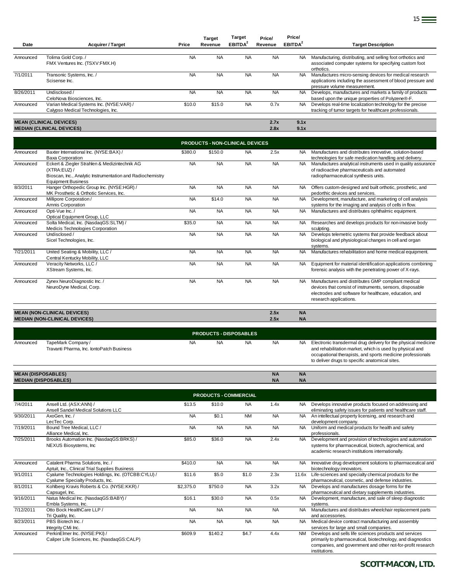| Date      | <b>Acquirer / Target</b>                 | Price     | <b>Target</b><br>Revenue | <b>Target</b><br>EBITDA <sup>2</sup> | Price/<br>Revenue | Price/<br>EBITDA <sup>2</sup> | <b>Target Description</b>                                   |
|-----------|------------------------------------------|-----------|--------------------------|--------------------------------------|-------------------|-------------------------------|-------------------------------------------------------------|
|           |                                          |           |                          |                                      |                   |                               |                                                             |
| Announced | Tolima Gold Corp./                       | <b>NA</b> | <b>NA</b>                | <b>NA</b>                            | <b>NA</b>         | NA.                           | Manufacturing, distributing, and selling foot orthotics and |
|           | FMX Ventures Inc. (TSXV:FMX.H)           |           |                          |                                      |                   |                               | associated computer systems for specifying custom foot      |
|           |                                          |           |                          |                                      |                   |                               | orthotics.                                                  |
| 7/1/2011  | Transonic Systems, Inc. /                | <b>NA</b> | <b>NA</b>                | <b>NA</b>                            | <b>NA</b>         | <b>NA</b>                     | Manufactures micro-sensing devices for medical research     |
|           | Scisense Inc.                            |           |                          |                                      |                   |                               | applications including the assessment of blood pressure and |
|           |                                          |           |                          |                                      |                   |                               | pressure volume measurement.                                |
| 8/26/2011 | Undisclosed /                            | <b>NA</b> | <b>NA</b>                | <b>NA</b>                            | <b>NA</b>         | NA.                           | Develops, manufactures and markets a family of products     |
|           | CeloNova Biosciences, Inc.               |           |                          |                                      |                   |                               | based upon the unique properties of Polyzene®-F.            |
| Announced | Varian Medical Systems Inc. (NYSE:VAR) / | \$10.0    | \$15.0                   | <b>NA</b>                            | 0.7x              | NA.                           | Develops real-time localization technology for the precise  |
|           | Calypso Medical Technologies, Inc.       |           |                          |                                      |                   |                               | tracking of tumor targets for healthcare professionals.     |
|           |                                          |           |                          |                                      |                   |                               |                                                             |
|           | <b>MEAN (CLINICAL DEVICES)</b>           |           |                          |                                      | 2.7x              | 9.1x                          |                                                             |
|           | <b>MEDIAN (CLINICAL DEVICES)</b>         |           |                          |                                      | 2.8x              | 9.1x                          |                                                             |

|           | <b>PRODUCTS - NON-CLINICAL DEVICES</b>                                                                                                                   |           |           |           |           |           |                                                                                                                                                                                                    |  |  |  |  |  |
|-----------|----------------------------------------------------------------------------------------------------------------------------------------------------------|-----------|-----------|-----------|-----------|-----------|----------------------------------------------------------------------------------------------------------------------------------------------------------------------------------------------------|--|--|--|--|--|
| Announced | Baxter International Inc. (NYSE:BAX) /<br><b>Baxa Corporation</b>                                                                                        | \$380.0   | \$150.0   | <b>NA</b> | 2.5x      | <b>NA</b> | Manufactures and distributes innovative, solution-based<br>technologies for safe medication handling and delivery.                                                                                 |  |  |  |  |  |
| Announced | Eckert & Ziegler Strahlen & Medizintechnik AG<br>(XTRA:EUZ) /<br>Bioscan, Inc., Analytic Instrumentation and Radiochemistry<br><b>Equipment Business</b> | <b>NA</b> | <b>NA</b> | <b>NA</b> | <b>NA</b> | <b>NA</b> | Manufactures analytical instruments used in quality assurance<br>of radioactive pharmaceuticals and automated<br>radiopharmaceutical synthesis units.                                              |  |  |  |  |  |
| 8/3/2011  | Hanger Orthopedic Group Inc. (NYSE:HGR) /<br>MK Prosthetic & Orthotic Services, Inc.                                                                     | <b>NA</b> | <b>NA</b> | <b>NA</b> | <b>NA</b> | <b>NA</b> | Offers custom-designed and built orthotic, prosthetic, and<br>pedorthic devices and services.                                                                                                      |  |  |  |  |  |
| Announced | Millipore Corporation /<br>Amnis Corporation                                                                                                             | <b>NA</b> | \$14.0    | <b>NA</b> | <b>NA</b> | NA.       | Development, manufacture, and marketing of cell analysis<br>systems for the imaging and analysis of cells in flow.                                                                                 |  |  |  |  |  |
| Announced | Opti-Vue Inc./<br>Optical Equipment Group, LLC                                                                                                           | <b>NA</b> | <b>NA</b> | <b>NA</b> | <b>NA</b> | <b>NA</b> | Manufactures and distributes ophthalmic equipment.                                                                                                                                                 |  |  |  |  |  |
| Announced | Solta Medical, Inc. (NasdaqGS:SLTM) /<br>Medicis Technologies Corporation                                                                                | \$35.0    | <b>NA</b> | <b>NA</b> | <b>NA</b> | <b>NA</b> | Researches and develops products for non-invasive body<br>sculpting.                                                                                                                               |  |  |  |  |  |
| Announced | Undisclosed /<br>Sicel Technologies, Inc.                                                                                                                | <b>NA</b> | <b>NA</b> | <b>NA</b> | <b>NA</b> | <b>NA</b> | Develops telemetric systems that provide feedback about<br>biological and physiological changes in cell and organ<br>systems.                                                                      |  |  |  |  |  |
| 7/21/2011 | United Seating & Mobility, LLC /<br>Central Kentucky Mobility, LLC                                                                                       | <b>NA</b> | <b>NA</b> | <b>NA</b> | <b>NA</b> | <b>NA</b> | Manufactures rehabilitation and home medical equipment.                                                                                                                                            |  |  |  |  |  |
| Announced | Veracity Networks, LLC /<br>XStream Systems, Inc.                                                                                                        | <b>NA</b> | <b>NA</b> | <b>NA</b> | <b>NA</b> | <b>NA</b> | Equipment for material identification applications combining<br>forensic analysis with the penetrating power of X-rays.                                                                            |  |  |  |  |  |
| Announced | Zynex NeuroDiagnostic Inc. /<br>NeuroDyne Medical, Corp.                                                                                                 | <b>NA</b> | <b>NA</b> | <b>NA</b> | <b>NA</b> | <b>NA</b> | Manufactures and distributes GMP compliant medical<br>devices that consist of instruments, sensors, disposable<br>electrodes and software for healthcare, education, and<br>research applications. |  |  |  |  |  |
|           | <b>MEAN (NON-CLINICAL DEVICES)</b>                                                                                                                       |           |           |           | 2.5x      | <b>NA</b> |                                                                                                                                                                                                    |  |  |  |  |  |

|           | <b>MEDIAN (NON-CLINICAL DEVICES)</b>      |           |                               |           | 2.5x      | <b>NA</b> |                              |
|-----------|-------------------------------------------|-----------|-------------------------------|-----------|-----------|-----------|------------------------------|
|           |                                           |           |                               |           |           |           |                              |
|           |                                           |           | <b>PRODUCTS - DISPOSABLES</b> |           |           |           |                              |
| Announced | TapeMark Company/                         | <b>NA</b> | <b>NA</b>                     | <b>NA</b> | <b>NA</b> | NA.       | Electronic transdermal drug  |
|           | Travanti Pharma, Inc. IontoPatch Business |           |                               |           |           |           | and rehabilitation market, w |

NA NA NA NA NA NA Electronic transdermal drug delivery for the physical medicine<br>and rehabilitation market, which is used by physical and<br>occupational therapists, and sports medicine professionals to deliver drugs to specific anatomical sites.

#### **MEAN (DISPOSABLES) NA NA MEDIAN (DISPOSABLES) NA NA**

|           |                                                                                        |           | <b>PRODUCTS - COMMERCIAL</b> |           |           |           |                                                                                                                                                                                                       |
|-----------|----------------------------------------------------------------------------------------|-----------|------------------------------|-----------|-----------|-----------|-------------------------------------------------------------------------------------------------------------------------------------------------------------------------------------------------------|
| 7/4/2011  | Ansell Ltd. (ASX:ANN) /<br>Ansell Sandel Medical Solutions LLC                         | \$13.5    | \$10.0                       | <b>NA</b> | 1.4x      | NA.       | Develops innovative products focused on addressing and<br>eliminating safety issues for patients and healthcare staff.                                                                                |
| 9/30/2011 | AxoGen. Inc. /<br>LecTec Corp.                                                         | <b>NA</b> | \$0.1                        | <b>NM</b> | <b>NA</b> | <b>NA</b> | An intellectual property licensing, and research and<br>development company.                                                                                                                          |
| 7/19/2011 | Bound Tree Medical, LLC /<br>Alliance Medical, Inc.                                    | <b>NA</b> | <b>NA</b>                    | <b>NA</b> | <b>NA</b> | NA.       | Uniform and medical products for health and safety<br>professionals.                                                                                                                                  |
| 7/25/2011 | Brooks Automation Inc. (NasdaqGS:BRKS) /<br>NEXUS Biosystems, Inc.                     | \$85.0    | \$36.0                       | <b>NA</b> | 2.4x      | <b>NA</b> | Development and provision of technologies and automation<br>systems for pharmaceutical, biotech, agrochemical, and<br>academic research institutions internationally.                                 |
| Announced | Catalent Pharma Solutions, Inc. /<br>Aptuit, Inc., Clinical Trial Supplies Business    | \$410.0   | <b>NA</b>                    | <b>NA</b> | <b>NA</b> | NA.       | Innovative drug development solutions to pharmaceutical and<br>biotechnology innovators.                                                                                                              |
| 9/1/2011  | Cyalume Technologies Holdings, Inc. (OTCBB:CYLU) /<br>Cyalume Specialty Products, Inc. | \$11.6    | \$5.0                        | \$1.0     | 2.3x      | 11.6x     | Life-sciences and specialty chemical products for the<br>pharmaceutical, cosmetic, and defense industries.                                                                                            |
| 8/1/2011  | Kohlberg Kravis Roberts & Co. (NYSE:KKR) /<br>Capsugel, Inc.                           | \$2,375.0 | \$750.0                      | <b>NA</b> | 3.2x      | NA.       | Develops and manufactures dosage forms for the<br>pharmaceutical and dietary supplements industries.                                                                                                  |
| 9/16/2011 | Natus Medical Inc. (NasdaqGS:BABY) /<br>Embla Systems, Inc.                            | \$16.1    | \$30.0                       | <b>NA</b> | 0.5x      | NA.       | Development, manufacture, and sale of sleep diagnostic<br>systems.                                                                                                                                    |
| 7/12/2011 | Otto Bock HealthCare LLP /<br>Tri Quality, Inc.                                        | <b>NA</b> | <b>NA</b>                    | <b>NA</b> | <b>NA</b> | <b>NA</b> | Manufactures and distributes wheelchair replacement parts<br>and accessories.                                                                                                                         |
| 8/23/2011 | PBS Biotech Inc. /<br>Integrity CMi Inc.                                               | <b>NA</b> | <b>NA</b>                    | <b>NA</b> | <b>NA</b> | <b>NA</b> | Medical device contract manufacturing and assembly<br>services for large and small companies.                                                                                                         |
| Announced | PerkinElmer Inc. (NYSE:PKI) /<br>Caliper Life Sciences, Inc. (NasdaqGS:CALP)           | \$609.9   | \$140.2                      | \$4.7     | 4.4x      | <b>NM</b> | Develops and sells life sciences products and services<br>primarily to pharmaceutical, biotechnology, and diagnostics<br>companies, and government and other not-for-profit research<br>institutions. |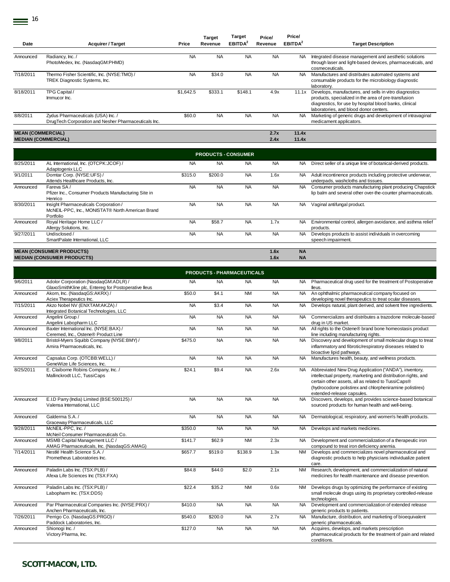|                          |                                                      |           | <b>Target</b> | <b>Target</b>             | Price/    | Price/              |                                                             |
|--------------------------|------------------------------------------------------|-----------|---------------|---------------------------|-----------|---------------------|-------------------------------------------------------------|
| Date                     | <b>Acquirer / Target</b>                             | Price     | Revenue       | <b>EBITDA<sup>2</sup></b> | Revenue   | EBITDA <sup>2</sup> | <b>Target Description</b>                                   |
|                          |                                                      |           |               |                           |           |                     |                                                             |
| Announced                | Radiancy, Inc./                                      | <b>NA</b> | <b>NA</b>     | <b>NA</b>                 | <b>NA</b> | NA.                 | Integrated disease management and aesthetic solutions       |
|                          | PhotoMedex, Inc. (NasdaqGM:PHMD)                     |           |               |                           |           |                     | through laser and light-based devices, pharmaceuticals, and |
|                          |                                                      |           |               |                           |           |                     | cosmeceuticals.                                             |
| 7/18/2011                | Thermo Fisher Scientific, Inc. (NYSE:TMO) /          | <b>NA</b> | \$34.0        | <b>NA</b>                 | <b>NA</b> | NA.                 | Manufactures and distributes automated systems and          |
|                          | TREK Diagnostic Systems, Inc.                        |           |               |                           |           |                     | consumable products for the microbiology diagnostic         |
|                          |                                                      |           |               |                           |           |                     | laboratory.                                                 |
| 8/18/2011                | TPG Capital /                                        | \$1.642.5 | \$333.1       | \$148.1                   | 4.9x      | 11.1x               | Develops, manufactures, and sells in vitro diagnostics      |
|                          | Immucor Inc.                                         |           |               |                           |           |                     | products, specialized in the area of pre-transfusion        |
|                          |                                                      |           |               |                           |           |                     | diagnostics, for use by hospital blood banks, clinical      |
|                          |                                                      |           |               |                           |           |                     | laboratories, and blood donor centers.                      |
| 8/8/2011                 | Zydus Pharmaceuticals (USA) Inc. /                   | \$60.0    | <b>NA</b>     | <b>NA</b>                 | <b>NA</b> | NA.                 | Marketing of generic drugs and development of intravaginal  |
|                          | DrugTech Corporation and Nesher Pharmaceuticals Inc. |           |               |                           |           |                     | medicament applicators.                                     |
|                          |                                                      |           |               |                           |           |                     |                                                             |
| <b>MEAN (COMMERCIAL)</b> |                                                      |           |               |                           | 2.7x      | 11.4x               |                                                             |
|                          | <b>MEDIAN (COMMERCIAL)</b>                           |           |               |                           | 2.4x      | 11.4x               |                                                             |

|           |                                                                                                        |           | <b>PRODUCTS - CONSUMER</b> |           |              |                        |                                                                                                                           |
|-----------|--------------------------------------------------------------------------------------------------------|-----------|----------------------------|-----------|--------------|------------------------|---------------------------------------------------------------------------------------------------------------------------|
| 8/25/2011 | AL International, Inc. (OTCPK:JCOF) /<br>Adaptogenix LLC                                               | <b>NA</b> | <b>NA</b>                  | <b>NA</b> | <b>NA</b>    | NA.                    | Direct seller of a unique line of botanical-derived products.                                                             |
| 9/1/2011  | Domtar Corp. (NYSE:UFS) /<br>Attends Healthcare Products, Inc.                                         | \$315.0   | \$200.0                    | <b>NA</b> | 1.6x         | NA.                    | Adult incontinence products including protective underwear,<br>underpads, washcloths and tissues.                         |
| Announced | Fareva SA/<br>Pfizer Inc., Consumer Products Manufacturing Site in<br>Henrico                          | <b>NA</b> | <b>NA</b>                  | <b>NA</b> | <b>NA</b>    | NA.                    | Consumer products manufacturing plant producing Chapstick<br>lip balm and several other over-the-counter pharmaceuticals. |
| 8/30/2011 | Insight Pharmaceuticals Corporation /<br>McNEIL-PPC, Inc., MONISTAT® North American Brand<br>Portfolio | <b>NA</b> | <b>NA</b>                  | <b>NA</b> | <b>NA</b>    | NA.                    | Vaginal antifungal product.                                                                                               |
| Announced | Royal Heritage Home LLC /<br>Allergy Solutions, Inc.                                                   | <b>NA</b> | \$58.7                     | <b>NA</b> | 1.7x         | NA.                    | Environmental control, allergen avoidance, and asthma relief<br>products.                                                 |
| 9/27/2011 | Undisclosed /<br>SmartPalate International, LLC                                                        | <b>NA</b> | <b>NA</b>                  | <b>NA</b> | <b>NA</b>    | NA.                    | Develops products to assist individuals in overcoming<br>speech impairment.                                               |
|           |                                                                                                        |           |                            |           |              |                        |                                                                                                                           |
|           | <b>MEAN (CONSUMER PRODUCTS)</b><br><b>MEDIAN (CONSUMER PRODUCTS)</b>                                   |           |                            |           | 1.6x<br>1.6x | <b>NA</b><br><b>NA</b> |                                                                                                                           |

|           |                                                                                              |           |           | <b>PRODUCTS - PHARMACEUTICALS</b> |           |           |                                                                                                                                                                                                                                                                        |
|-----------|----------------------------------------------------------------------------------------------|-----------|-----------|-----------------------------------|-----------|-----------|------------------------------------------------------------------------------------------------------------------------------------------------------------------------------------------------------------------------------------------------------------------------|
| 9/6/2011  | Adolor Corporation (NasdaqGM:ADLR) /<br>GlaxoSmithKline plc, Entereg for Postoperative lleus | <b>NA</b> | <b>NA</b> | <b>NA</b>                         | <b>NA</b> | <b>NA</b> | Pharmaceutical drug used for the treatment of Postoperative<br>lleus.                                                                                                                                                                                                  |
| Announced | Akorn, Inc. (NasdaqGS:AKRX) /<br>Aciex Therapeutics Inc.                                     | \$50.0    | \$4.1     | <b>NM</b>                         | <b>NA</b> | <b>NA</b> | An ophthalmic pharmaceutical company focused on<br>developing novel therapeutics to treat ocular diseases.                                                                                                                                                             |
| 7/15/2011 | Akzo Nobel NV (ENXTAM:AKZA) /<br>Integrated Botanical Technologies, LLC                      | <b>NA</b> | \$3.4     | <b>NA</b>                         | <b>NA</b> | <b>NA</b> | Develops natural, plant derived, and solvent free ingredients.                                                                                                                                                                                                         |
| Announced | Angelini Group /<br>Angelini Labopharm LLC                                                   | <b>NA</b> | <b>NA</b> | <b>NA</b>                         | <b>NA</b> | <b>NA</b> | Commercializes and distributes a trazodone molecule-based<br>drug in US market.                                                                                                                                                                                        |
| Announced | Baxter International Inc. (NYSE:BAX) /<br>Ceremed, Inc., Ostene® Product Line                | <b>NA</b> | <b>NA</b> | <b>NA</b>                         | <b>NA</b> |           | NA All rights to the Ostene® brand bone homeostasis product<br>line including manufacturing rights.                                                                                                                                                                    |
| 9/8/2011  | Bristol-Myers Squibb Company (NYSE:BMY) /<br>Amira Pharmaceuticals, Inc.                     | \$475.0   | <b>NA</b> | <b>NA</b>                         | <b>NA</b> | <b>NA</b> | Discovery and development of small molecular drugs to treat<br>inflammatory and fibrotic/respiratory diseases related to<br>bioactive lipid pathways.                                                                                                                  |
| Announced | Capsalus Corp. (OTCBB:WELL) /<br>GeneWize Life Sciences, Inc.                                | <b>NA</b> | <b>NA</b> | <b>NA</b>                         | <b>NA</b> | <b>NA</b> | Manufactures health, beauty, and wellness products.                                                                                                                                                                                                                    |
| 8/25/2011 | E. Claiborne Robins Company, Inc. /<br>Mallinckrodt LLC, TussiCaps                           | \$24.1    | \$9.4     | <b>NA</b>                         | 2.6x      | <b>NA</b> | Abbreviated New Drug Application ("ANDA"), inventory,<br>intellectual property, marketing and distribution rights, and<br>certain other assets, all as related to TussiCaps®<br>(hydrocodone polistirex and chlorpheniramine polistirex)<br>extended-release capsules. |
| Announced | E.I.D Parry (India) Limited (BSE:500125) /<br>Valensa International, LLC                     | <b>NA</b> | <b>NA</b> | <b>NA</b>                         | <b>NA</b> | <b>NA</b> | Discovers, develops, and provides science-based botanical<br>sourced products for human health and well-being.                                                                                                                                                         |
| Announced | Galderma S.A. /<br>Graceway Pharmaceuticals, LLC                                             | <b>NA</b> | <b>NA</b> | <b>NA</b>                         | <b>NA</b> | <b>NA</b> | Dermatological, respiratory, and women's health products.                                                                                                                                                                                                              |
| 9/28/2011 | McNEIL-PPC, Inc./<br>McNeil Consumer Pharmaceuticals Co.                                     | \$350.0   | <b>NA</b> | <b>NA</b>                         | <b>NA</b> | <b>NA</b> | Develops and markets medicines.                                                                                                                                                                                                                                        |
| Announced | MSMB Capital Management LLC /<br>AMAG Pharmaceuticals, Inc. (NasdaqGS:AMAG)                  | \$141.7   | \$62.9    | <b>NM</b>                         | 2.3x      | <b>NA</b> | Development and commercialization of a therapeutic iron<br>compound to treat iron deficiency anemia.                                                                                                                                                                   |
| 7/14/2011 | Nestlé Health Science S.A. /<br>Prometheus Laboratories Inc.                                 | \$657.7   | \$519.0   | \$138.9                           | 1.3x      | NM        | Develops and commercializes novel pharmaceutical and<br>diagnostic products to help physicians individualize patient<br>care.                                                                                                                                          |
| Announced | Paladin Labs Inc. (TSX:PLB) /<br>Afexa Life Sciences Inc (TSX:FXA)                           | \$84.8    | \$44.0    | \$2.0                             | 2.1x      | <b>NM</b> | Research, development, and commercialization of natural<br>medicines for health maintenance and disease prevention.                                                                                                                                                    |
| Announced | Paladin Labs Inc. (TSX:PLB) /<br>Labopharm Inc. (TSX:DDS)                                    | \$22.4    | \$35.2    | <b>NM</b>                         | 0.6x      | <b>NM</b> | Develops drugs by optimizing the performance of existing<br>small molecule drugs using its proprietary controlled-release<br>technologies.                                                                                                                             |
| Announced | Par Pharmaceutical Companies Inc. (NYSE:PRX) /<br>Anchen Pharmaceuticals, Inc.               | \$410.0   | <b>NA</b> | <b>NA</b>                         | <b>NA</b> | <b>NA</b> | Development and commercialization of extended release<br>generic products to patients.                                                                                                                                                                                 |
| 7/26/2011 | Perrigo Co. (NasdaqGS:PRGO) /<br>Paddock Laboratories, Inc.                                  | \$540.0   | \$200.0   | <b>NA</b>                         | 2.7x      | <b>NA</b> | Manufacture, distribution, and marketing of bioequivalent<br>generic pharmaceuticals.                                                                                                                                                                                  |
| Announced | Shionogi Inc./<br>Victory Pharma, Inc.                                                       | \$127.0   | <b>NA</b> | <b>NA</b>                         | <b>NA</b> | <b>NA</b> | Acquires, develops, and markets prescription<br>pharmaceutical products for the treatment of pain and related<br>conditions.                                                                                                                                           |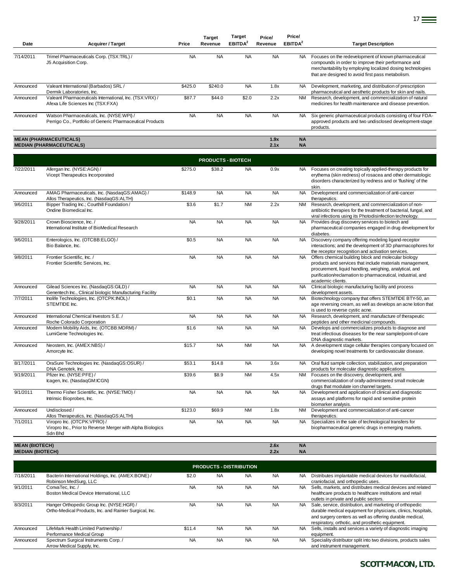| Date      | <b>Acquirer / Target</b>                                                                               | Price     | <b>Target</b><br>Revenue | <b>Target</b><br><b>EBITDA</b> <sup>2</sup> | Price/<br>Revenue | Price/<br><b>EBITDA</b> <sup>2</sup> | <b>Target Description</b>                                                                                                                                                                                                      |
|-----------|--------------------------------------------------------------------------------------------------------|-----------|--------------------------|---------------------------------------------|-------------------|--------------------------------------|--------------------------------------------------------------------------------------------------------------------------------------------------------------------------------------------------------------------------------|
| 7/14/2011 | Trimel Pharmaceuticals Corp. (TSX:TRL) /<br>J5 Acquisition Corp.                                       | <b>NA</b> | <b>NA</b>                | <b>NA</b>                                   | <b>NA</b>         | NA.                                  | Focuses on the redevelopment of known pharmaceutical<br>compounds in order to improve their performance and<br>merchantability by employing localized dosing technologies<br>that are designed to avoid first pass metabolism. |
| Announced | Valeant International (Barbados) SRL /<br>Dermik Laboratories, Inc.                                    | \$425.0   | \$240.0                  | <b>NA</b>                                   | 1.8x              | NA.                                  | Development, marketing, and distribution of prescription<br>pharmaceutical and aesthetic products for skin and nails.                                                                                                          |
| Announced | Valeant Pharmaceuticals International, Inc. (TSX:VRX) /<br>Afexa Life Sciences Inc (TSX:FXA)           | \$87.7    | \$44.0                   | \$2.0                                       | 2.2x              | <b>NM</b>                            | Research, development, and commercialization of natural<br>medicines for health maintenance and disease prevention.                                                                                                            |
| Announced | Watson Pharmaceuticals, Inc. (NYSE:WPI) /<br>Perrigo Co., Portfolio of Generic Pharmaceutical Products | <b>NA</b> | <b>NA</b>                | <b>NA</b>                                   | <b>NA</b>         | NA.                                  | Six generic pharmaceutical products consisting of four FDA-<br>approved products and two undisclosed development-stage<br>products.                                                                                            |

17 **17** 

#### **MEAN (PHARMACEUTICALS) 1.9x NA MEDIAN (PHARMACEUTICALS) 2.1x NA**

|                      |                                                                                                      |           | <b>PRODUCTS - BIOTECH</b> |           |           |           |                                                                                                                                                                                                                                                                 |
|----------------------|------------------------------------------------------------------------------------------------------|-----------|---------------------------|-----------|-----------|-----------|-----------------------------------------------------------------------------------------------------------------------------------------------------------------------------------------------------------------------------------------------------------------|
| 7/22/2011            | Allergan Inc. (NYSE:AGN) /<br>Vicept Therapeutics Incorporated                                       | \$275.0   | \$38.2                    | <b>NA</b> | 0.9x      | <b>NA</b> | Focuses on creating topically applied-therapy products for<br>erythema (skin redness) of rosacea and other dermatologic<br>disorders characterized by redness and or 'flushing' of the<br>skin.                                                                 |
| Announced            | AMAG Pharmaceuticals, Inc. (NasdaqGS:AMAG) /<br>Allos Therapeutics, Inc. (NasdaqGS:ALTH)             | \$148.9   | <b>NA</b>                 | <b>NA</b> | <b>NA</b> | <b>NA</b> | Development and commercialization of anti-cancer<br>therapeutics.                                                                                                                                                                                               |
| 9/6/2011             | Bipper Trading Inc.; Courthill Foundation /<br>Ondine Biomedical Inc.                                | \$3.6     | \$1.7                     | <b>NM</b> | 2.2x      | <b>NM</b> | Research, development, and commercialization of non-<br>antibiotic therapies for the treatment of bacterial, fungal, and<br>viral infections using its Photodisinfection technology.                                                                            |
| 9/28/2011            | Crown Bioscience, Inc. /<br>International Institute of BioMedical Research                           | <b>NA</b> | <b>NA</b>                 | <b>NA</b> | <b>NA</b> | <b>NA</b> | Provides drug discovery services to biotech and<br>pharmaceutical companies engaged in drug development for<br>diabetes.                                                                                                                                        |
| 9/6/2011             | Enterologics, Inc. (OTCBB:ELGO) /<br>Bio Balance, Inc.                                               | \$0.5     | <b>NA</b>                 | <b>NA</b> | <b>NA</b> | <b>NA</b> | Discovery company offering modeling ligand-receptor<br>interactions; and the development of 3D pharmacophores for<br>the receptor recognition and activation services.                                                                                          |
| 9/8/2011             | Frontier Scientific, Inc. /<br>Frontier Scientific Services, Inc.                                    | <b>NA</b> | <b>NA</b>                 | <b>NA</b> | <b>NA</b> | <b>NA</b> | Offers chemical building block and molecular biology<br>products and services that include materials management,<br>procurement, liquid handling, weighing, analytical, and<br>purification/reclamation to pharmaceutical, industrial, and<br>academic clients. |
| Announced            | Gilead Sciences Inc. (NasdaqGS:GILD) /<br>Genentech Inc., Clinical biologic Manufacturing Facility   | <b>NA</b> | <b>NA</b>                 | <b>NA</b> | <b>NA</b> | <b>NA</b> | Clinical biologic manufacturing facility and process<br>development assets.                                                                                                                                                                                     |
| 7/7/2011             | Inolife Technologies, Inc. (OTCPK:INOL) /<br>STEMTIDE Inc.                                           | \$0.1     | <b>NA</b>                 | <b>NA</b> | <b>NA</b> | <b>NA</b> | Biotechnology company that offers STEMTIDE BTY-50, an<br>age reversing cream, as well as develops an acne lotion that<br>is used to reverse cystic acne.                                                                                                        |
| Announced            | International Chemical Investors S.E./<br>Roche Colorado Corporation                                 | <b>NA</b> | <b>NA</b>                 | <b>NA</b> | <b>NA</b> | <b>NA</b> | Research, development, and manufacture of therapeutic<br>peptides and other medicinal compounds.                                                                                                                                                                |
| Announced            | Modern Mobility Aids, Inc. (OTCBB:MDRM) /<br>LumiGene Technologies Inc.                              | \$1.6     | <b>NA</b>                 | <b>NA</b> | <b>NA</b> | <b>NA</b> | Develops and commercializes products to diagnose and<br>treat infectious diseases for the near sample/point-of-care<br>DNA diagnostic markets.                                                                                                                  |
| Announced            | Neostem, Inc. (AMEX:NBS) /<br>Amorcyte Inc.                                                          | \$15.7    | <b>NA</b>                 | <b>NM</b> | <b>NA</b> | <b>NA</b> | A development stage cellular therapies company focused on<br>developing novel treatments for cardiovascular disease.                                                                                                                                            |
| 8/17/2011            | OraSure Technologies Inc. (NasdaqGS:OSUR) /<br>DNA Genotek, Inc.                                     | \$53.1    | \$14.8                    | <b>NA</b> | 3.6x      | <b>NA</b> | Oral fluid sample collection, stabilization, and preparation<br>products for molecular diagnostic applications.                                                                                                                                                 |
| 9/19/2011            | Pfizer Inc. (NYSE:PFE) /<br>Icagen, Inc. (NasdagGM:ICGN)                                             | \$39.6    | \$8.9                     | <b>NM</b> | 4.5x      | <b>NM</b> | Focuses on the discovery, development, and<br>commercialization of orally-administered small molecule<br>drugs that modulate ion channel targets.                                                                                                               |
| 9/1/2011             | Thermo Fisher Scientific, Inc. (NYSE:TMO) /<br>Intrinsic Bioprobes, Inc.                             | <b>NA</b> | <b>NA</b>                 | <b>NA</b> | <b>NA</b> | <b>NA</b> | Development and application of clinical and diagnostic<br>assays and platforms for rapid and sensitive protein<br>biomarker analysis.                                                                                                                           |
| Announced            | Undisclosed /<br>Allos Therapeutics, Inc. (NasdaqGS:ALTH)                                            | \$123.0   | \$69.9                    | <b>NM</b> | 1.8x      | <b>NM</b> | Development and commercialization of anti-cancer<br>therapeutics.                                                                                                                                                                                               |
| $\frac{1}{7}$ 1/2011 | Viropro Inc. (OTCPK:VPRO) /<br>Viropro Inc., Prior to Reverse Merger with Alpha Biologics<br>Sdn Bhd | <b>NA</b> | <b>NA</b>                 | <b>NA</b> | <b>NA</b> | <b>NA</b> | Specializes in the sale of technological transfers for<br>biopharmaceutical generic drugs in emerging markets.                                                                                                                                                  |

**MEAN (BIOTECH) 2.6x NA MEDIAN (BIOTECH) 2.2x NA**

|           | <b>PRODUCTS - DISTRIBUTION</b>                                                                       |           |           |           |           |           |                                                                                                                                                                                                                                           |  |  |  |  |  |
|-----------|------------------------------------------------------------------------------------------------------|-----------|-----------|-----------|-----------|-----------|-------------------------------------------------------------------------------------------------------------------------------------------------------------------------------------------------------------------------------------------|--|--|--|--|--|
| 7/18/2011 | Bacterin International Holdings, Inc. (AMEX:BONE) /<br>Robinson MedSurg, LLC                         | \$2.0     | <b>NA</b> | <b>NA</b> | <b>NA</b> | <b>NA</b> | Distributes implantable medical devices for maxillofacial,<br>craniofacial, and orthopedic uses.                                                                                                                                          |  |  |  |  |  |
| 9/1/2011  | ConvaTec. Inc. /<br>Boston Medical Device International, LLC                                         | <b>NA</b> | <b>NA</b> | <b>NA</b> | <b>NA</b> | NA.       | Sells, markets, and distributes medical devices and related<br>healthcare products to healthcare institutions and retail<br>outlets in private and public sectors.                                                                        |  |  |  |  |  |
| 8/3/2011  | Hanger Orthopedic Group Inc. (NYSE:HGR) /<br>Ortho-Medical Products, Inc. and Rainier Surgical, Inc. | <b>NA</b> | <b>NA</b> | <b>NA</b> | <b>NA</b> | NA.       | Sale, service, distribution, and marketing of orthopedic<br>durable medical equipment for physicians, clinics, hospitals,<br>and surgery centers as well as offering durable medical,<br>respiratory, orthotic, and prosthetic equipment. |  |  |  |  |  |
| Announced | LifeMark Health Limited Partnership /<br>Performance Medical Group                                   | \$11.4    | <b>NA</b> | <b>NA</b> | <b>NA</b> | <b>NA</b> | Sells, installs and services a variety of diagnostic imaging<br>equipment.                                                                                                                                                                |  |  |  |  |  |
| Announced | Spectrum Surgical Instruments Corp./<br>Arrow Medical Supply, Inc.                                   | <b>NA</b> | <b>NA</b> | <b>NA</b> | <b>NA</b> | <b>NA</b> | Speciality distributor split into two divisions, products sales<br>and instrument management.                                                                                                                                             |  |  |  |  |  |

*SCOTT-MACON, LTD.*

Ξ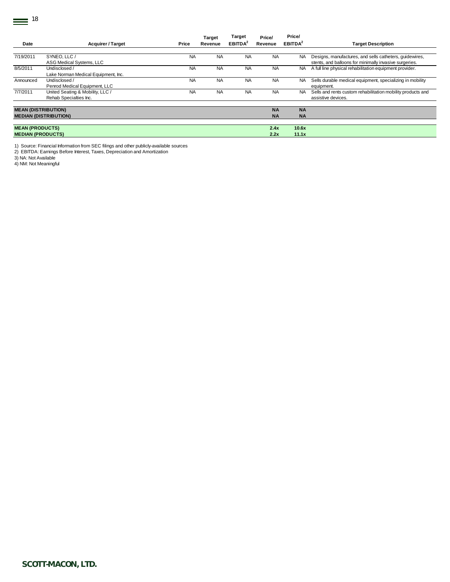|                            |                                     |           | <b>Target</b> | <b>Target</b>             | Price/    | Price/              |                                                             |
|----------------------------|-------------------------------------|-----------|---------------|---------------------------|-----------|---------------------|-------------------------------------------------------------|
| Date                       | <b>Acquirer / Target</b>            | Price     | Revenue       | <b>EBITDA<sup>2</sup></b> | Revenue   | EBITDA <sup>2</sup> | <b>Target Description</b>                                   |
|                            |                                     |           |               |                           |           |                     |                                                             |
| 7/19/2011                  | SYNEO. LLC /                        | <b>NA</b> | <b>NA</b>     | <b>NA</b>                 | <b>NA</b> | NA.                 | Designs, manufactures, and sells catheters, quidewires,     |
|                            | ASG Medical Systems, LLC            |           |               |                           |           |                     | stents, and balloons for minimally invasive surgeries.      |
| 8/5/2011                   | Undisclosed /                       | <b>NA</b> | <b>NA</b>     | <b>NA</b>                 | <b>NA</b> | NA.                 | A full line physical rehabilitation equipment provider.     |
|                            | Lake Norman Medical Equipment, Inc. |           |               |                           |           |                     |                                                             |
| Announced                  | Undisclosed /                       | <b>NA</b> | <b>NA</b>     | <b>NA</b>                 | <b>NA</b> | <b>NA</b>           | Sells durable medical equipment, specializing in mobility   |
|                            | Penrod Medical Equipment, LLC       |           |               |                           |           |                     | equipment.                                                  |
| 7/7/2011                   | United Seating & Mobility, LLC /    | <b>NA</b> | <b>NA</b>     | <b>NA</b>                 | <b>NA</b> | NA.                 | Sells and rents custom rehabilitation mobility products and |
|                            | Rehab Specialties Inc.              |           |               |                           |           |                     | assistive devices.                                          |
|                            |                                     |           |               |                           |           |                     |                                                             |
| <b>MEAN (DISTRIBUTION)</b> |                                     |           |               |                           | <b>NA</b> | <b>NA</b>           |                                                             |
|                            | <b>MEDIAN (DISTRIBUTION)</b>        |           |               |                           | <b>NA</b> | <b>NA</b>           |                                                             |
|                            |                                     |           |               |                           |           |                     |                                                             |
| <b>MEAN (PRODUCTS)</b>     |                                     |           |               |                           | 2.4x      | 10.6x               |                                                             |
| <b>MEDIAN (PRODUCTS)</b>   |                                     |           |               |                           | 2.2x      | 11.1x               |                                                             |

1) Source: Financial Information from SEC filings and other publicly-available sources

2) EBITDA: Earnings Before Interest, Taxes, Depreciation and Amortization 3) NA: Not Available

4) NM: Not Meaningful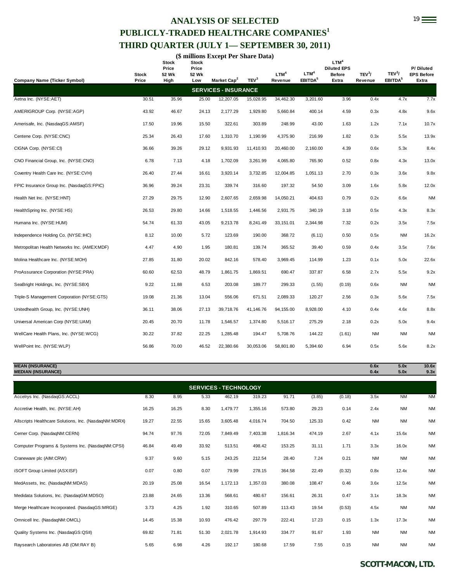## 19 **ANALYSIS OF SELECTED PUBLICLY-TRADED HEALTHCARE COMPANIES<sup>1</sup> THIRD QUARTER (JULY 1— SEPTEMBER 30, 2011)**

|  |  | (\$ millions Except Per Share Data) |
|--|--|-------------------------------------|
|--|--|-------------------------------------|

|                                                      | Stock<br>Price | <b>Stock</b><br>Price<br>52 Wk | <b>Stock</b><br>Price<br>52 Wk | Market Cap <sup>2</sup>     | TEV <sup>3</sup> | LTM <sup>4</sup><br>Revenue | LTM <sup>4</sup><br>EBITDA <sup>5</sup> | LTM <sup>4</sup><br><b>Diluted EPS</b><br><b>Before</b><br>Extra | TEV <sup>3</sup> /<br>Revenue | TEV <sup>3</sup> /<br>EBITDA <sup>5</sup> | P/Diluted<br><b>EPS Before</b><br>Extra |
|------------------------------------------------------|----------------|--------------------------------|--------------------------------|-----------------------------|------------------|-----------------------------|-----------------------------------------|------------------------------------------------------------------|-------------------------------|-------------------------------------------|-----------------------------------------|
| <b>Company Name (Ticker Symbol)</b>                  |                | High                           | Low                            | <b>SERVICES - INSURANCE</b> |                  |                             |                                         |                                                                  |                               |                                           |                                         |
| Aetna Inc. (NYSE:AET)                                | 30.51          | 35.96                          | 25.00                          | 12,207.05                   | 15,028.95        | 34,462.30                   | 3,201.60                                | 3.96                                                             | 0.4x                          | 4.7x                                      | 7.7x                                    |
| AMERIGROUP Corp. (NYSE:AGP)                          | 43.92          | 46.67                          | 24.13                          | 2,177.29                    | 1,929.80         | 5,660.84                    | 400.14                                  | 4.59                                                             | 0.3x                          | 4.8x                                      | 9.6x                                    |
| Amerisafe, Inc. (NasdaqGS:AMSF)                      | 17.50          | 19.96                          | 15.50                          | 322.61                      | 303.89           | 248.99                      | 43.00                                   | 1.63                                                             | 1.2x                          | 7.1x                                      | 10.7x                                   |
| Centene Corp. (NYSE:CNC)                             | 25.34          | 26.43                          | 17.60                          | 1,310.70                    | 1,190.99         | 4,375.90                    | 216.99                                  | 1.82                                                             | 0.3x                          | 5.5x                                      | 13.9x                                   |
| CIGNA Corp. (NYSE:CI)                                | 36.66          | 39.26                          | 29.12                          | 9,931.93                    | 11,410.93        | 20,460.00                   | 2,160.00                                | 4.39                                                             | 0.6x                          | 5.3x                                      | 8.4x                                    |
| CNO Financial Group, Inc. (NYSE:CNO)                 | 6.78           | 7.13                           | 4.18                           | 1,702.09                    | 3,261.99         | 4,065.80                    | 765.90                                  | 0.52                                                             | 0.8x                          | 4.3x                                      | 13.0x                                   |
| Coventry Health Care Inc. (NYSE:CVH)                 | 26.40          | 27.44                          | 16.61                          | 3,920.14                    | 3,732.85         | 12,004.85                   | 1,051.13                                | 2.70                                                             | 0.3x                          | 3.6x                                      | 9.8x                                    |
| FPIC Insurance Group Inc. (NasdaqGS:FPIC)            | 36.96          | 39.24                          | 23.31                          | 339.74                      | 316.60           | 197.32                      | 54.50                                   | 3.09                                                             | 1.6x                          | 5.8x                                      | 12.0x                                   |
| Health Net Inc. (NYSE:HNT)                           | 27.29          | 29.75                          | 12.90                          | 2,607.65                    | 2,659.98         | 14,050.21                   | 404.63                                  | 0.79                                                             | 0.2x                          | 6.6x                                      | <b>NM</b>                               |
| HealthSpring Inc. (NYSE:HS)                          | 26.53          | 29.80                          | 14.66                          | 1,518.55                    | 1,446.56         | 2,931.75                    | 340.19                                  | 3.18                                                             | 0.5x                          | 4.3x                                      | 8.3x                                    |
| Humana Inc. (NYSE:HUM)                               | 54.74          | 61.33                          | 43.05                          | 9,213.78                    | 8,241.49         | 33,151.01                   | 2,344.98                                | 7.32                                                             | 0.2x                          | 3.5x                                      | 7.5x                                    |
| Independence Holding Co. (NYSE:IHC)                  | 8.12           | 10.00                          | 5.72                           | 123.69                      | 190.00           | 368.72                      | (6.11)                                  | 0.50                                                             | 0.5x                          | <b>NM</b>                                 | 16.2x                                   |
| Metropolitan Health Networks Inc. (AMEX:MDF)         | 4.47           | 4.90                           | 1.95                           | 180.81                      | 139.74           | 365.52                      | 39.40                                   | 0.59                                                             | 0.4x                          | 3.5x                                      | 7.6x                                    |
| Molina Healthcare Inc. (NYSE:MOH)                    | 27.85          | 31.80                          | 20.02                          | 842.16                      | 578.40           | 3,969.45                    | 114.99                                  | 1.23                                                             | 0.1x                          | 5.0x                                      | 22.6x                                   |
| ProAssurance Corporation (NYSE:PRA)                  | 60.60          | 62.53                          | 48.79                          | 1,861.75                    | 1,869.51         | 690.47                      | 337.87                                  | 6.58                                                             | 2.7x                          | 5.5x                                      | 9.2x                                    |
| SeaBright Holdings, Inc. (NYSE:SBX)                  | 9.22           | 11.88                          | 6.53                           | 203.08                      | 189.77           | 299.33                      | (1.55)                                  | (0.19)                                                           | 0.6x                          | <b>NM</b>                                 | <b>NM</b>                               |
| Triple-S Management Corporation (NYSE:GTS)           | 19.08          | 21.36                          | 13.04                          | 556.06                      | 671.51           | 2,089.33                    | 120.27                                  | 2.56                                                             | 0.3x                          | 5.6x                                      | 7.5x                                    |
| Unitedhealth Group, Inc. (NYSE:UNH)                  | 36.11          | 38.06                          | 27.13                          | 39,718.76                   | 41,146.76        | 94,155.00                   | 8,928.00                                | 4.10                                                             | 0.4x                          | 4.6x                                      | 8.8x                                    |
| Universal American Corp (NYSE:UAM)                   | 20.45          | 20.70                          | 11.78                          | 1,546.57                    | 1,374.80         | 5,516.17                    | 275.29                                  | 2.18                                                             | 0.2x                          | 5.0x                                      | 9.4x                                    |
| WellCare Health Plans, Inc. (NYSE:WCG)               | 30.22          | 37.82                          | 22.25                          | 1,285.48                    | 194.47           | 5,708.76                    | 144.22                                  | (1.61)                                                           | <b>NM</b>                     | <b>NM</b>                                 | <b>NM</b>                               |
| WellPoint Inc. (NYSE:WLP)                            | 56.86          | 70.00                          | 46.52                          | 22,380.66                   | 30,053.06        | 58,801.80                   | 5,394.60                                | 6.94                                                             | 0.5x                          | 5.6x                                      | 8.2x                                    |
| <b>MEAN (INSURANCE)</b><br><b>MEDIAN (INSURANCE)</b> |                |                                |                                |                             |                  |                             |                                         |                                                                  | 0.6x<br>0.4x                  | 5.0x<br>5.0x                              | 10.6x<br>9.3x                           |

| <b>SERVICES - TECHNOLOGY</b>                          |       |       |       |          |          |          |        |        |           |           |           |  |  |
|-------------------------------------------------------|-------|-------|-------|----------|----------|----------|--------|--------|-----------|-----------|-----------|--|--|
| Accelrys Inc. (NasdaqGS:ACCL)                         | 8.30  | 8.95  | 5.33  | 462.19   | 319.23   | 91.71    | (3.85) | (0.18) | 3.5x      | <b>NM</b> | <b>NM</b> |  |  |
| Accretive Health, Inc. (NYSE:AH)                      | 16.25 | 16.25 | 8.30  | 1,479.77 | 1,355.16 | 573.80   | 29.23  | 0.14   | 2.4x      | NM        | <b>NM</b> |  |  |
| Allscripts Healthcare Solutions, Inc. (NasdaqNM:MDRX) | 19.27 | 22.55 | 15.65 | 3,605.48 | 4,016.74 | 704.50   | 125.33 | 0.42   | <b>NM</b> | <b>NM</b> | <b>NM</b> |  |  |
| Cerner Corp. (NasdaqNM:CERN)                          | 94.74 | 97.76 | 72.05 | 7,849.49 | 7,403.38 | 1,816.34 | 474.19 | 2.67   | 4.1x      | 15.6x     | <b>NM</b> |  |  |
| Computer Programs & Systems Inc. (NasdaqNM:CPSI)      | 46.84 | 49.49 | 33.92 | 513.51   | 498.42   | 153.25   | 31.11  | 1.71   | 3.3x      | 16.0x     | <b>NM</b> |  |  |
| Craneware plc (AIM:CRW)                               | 9.37  | 9.60  | 5.15  | 243.25   | 212.54   | 28.40    | 7.24   | 0.21   | <b>NM</b> | <b>NM</b> | <b>NM</b> |  |  |
| iSOFT Group Limited (ASXISF)                          | 0.07  | 0.80  | 0.07  | 79.99    | 278.15   | 364.58   | 22.49  | (0.32) | 0.8x      | 12.4x     | <b>NM</b> |  |  |
| MedAssets, Inc. (NasdaqNM:MDAS)                       | 20.19 | 25.08 | 16.54 | 1,172.13 | 1,357.03 | 380.08   | 108.47 | 0.46   | 3.6x      | 12.5x     | <b>NM</b> |  |  |
| Medidata Solutions, Inc. (NasdaqGM:MDSO)              | 23.88 | 24.65 | 13.36 | 568.61   | 480.67   | 156.61   | 26.31  | 0.47   | 3.1x      | 18.3x     | <b>NM</b> |  |  |
| Merge Healthcare Incorporated. (NasdagGS:MRGE)        | 3.73  | 4.25  | 1.92  | 310.65   | 507.89   | 113.43   | 19.54  | (0.53) | 4.5x      | <b>NM</b> | <b>NM</b> |  |  |
| Omnicell Inc. (NasdaqNM:OMCL)                         | 14.45 | 15.38 | 10.93 | 476.42   | 297.79   | 222.41   | 17.23  | 0.15   | 1.3x      | 17.3x     | <b>NM</b> |  |  |
| Quality Systems Inc. (NasdaqGS:QSII)                  | 69.82 | 71.81 | 51.30 | 2,021.78 | 1,914.93 | 334.77   | 91.67  | 1.93   | <b>NM</b> | NM        | <b>NM</b> |  |  |
| Raysearch Laboratories AB (OM:RAY B)                  | 5.65  | 6.98  | 4.26  | 192.17   | 180.68   | 17.59    | 7.55   | 0.15   | <b>NM</b> | <b>NM</b> | <b>NM</b> |  |  |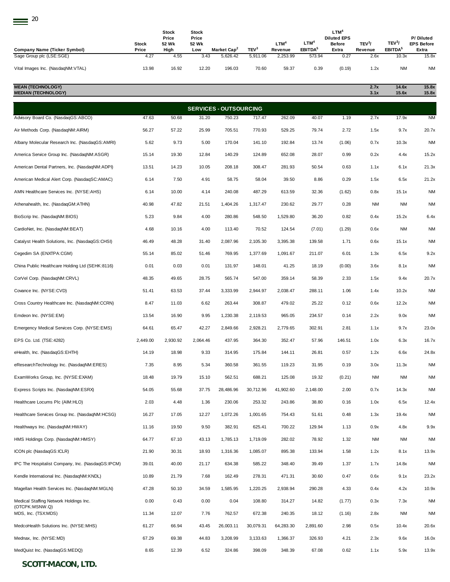| 20                                                              |               |                                |                         |                                     |                              |                     |                               |                                                         |                    |                              |                                |
|-----------------------------------------------------------------|---------------|--------------------------------|-------------------------|-------------------------------------|------------------------------|---------------------|-------------------------------|---------------------------------------------------------|--------------------|------------------------------|--------------------------------|
|                                                                 | Stock         | <b>Stock</b><br>Price<br>52 Wk | Stock<br>Price<br>52 Wk |                                     |                              | LTM <sup>4</sup>    | LTM <sup>4</sup>              | LTM <sup>4</sup><br><b>Diluted EPS</b><br><b>Before</b> | TEV <sup>3</sup> / | TEV <sup>3</sup> /           | P/Diluted<br><b>EPS Before</b> |
| <b>Company Name (Ticker Symbol)</b><br>Sage Group plc (LSE:SGE) | Price<br>4.27 | High<br>4.55                   | Low<br>3.43             | Market Cap <sup>2</sup><br>5,626.42 | TEV <sup>3</sup><br>5,911.06 | Revenue<br>2,253.99 | EBITDA <sup>5</sup><br>573.94 | Extra<br>0.27                                           | Revenue<br>2.6x    | EBITDA <sup>5</sup><br>10.3x | Extra<br>15.8x                 |
| Vital Images Inc. (NasdaqNM:VTAL)                               | 13.98         | 16.92                          | 12.20                   | 196.03                              | 70.60                        | 59.37               | 0.39                          | (0.19)                                                  | 1.2x               | <b>NM</b>                    | <b>NM</b>                      |
| <b>MEAN (TECHNOLOGY)</b><br><b>MEDIAN (TECHNOLOGY)</b>          |               |                                |                         |                                     |                              |                     |                               |                                                         | 2.7x<br>3.1x       | 14.6x<br>15.6x               | 15.8x<br>15.8x                 |
|                                                                 |               |                                |                         | <b>SERVICES - OUTSOURCING</b>       |                              |                     |                               |                                                         |                    |                              |                                |
| Advisory Board Co. (NasdaqGS:ABCO)                              | 47.63         | 50.68                          | 31.20                   | 750.23                              | 717.47                       | 262.09              | 40.07                         | 1.19                                                    | 2.7x               | 17.9x                        | <b>NM</b>                      |
| Air Methods Corp. (NasdaqNM:AIRM)                               | 56.27         | 57.22                          | 25.99                   | 705.51                              | 770.93                       | 529.25              | 79.74                         | 2.72                                                    | 1.5x               | 9.7x                         | 20.7x                          |
| Albany Molecular Research Inc. (NasdaqGS:AMRI)                  | 5.62          | 9.73                           | 5.00                    | 170.04                              | 141.10                       | 192.84              | 13.74                         | (1.06)                                                  | 0.7x               | 10.3x                        | <b>NM</b>                      |
| America Service Group Inc. (NasdaqNM:ASGR)                      | 15.14         | 19.30                          | 12.84                   | 140.29                              | 124.89                       | 652.08              | 28.07                         | 0.99                                                    | 0.2x               | 4.4x                         | 15.2x                          |
| American Dental Partners, Inc. (NasdaqNM:ADPI)                  | 13.51         | 14.23                          | 10.05                   | 208.18                              | 308.47                       | 281.93              | 50.54                         | 0.63                                                    | 1.1x               | 6.1x                         | 21.3x                          |
| American Medical Alert Corp. (NasdaqSC:AMAC)                    | 6.14          | 7.50                           | 4.91                    | 58.75                               | 58.04                        | 39.50               | 8.86                          | 0.29                                                    | 1.5x               | 6.5x                         | 21.2x                          |
| AMN Healthcare Services Inc. (NYSE:AHS)                         | 6.14          | 10.00                          | 4.14                    | 240.08                              | 487.29                       | 613.59              | 32.36                         | (1.62)                                                  | 0.8x               | 15.1x                        | <b>NM</b>                      |
| Athenahealth, Inc. (NasdaqGM:ATHN)                              | 40.98         | 47.82                          | 21.51                   | 1,404.26                            | 1,317.47                     | 230.62              | 29.77                         | 0.28                                                    | <b>NM</b>          | <b>NM</b>                    | <b>NM</b>                      |
| BioScrip Inc. (NasdaqNM:BIOS)                                   | 5.23          | 9.84                           | 4.00                    | 280.86                              | 548.50                       | 1,529.80            | 36.20                         | 0.82                                                    | 0.4x               | 15.2x                        | 6.4x                           |
| CardioNet, Inc. (NasdaqNM:BEAT)                                 | 4.68          | 10.16                          | 4.00                    | 113.40                              | 70.52                        | 124.54              | (7.01)                        | (1.29)                                                  | 0.6x               | NM                           | <b>NM</b>                      |
| Catalyst Health Solutions, Inc. (NasdaqGS:CHSI)                 | 46.49         | 48.28                          | 31.40                   | 2,087.96                            | 2,105.30                     | 3,395.38            | 139.58                        | 1.71                                                    | 0.6x               | 15.1x                        | <b>NM</b>                      |
| Cegedim SA (ENXTPA:CGM)                                         | 55.14         | 85.02                          | 51.46                   | 769.95                              | 1,377.69                     | 1,091.67            | 211.07                        | 6.01                                                    | 1.3x               | 6.5x                         | 9.2x                           |
| China Public Healthcare Holding Ltd (SEHK:8116)                 | 0.01          | 0.03                           | 0.01                    | 131.97                              | 148.01                       | 41.25               | 18.19                         | (0.00)                                                  | 3.6x               | 8.1x                         | <b>NM</b>                      |
| CorVel Corp. (NasdaqNM:CRVL)                                    | 48.35         | 49.65                          | 28.75                   | 565.74                              | 547.00                       | 359.14              | 58.39                         | 2.33                                                    | 1.5x               | 9.4x                         | 20.7x                          |
| Covance Inc. (NYSE:CVD)                                         | 51.41         | 63.53                          | 37.44                   | 3,333.99                            | 2,944.97                     | 2,038.47            | 288.11                        | 1.06                                                    | 1.4x               | 10.2x                        | <b>NM</b>                      |
| Cross Country Healthcare Inc. (NasdaqNM:CCRN)                   | 8.47          | 11.03                          | 6.62                    | 263.44                              | 308.87                       | 479.02              | 25.22                         | 0.12                                                    | 0.6x               | 12.2x                        | <b>NM</b>                      |
| Emdeon Inc. (NYSE:EM)                                           | 13.54         | 16.90                          | 9.95                    | 1,230.38                            | 2,119.53                     | 965.05              | 234.57                        | 0.14                                                    | 2.2x               | 9.0x                         | <b>NM</b>                      |
| Emergency Medical Services Corp. (NYSE:EMS)                     | 64.61         | 65.47                          | 42.27                   | 2,849.66                            | 2,928.21                     | 2,779.65            | 302.91                        | 2.81                                                    | 1.1x               | 9.7x                         | 23.0x                          |
| EPS Co. Ltd. (TSE:4282)                                         | 2,449.00      | 2.930.92                       | 2,064.46                | 437.95                              | 364.30                       | 352.47              | 57.96                         | 146.51                                                  | 1.0x               | 6.3x                         | 16.7x                          |
| eHealth, Inc. (NasdaqGS:EHTH)                                   | 14.19         | 18.98                          | 9.33                    | 314.95                              | 175.84                       | 144.11              | 26.81                         | 0.57                                                    | 1.2x               | 6.6x                         | 24.8x                          |
| eResearchTechnology Inc. (NasdaqNM:ERES)                        | 7.35          | 8.95                           | 5.34                    | 360.58                              | 361.55                       | 119.23              | 31.95                         | 0.19                                                    | 3.0x               | 11.3x                        | <b>NM</b>                      |
| ExamWorks Group, Inc. (NYSE:EXAM)                               | 18.48         | 19.79                          | 15.10                   | 562.51                              | 688.21                       | 125.08              | 19.32                         | (0.21)                                                  | <b>NM</b>          | <b>NM</b>                    | <b>NM</b>                      |
| Express Scripts Inc. (NasdaqNM:ESRX)                            | 54.05         | 55.68                          | 37.75                   | 28,486.96                           | 30,712.96                    | 41,902.60           | 2,148.00                      | 2.00                                                    | 0.7x               | 14.3x                        | <b>NM</b>                      |
| Healthcare Locums Plc (AIM:HLO)                                 | 2.03          | 4.48                           | 1.36                    | 230.06                              | 253.32                       | 243.86              | 38.80                         | 0.16                                                    | 1.0x               | 6.5x                         | 12.4x                          |
| Healthcare Services Group Inc. (NasdaqNM:HCSG)                  | 16.27         | 17.05                          | 12.27                   | 1,072.26                            | 1,001.65                     | 754.43              | 51.61                         | 0.48                                                    | 1.3x               | 19.4x                        | <b>NM</b>                      |
| Healthways Inc. (NasdaqNM:HWAY)                                 | 11.16         | 19.50                          | 9.50                    | 382.91                              | 625.41                       | 700.22              | 129.94                        | 1.13                                                    | 0.9x               | 4.8x                         | 9.9x                           |
| HMS Holdings Corp. (NasdaqNM:HMSY)                              | 64.77         | 67.10                          | 43.13                   | 1,785.13                            | 1,719.09                     | 282.02              | 78.92                         | 1.32                                                    | <b>NM</b>          | <b>NM</b>                    | <b>NM</b>                      |
| ICON plc (NasdaqGS:ICLR)                                        | 21.90         | 30.31                          | 18.93                   | 1,316.36                            | 1,085.07                     | 895.38              | 133.94                        | 1.58                                                    | 1.2x               | 8.1x                         | 13.9x                          |
| IPC The Hospitalist Company, Inc. (NasdaqGS:IPCM)               | 39.01         | 40.00                          | 21.17                   | 634.38                              | 585.22                       | 348.40              | 39.49                         | 1.37                                                    | 1.7x               | 14.8x                        | <b>NM</b>                      |
| Kendle International Inc. (NasdaqNM:KNDL)                       | 10.89         | 21.79                          | 7.68                    | 162.49                              | 278.31                       | 471.31              | 30.60                         | 0.47                                                    | 0.6x               | 9.1x                         | 23.2x                          |
| Magellan Health Services Inc. (NasdaqNM:MGLN)                   | 47.28         | 50.10                          | 34.59                   | 1,585.95                            | 1,220.25                     | 2,938.94            | 290.28                        | 4.33                                                    | 0.4x               | 4.2x                         | 10.9x                          |
| Medical Staffing Network Holdings Inc.                          | 0.00          | 0.43                           | 0.00                    | 0.04                                | 108.80                       | 314.27              | 14.82                         | (1.77)                                                  | 0.3x               | 7.3x                         | <b>NM</b>                      |
| (OTCPK:MSNW.Q)<br>MDS, Inc. (TSX:MDS)                           | 11.34         | 12.07                          | 7.76                    | 762.57                              | 672.38                       | 240.35              | 18.12                         | (1.16)                                                  | 2.8x               | NM                           | <b>NM</b>                      |
| MedcoHealth Solutions Inc. (NYSE:MHS)                           | 61.27         | 66.94                          | 43.45                   | 26,003.11                           | 30,079.31                    | 64,283.30           | 2,891.60                      | 2.98                                                    | 0.5x               | 10.4x                        | 20.6x                          |
| Mednax, Inc. (NYSE:MD)                                          | 67.29         | 69.38                          | 44.83                   | 3,208.99                            | 3,133.63                     | 1,366.37            | 326.93                        | 4.21                                                    | 2.3x               | 9.6x                         | 16.0x                          |
| MedQuist Inc. (NasdaqGS:MEDQ)                                   | 8.65          | 12.39                          | 6.52                    | 324.86                              | 398.09                       | 348.39              | 67.08                         | 0.62                                                    | 1.1x               | 5.9x                         | 13.9x                          |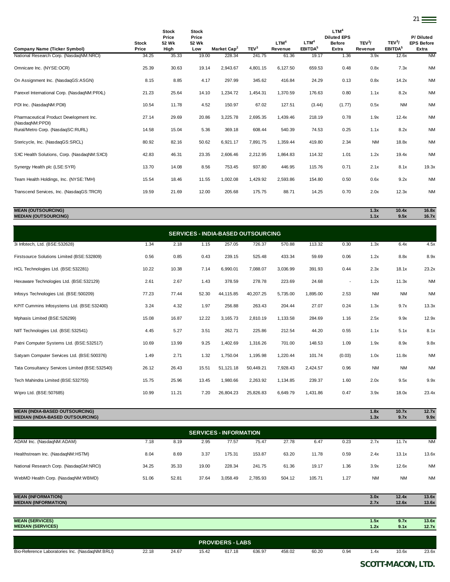|                                                            |                       | <b>Stock</b><br>Price | <b>Stock</b><br>Price |                         |                  |                             |                                         | LTM <sup>4</sup><br><b>Diluted EPS</b> |                               |                                           | P/Diluted                  |
|------------------------------------------------------------|-----------------------|-----------------------|-----------------------|-------------------------|------------------|-----------------------------|-----------------------------------------|----------------------------------------|-------------------------------|-------------------------------------------|----------------------------|
| <b>Company Name (Ticker Symbol)</b>                        | <b>Stock</b><br>Price | 52 Wk<br>High         | 52 Wk<br>Low          | Market Cap <sup>2</sup> | TEV <sup>3</sup> | LTM <sup>4</sup><br>Revenue | LTM <sup>4</sup><br>EBITDA <sup>5</sup> | <b>Before</b><br>Extra                 | TEV <sup>3</sup> /<br>Revenue | TEV <sup>3</sup> /<br>EBITDA <sup>5</sup> | <b>EPS Before</b><br>Extra |
| National Research Corp. (NasdaqNM:NRCI)                    | 34.25                 | 35.33                 | 19.00                 | 228.34                  | 241.75           | 61.36                       | 19.17                                   | 1.36                                   | 3.9x                          | 12.6x                                     | <b>NM</b>                  |
| Omnicare Inc. (NYSE:OCR)                                   | 25.39                 | 30.63                 | 19.14                 | 2,943.67                | 4,801.15         | 6,127.50                    | 659.53                                  | 0.48                                   | 0.8x                          | 7.3x                                      | <b>NM</b>                  |
| On Assignment Inc. (NasdaqGS:ASGN)                         | 8.15                  | 8.85                  | 4.17                  | 297.99                  | 345.62           | 416.84                      | 24.29                                   | 0.13                                   | 0.8x                          | 14.2x                                     | <b>NM</b>                  |
| Parexel International Corp. (NasdaqNM:PRXL)                | 21.23                 | 25.64                 | 14.10                 | 1,234.72                | 1,454.31         | 1,370.59                    | 176.63                                  | 0.80                                   | 1.1x                          | 8.2x                                      | <b>NM</b>                  |
| PDI Inc. (NasdaqNM:PDII)                                   | 10.54                 | 11.78                 | 4.52                  | 150.97                  | 67.02            | 127.51                      | (3.44)                                  | (1.77)                                 | 0.5x                          | <b>NM</b>                                 | <b>NM</b>                  |
| Pharmaceutical Product Development Inc.<br>(NasdagNM:PPDI) | 27.14                 | 29.69                 | 20.86                 | 3,225.78                | 2,695.35         | 1,439.46                    | 218.19                                  | 0.78                                   | 1.9x                          | 12.4x                                     | <b>NM</b>                  |
| Rural/Metro Corp. (NasdaqSC:RURL)                          | 14.58                 | 15.04                 | 5.36                  | 369.18                  | 608.44           | 540.39                      | 74.53                                   | 0.25                                   | 1.1x                          | 8.2x                                      | <b>NM</b>                  |
| Stericycle, Inc. (NasdaqGS:SRCL)                           | 80.92                 | 82.16                 | 50.62                 | 6,921.17                | 7,891.75         | 1,359.44                    | 419.80                                  | 2.34                                   | <b>NM</b>                     | 18.8x                                     | <b>NM</b>                  |
| SXC Health Solutions, Corp. (NasdaqNM:SXCI)                | 42.83                 | 46.31                 | 23.35                 | 2,606.46                | 2,212.95         | 1,864.83                    | 114.32                                  | 1.01                                   | 1.2x                          | 19.4x                                     | <b>NM</b>                  |
| Synergy Health plc (LSE:SYR)                               | 13.70                 | 14.08                 | 8.56                  | 753.45                  | 937.80           | 446.95                      | 115.76                                  | 0.71                                   | 2.1x                          | 8.1x                                      | 19.3x                      |
| Team Health Holdings, Inc. (NYSE:TMH)                      | 15.54                 | 18.46                 | 11.55                 | 1,002.08                | 1,429.92         | 2,593.86                    | 154.80                                  | 0.50                                   | 0.6x                          | 9.2x                                      | <b>NM</b>                  |
| Transcend Services, Inc. (NasdagGS:TRCR)                   | 19.59                 | 21.69                 | 12.00                 | 205.68                  | 175.75           | 88.71                       | 14.25                                   | 0.70                                   | 2.0x                          | 12.3x                                     | <b>NM</b>                  |

21

### **MEAN (OUTSOURCING) 1.3x 10.4x 16.8x MEDIAN (OUTSOURCING) 1.1x 9.5x 16.7x**

| <b>SERVICES - INDIA-BASED OUTSOURCING</b>      |       |       |       |           |           |          |          |                          |           |           |           |  |  |
|------------------------------------------------|-------|-------|-------|-----------|-----------|----------|----------|--------------------------|-----------|-----------|-----------|--|--|
| 3i Infotech, Ltd. (BSE:532628)                 | 1.34  | 2.18  | 1.15  | 257.05    | 726.37    | 570.88   | 113.32   | 0.30                     | 1.3x      | 6.4x      | 4.5x      |  |  |
| Firstsource Solutions Limited (BSE:532809)     | 0.56  | 0.85  | 0.43  | 239.15    | 525.48    | 433.34   | 59.69    | 0.06                     | 1.2x      | 8.8x      | 8.9x      |  |  |
| HCL Technologies Ltd. (BSE:532281)             | 10.22 | 10.38 | 7.14  | 6,990.01  | 7,088.07  | 3,036.99 | 391.93   | 0.44                     | 2.3x      | 18.1x     | 23.2x     |  |  |
| Hexaware Technologies Ltd. (BSE:532129)        | 2.61  | 2.67  | 1.43  | 378.59    | 278.78    | 223.69   | 24.68    | $\overline{\phantom{a}}$ | 1.2x      | 11.3x     | <b>NM</b> |  |  |
| Infosys Technologies Ltd. (BSE:500209)         | 77.23 | 77.44 | 52.30 | 44,115.85 | 40,207.25 | 5,735.00 | 1,895.00 | 2.53                     | <b>NM</b> | <b>NM</b> | <b>NM</b> |  |  |
| KPIT Cummins Infosystems Ltd. (BSE:532400)     | 3.24  | 4.32  | 1.97  | 256.88    | 263.43    | 204.44   | 27.07    | 0.24                     | 1.3x      | 9.7x      | 13.3x     |  |  |
| Mphasis Limited (BSE:526299)                   | 15.08 | 16.87 | 12.22 | 3,165.73  | 2,810.19  | 1,133.58 | 284.69   | 1.16                     | 2.5x      | 9.9x      | 12.9x     |  |  |
| NIIT Technologies Ltd. (BSE:532541)            | 4.45  | 5.27  | 3.51  | 262.71    | 225.86    | 212.54   | 44.20    | 0.55                     | 1.1x      | 5.1x      | 8.1x      |  |  |
| Patni Computer Systems Ltd. (BSE:532517)       | 10.69 | 13.99 | 9.25  | 1,402.69  | 1,316.26  | 701.00   | 148.53   | 1.09                     | 1.9x      | 8.9x      | 9.8x      |  |  |
| Satyam Computer Services Ltd. (BSE:500376)     | 1.49  | 2.71  | 1.32  | 1,750.04  | 1,195.98  | 1,220.44 | 101.74   | (0.03)                   | 1.0x      | 11.8x     | <b>NM</b> |  |  |
| Tata Consultancy Services Limited (BSE:532540) | 26.12 | 26.43 | 15.51 | 51,121.18 | 50,449.21 | 7,928.43 | 2,424.57 | 0.96                     | <b>NM</b> | <b>NM</b> | <b>NM</b> |  |  |
| Tech Mahindra Limited (BSE:532755)             | 15.75 | 25.96 | 13.45 | 1,980.66  | 2,263.92  | 1,134.85 | 239.37   | 1.60                     | 2.0x      | 9.5x      | 9.9x      |  |  |
| Wipro Ltd. (BSE:507685)                        | 10.99 | 11.21 | 7.20  | 26.804.23 | 25,826.83 | 6.649.79 | 1,431.86 | 0.47                     | 3.9x      | 18.0x     | 23.4x     |  |  |

# **MEAN (INDIA-BASED OUTSOURCING) 1.8x 10.7x 12.7x MEDIAN (INDIA-BASED OUTSOURCING) 1.3x 9.7x 9.9x**

| <b>SERVICES - INFORMATION</b>           |       |       |       |          |          |        |        |      |           |           |           |  |  |
|-----------------------------------------|-------|-------|-------|----------|----------|--------|--------|------|-----------|-----------|-----------|--|--|
| ADAM Inc. (NasdaqNM:ADAM)               | 7.18  | 8.19  | 2.95  | 77.57    | 75.47    | 27.78  | 6.47   | 0.23 | 2.7x      | 11.7x     | <b>NM</b> |  |  |
| Healthstream Inc. (NasdaqNM:HSTM)       | 8.04  | 8.69  | 3.37  | 175.31   | 153.87   | 63.20  | 11.78  | 0.59 | 2.4x      | 13.1x     | 13.6x     |  |  |
| National Research Corp. (NasdaqGM:NRCI) | 34.25 | 35.33 | 19.00 | 228.34   | 241.75   | 61.36  | 19.17  | 1.36 | 3.9x      | 12.6x     | <b>NM</b> |  |  |
| WebMD Health Corp. (NasdaqNM:WBMD)      | 51.06 | 52.81 | 37.64 | 3,058.49 | 2,785.93 | 504.12 | 105.71 | 1.27 | <b>NM</b> | <b>NM</b> | <b>NM</b> |  |  |
|                                         |       |       |       |          |          |        |        |      |           |           |           |  |  |
| <b>MEAN (INFORMATION)</b>               |       |       |       |          |          |        |        |      | 3.0x      | 12.4x     | 13.6x     |  |  |

| <b>MEDIAN (INFORMATION)</b>                     |       |       |       |                         |        |        |       |      | 2.7x | 12.6x | 13.6x |
|-------------------------------------------------|-------|-------|-------|-------------------------|--------|--------|-------|------|------|-------|-------|
|                                                 |       |       |       |                         |        |        |       |      |      |       |       |
| <b>MEAN (SERVICES)</b>                          |       |       |       |                         |        |        |       |      | 1.5x | 9.7x  | 13.6x |
| <b>MEDIAN (SERVICES)</b>                        |       |       |       |                         |        |        |       |      | 1.2x | 9.1x  | 12.7x |
|                                                 |       |       |       |                         |        |        |       |      |      |       |       |
|                                                 |       |       |       | <b>PROVIDERS - LABS</b> |        |        |       |      |      |       |       |
| Bio-Reference Laboratories Inc. (NasdaqNM:BRLI) | 22.18 | 24.67 | 15.42 | 617.18                  | 636.97 | 458.02 | 60.20 | 0.94 | 1.4x | 10.6x | 23.6x |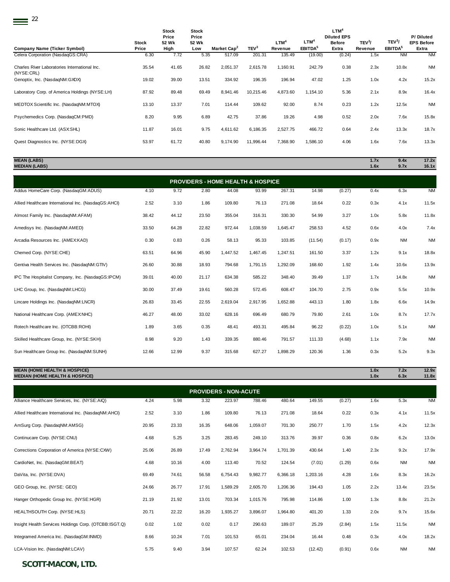$\equiv$ <sup>22</sup>

|                                                             |                       | <b>Stock</b><br>Price | <b>Stock</b><br>Price |                         |                  |                             |                                         | LTM <sup>4</sup><br><b>Diluted EPS</b> |                               |                                           | P/Diluted                  |
|-------------------------------------------------------------|-----------------------|-----------------------|-----------------------|-------------------------|------------------|-----------------------------|-----------------------------------------|----------------------------------------|-------------------------------|-------------------------------------------|----------------------------|
| <b>Company Name (Ticker Symbol)</b>                         | <b>Stock</b><br>Price | 52 Wk<br>High         | 52 Wk<br>Low          | Market Cap <sup>2</sup> | TEV <sup>3</sup> | LTM <sup>4</sup><br>Revenue | LTM <sup>4</sup><br>EBITDA <sup>5</sup> | <b>Before</b><br>Extra                 | TEV <sup>3</sup> /<br>Revenue | TEV <sup>3</sup> /<br>EBITDA <sup>5</sup> | <b>EPS Before</b><br>Extra |
| Celera Corporation (NasdaqGS:CRA)                           | 6.30                  | 7.72                  | 5.35                  | 517.09                  | 201.31           | 135.49                      | (19.00)                                 | (0.24)                                 | 1.5x                          | <b>NM</b>                                 | <b>NM</b>                  |
| Charles River Laboratories International Inc.<br>(NYSE:CRL) | 35.54                 | 41.65                 | 26.82                 | 2,051.37                | 2,615.78         | 1,160.91                    | 242.79                                  | 0.38                                   | 2.3x                          | 10.8x                                     | <b>NM</b>                  |
| Genoptix, Inc. (NasdaqNM:GXDX)                              | 19.02                 | 39.00                 | 13.51                 | 334.92                  | 196.35           | 196.94                      | 47.02                                   | 1.25                                   | 1.0x                          | 4.2x                                      | 15.2x                      |
| Laboratory Corp. of America Holdings (NYSE:LH)              | 87.92                 | 89.48                 | 69.49                 | 8,941.46                | 10,215.46        | 4,873.60                    | 1,154.10                                | 5.36                                   | 2.1x                          | 8.9x                                      | 16.4x                      |
| MEDTOX Scientific Inc. (NasdaqNM:MTOX)                      | 13.10                 | 13.37                 | 7.01                  | 114.44                  | 109.62           | 92.00                       | 8.74                                    | 0.23                                   | 1.2x                          | 12.5x                                     | <b>NM</b>                  |
| Psychemedics Corp. (NasdaqCM:PMD)                           | 8.20                  | 9.95                  | 6.89                  | 42.75                   | 37.86            | 19.26                       | 4.98                                    | 0.52                                   | 2.0x                          | 7.6x                                      | 15.8x                      |
| Sonic Healthcare Ltd. (ASX:SHL)                             | 11.87                 | 16.01                 | 9.75                  | 4,611.62                | 6,186.35         | 2,527.75                    | 466.72                                  | 0.64                                   | 2.4x                          | 13.3x                                     | 18.7x                      |
| Quest Diagnostics Inc. (NYSE:DGX)                           | 53.97                 | 61.72                 | 40.80                 | 9,174.90                | 11,996.44        | 7,368.90                    | 1,586.10                                | 4.06                                   | 1.6x                          | 7.6x                                      | 13.3x                      |
|                                                             |                       |                       |                       |                         |                  |                             |                                         |                                        |                               |                                           |                            |

**MEAN (LABS) 1.7x 9.4x 17.2x MEDIAN (LABS) 1.6x 9.7x 16.1x**

| <b>PROVIDERS - HOME HEALTH &amp; HOSPICE</b>         |       |       |       |          |          |          |         |        |      |           |           |  |  |  |
|------------------------------------------------------|-------|-------|-------|----------|----------|----------|---------|--------|------|-----------|-----------|--|--|--|
| Addus HomeCare Corp. (NasdaqGM:ADUS)                 | 4.10  | 9.72  | 2.80  | 44.08    | 93.99    | 267.31   | 14.98   | (0.27) | 0.4x | 6.3x      | <b>NM</b> |  |  |  |
| Allied Healthcare International Inc. (NasdaqGS:AHCI) | 2.52  | 3.10  | 1.86  | 109.80   | 76.13    | 271.08   | 18.64   | 0.22   | 0.3x | 4.1x      | 11.5x     |  |  |  |
| Almost Family Inc. (NasdaqNM:AFAM)                   | 38.42 | 44.12 | 23.50 | 355.04   | 316.31   | 330.30   | 54.99   | 3.27   | 1.0x | 5.8x      | 11.8x     |  |  |  |
| Amedisys Inc. (NasdaqNM:AMED)                        | 33.50 | 64.28 | 22.82 | 972.44   | 1,038.59 | 1,645.47 | 258.53  | 4.52   | 0.6x | 4.0x      | 7.4x      |  |  |  |
| Arcadia Resources Inc. (AMEX:KAD)                    | 0.30  | 0.83  | 0.26  | 58.13    | 95.33    | 103.85   | (11.54) | (0.17) | 0.9x | <b>NM</b> | <b>NM</b> |  |  |  |
| Chemed Corp. (NYSE:CHE)                              | 63.51 | 64.96 | 45.90 | 1,447.52 | 1,467.45 | 1,247.51 | 161.50  | 3.37   | 1.2x | 9.1x      | 18.8x     |  |  |  |
| Gentiva Health Services Inc. (NasdaqNM:GTIV)         | 26.60 | 30.88 | 18.93 | 794.68   | 1,791.15 | 1,292.09 | 168.60  | 1.92   | 1.4x | 10.6x     | 13.9x     |  |  |  |
| IPC The Hospitalist Company, Inc. (NasdaqGS:IPCM)    | 39.01 | 40.00 | 21.17 | 634.38   | 585.22   | 348.40   | 39.49   | 1.37   | 1.7x | 14.8x     | <b>NM</b> |  |  |  |
| LHC Group, Inc. (NasdaqNM:LHCG)                      | 30.00 | 37.49 | 19.61 | 560.28   | 572.45   | 608.47   | 104.70  | 2.75   | 0.9x | 5.5x      | 10.9x     |  |  |  |
| Lincare Holdings Inc. (NasdaqNM:LNCR)                | 26.83 | 33.45 | 22.55 | 2,619.04 | 2,917.95 | 1,652.88 | 443.13  | 1.80   | 1.8x | 6.6x      | 14.9x     |  |  |  |
| National Healthcare Corp. (AMEX:NHC)                 | 46.27 | 48.00 | 33.02 | 628.16   | 696.49   | 680.79   | 79.80   | 2.61   | 1.0x | 8.7x      | 17.7x     |  |  |  |
| Rotech Healthcare Inc. (OTCBB:ROHI)                  | 1.89  | 3.65  | 0.35  | 48.41    | 493.31   | 495.84   | 96.22   | (0.22) | 1.0x | 5.1x      | <b>NM</b> |  |  |  |
| Skilled Healthcare Group, Inc. (NYSE:SKH)            | 8.98  | 9.20  | 1.43  | 339.35   | 880.46   | 791.57   | 111.33  | (4.68) | 1.1x | 7.9x      | <b>NM</b> |  |  |  |
| Sun Healthcare Group Inc. (NasdaqNM:SUNH)            | 12.66 | 12.99 | 9.37  | 315.68   | 627.27   | 1,898.29 | 120.36  | 1.36   | 0.3x | 5.2x      | 9.3x      |  |  |  |
|                                                      |       |       |       |          |          |          |         |        |      |           |           |  |  |  |

**MEAN (HOME HEALTH & HOSPICE) 1.0x 7.2x 12.9x MEDIAN (HOME HEALTH & HOSPICE) 1.0x 6.3x 11.8x**

| <b>PROVIDERS - NON-ACUTE</b>                          |       |       |       |          |          |          |          |        |      |           |           |  |  |  |
|-------------------------------------------------------|-------|-------|-------|----------|----------|----------|----------|--------|------|-----------|-----------|--|--|--|
| Alliance Healthcare Services, Inc. (NYSE:AIQ)         | 4.24  | 5.98  | 3.32  | 223.97   | 788.46   | 480.64   | 149.55   | (0.27) | 1.6x | 5.3x      | <b>NM</b> |  |  |  |
| Allied Healthcare International Inc. (NasdaqNM:AHCI)  | 2.52  | 3.10  | 1.86  | 109.80   | 76.13    | 271.08   | 18.64    | 0.22   | 0.3x | 4.1x      | 11.5x     |  |  |  |
| AmSurg Corp. (NasdaqNM:AMSG)                          | 20.95 | 23.33 | 16.35 | 648.06   | 1,059.07 | 701.30   | 250.77   | 1.70   | 1.5x | 4.2x      | 12.3x     |  |  |  |
| Continucare Corp. (NYSE:CNU)                          | 4.68  | 5.25  | 3.25  | 283.45   | 249.10   | 313.76   | 39.97    | 0.36   | 0.8x | 6.2x      | 13.0x     |  |  |  |
| Corrections Corporation of America (NYSE:CXW)         | 25.06 | 26.89 | 17.49 | 2,762.94 | 3,964.74 | 1,701.39 | 430.64   | 1.40   | 2.3x | 9.2x      | 17.9x     |  |  |  |
| CardioNet, Inc. (NasdaqGM:BEAT)                       | 4.68  | 10.16 | 4.00  | 113.40   | 70.52    | 124.54   | (7.01)   | (1.29) | 0.6x | <b>NM</b> | <b>NM</b> |  |  |  |
| DaVita, Inc. (NYSE:DVA)                               | 69.49 | 74.61 | 56.58 | 6,754.43 | 9,982.77 | 6,366.18 | 1,203.16 | 4.28   | 1.6x | 8.3x      | 16.2x     |  |  |  |
| GEO Group, Inc. (NYSE: GEO)                           | 24.66 | 26.77 | 17.91 | 1,589.29 | 2,605.70 | 1,206.36 | 194.43   | 1.05   | 2.2x | 13.4x     | 23.5x     |  |  |  |
| Hanger Orthopedic Group Inc. (NYSE:HGR)               | 21.19 | 21.92 | 13.01 | 703.34   | 1,015.76 | 795.98   | 114.86   | 1.00   | 1.3x | 8.8x      | 21.2x     |  |  |  |
| HEALTHSOUTH Corp. (NYSE:HLS)                          | 20.71 | 22.22 | 16.20 | 1,935.27 | 3,896.07 | 1,964.80 | 401.20   | 1.33   | 2.0x | 9.7x      | 15.6x     |  |  |  |
| Insight Health Services Holdings Corp. (OTCBB:ISGT.Q) | 0.02  | 1.02  | 0.02  | 0.17     | 290.63   | 189.07   | 25.29    | (2.84) | 1.5x | 11.5x     | <b>NM</b> |  |  |  |
| Integramed America Inc. (NasdagGM:INMD)               | 8.66  | 10.24 | 7.01  | 101.53   | 65.01    | 234.04   | 16.44    | 0.48   | 0.3x | 4.0x      | 18.2x     |  |  |  |
| LCA-Vision Inc. (NasdaqNM:LCAV)                       | 5.75  | 9.40  | 3.94  | 107.57   | 62.24    | 102.53   | (12.42)  | (0.91) | 0.6x | <b>NM</b> | <b>NM</b> |  |  |  |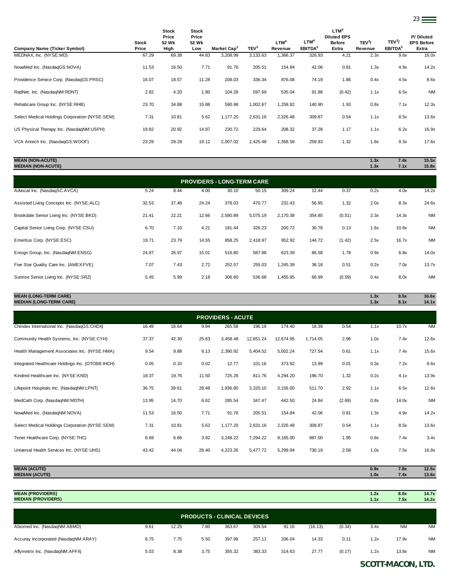| <b>Company Name (Ticker Symbol)</b>            | <b>Stock</b><br>Price | <b>Stock</b><br>Price<br>52 Wk<br>High | <b>Stock</b><br>Price<br>52 Wk<br>Low | Market Cap <sup>2</sup> | TEV <sup>3</sup> | LTM <sup>4</sup><br>Revenue | LTM <sup>4</sup><br>EBITDA <sup>5</sup> | LTM <sup>4</sup><br><b>Diluted EPS</b><br><b>Before</b><br>Extra | TEV <sup>3</sup> /<br>Revenue | TEV <sup>3</sup> /<br>EBITDA <sup>5</sup> | P/Diluted<br><b>EPS Before</b><br>Extra |
|------------------------------------------------|-----------------------|----------------------------------------|---------------------------------------|-------------------------|------------------|-----------------------------|-----------------------------------------|------------------------------------------------------------------|-------------------------------|-------------------------------------------|-----------------------------------------|
| MEDNAX Inc. (NYSE:MD)                          | 67.29                 | 69.38                                  | 44.83                                 | 3,208.99                | 3,133.63         | 1,366.37                    | 326.93                                  | 4.21                                                             | 2.3x                          | 9.6x                                      | 16.0x                                   |
| NovaMed Inc. (NasdaqGS:NOVA)                   | 11.53                 | 16.50                                  | 7.71                                  | 91.76                   | 205.51           | 154.84                      | 42.06                                   | 0.81                                                             | 1.3x                          | 4.9x                                      | 14.2x                                   |
| Providence Service Corp. (NasdaqGS:PRSC)       | 16.07                 | 18.57                                  | 11.28                                 | 208.03                  | 336.34           | 876.08                      | 74.19                                   | 1.86                                                             | 0.4x                          | 4.5x                                      | 8.6x                                    |
| RadNet, Inc. (NasdaqNM:RDNT)                   | 2.82                  | 4.20                                   | 1.80                                  | 104.28                  | 597.69           | 535.04                      | 91.88                                   | (0.42)                                                           | 1.1x                          | 6.5x                                      | <b>NM</b>                               |
| Rehabcare Group Inc. (NYSE:RHB)                | 23.70                 | 34.88                                  | 15.88                                 | 590.98                  | 1,002.67         | 1,258.82                    | 140.90                                  | 1.93                                                             | 0.8x                          | 7.1x                                      | 12.3x                                   |
| Select Medical Holdings Corporation (NYSE:SEM) | 7.31                  | 10.81                                  | 5.62                                  | 1,177.20                | 2,631.16         | 2,326.48                    | 309.87                                  | 0.54                                                             | 1.1x                          | 8.5x                                      | 13.6x                                   |
| US Physical Therapy Inc. (NasdaqNM:USPH)       | 19.82                 | 20.92                                  | 14.97                                 | 230.72                  | 229.64           | 208.32                      | 37.28                                   | 1.17                                                             | 1.1x                          | 6.2x                                      | 16.9x                                   |
| VCA Antech Inc. (NasdagGS:WOOF)                | 23.29                 | 29.28                                  | 19.12                                 | 2,007.02                | 2,425.48         | 1,358.58                    | 259.93                                  | 1.32                                                             | 1.8x                          | 9.3x                                      | 17.6x                                   |
|                                                |                       |                                        |                                       |                         |                  |                             |                                         |                                                                  |                               |                                           |                                         |

**MEAN (NON-ACUTE) 1.3x 7.4x 15.5x MEDIAN (NON-ACUTE) 1.3x 7.1x 15.8x**

|                                          |       |       |       | <b>PROVIDERS - LONG-TERM CARE</b> |          |          |        |        |      |       |           |
|------------------------------------------|-------|-------|-------|-----------------------------------|----------|----------|--------|--------|------|-------|-----------|
| Advocat Inc. (NasdagSC:AVCA)             | 5.24  | 8.44  | 4.00  | 30.10                             | 50.15    | 309.24   | 12.44  | 0.37   | 0.2x | 4.0x  | 14.2x     |
| Assisted Living Concepts Inc. (NYSE:ALC) | 32.53 | 37.48 | 24.24 | 378.03                            | 470.77   | 232.43   | 56.85  | 1.32   | 2.0x | 8.3x  | 24.6x     |
| Brookdale Senior Living Inc. (NYSE:BKD)  | 21.41 | 22.21 | 12.66 | 2,580.89                          | 5,075.19 | 2.170.38 | 354.85 | (0.51) | 2.3x | 14.3x | <b>NM</b> |
| Capital Senior Living Corp. (NYSE:CSU)   | 6.70  | 7.10  | 4.21  | 181.44                            | 326.23   | 200.72   | 30.78  | 0.13   | 1.6x | 10.6x | <b>NM</b> |
| Emeritus Corp. (NYSE:ESC)                | 19.71 | 23.79 | 14.55 | 858.25                            | 2,418.97 | 952.92   | 144.72 | (1.42) | 2.5x | 16.7x | <b>NM</b> |
| Ensign Group, Inc. (NasdaqNM:ENSG)       | 24.87 | 26.97 | 15.01 | 516.80                            | 587.88   | 623.39   | 86.58  | 1.78   | 0.9x | 6.8x  | 14.0x     |
|                                          |       |       |       |                                   |          |          |        |        |      |       |           |

Five Star Quality Care Inc. (AMEX:FVE) 7.07 7.43 2.72 252.57 255.03 1,245.39 36.18 0.51 0.2x 7.0x 13.7x Sunrise Senior Living Inc. (NYSE:SRZ) 5.45 5.99 2.18 306.60 536.68 1,455.95 66.99 (0.59) 0.4x 8.0x NM

### **MEAN (LONG-TERM CARE) 1.3x 9.5x 16.6x MEDIAN (LONG-TERM CARE) 1.3x 8.1x 14.1x**

| <b>PROVIDERS - ACUTE</b>                         |       |       |       |          |           |           |          |        |      |       |           |  |  |
|--------------------------------------------------|-------|-------|-------|----------|-----------|-----------|----------|--------|------|-------|-----------|--|--|
| Chindex International Inc. (NasdaqGS:CHDX)       | 16.49 | 18.64 | 9.94  | 265.58   | 196.19    | 174.40    | 18.39    | 0.54   | 1.1x | 10.7x | <b>NM</b> |  |  |
| Community Health Systems, Inc. (NYSE:CYH)        | 37.37 | 42.30 | 25.63 | 3,458.48 | 12,651.24 | 12,674.95 | 1,714.05 | 2.96   | 1.0x | 7.4x  | 12.6x     |  |  |
| Health Management Associates Inc. (NYSE:HMA)     | 9.54  | 9.88  | 6.13  | 2,390.92 | 5,404.52  | 5,002.24  | 727.54   | 0.61   | 1.1x | 7.4x  | 15.6x     |  |  |
| Integrated Healthcare Holdings Inc. (OTCBB:IHCH) | 0.05  | 0.10  | 0.02  | 12.77    | 101.16    | 373.92    | 13.99    | 0.01   | 0.3x | 7.2x  | 9.6x      |  |  |
| Kindred Healthcare Inc. (NYSE:KND)               | 18.37 | 19.76 | 11.50 | 725.26   | 811.76    | 4,294.20  | 196.70   | 1.32   | 0.2x | 4.1x  | 13.9x     |  |  |
| Lifepoint Hospitals Inc. (NasdaqNM:LPNT)         | 36.75 | 39.61 | 28.48 | 1,936.80 | 3,320.10  | 3,156.00  | 511.70   | 2.92   | 1.1x | 6.5x  | 12.6x     |  |  |
| MedCath Corp. (NasdaqNM:MDTH)                    | 13.95 | 14.70 | 6.62  | 285.54   | 347.47    | 442.50    | 24.84    | (2.69) | 0.8x | 14.0x | <b>NM</b> |  |  |
| NovaMed Inc. (NasdaqNM:NOVA)                     | 11.53 | 16.50 | 7.71  | 91.76    | 205.51    | 154.84    | 42.06    | 0.81   | 1.3x | 4.9x  | 14.2x     |  |  |
| Select Medical Holdings Corporation (NYSE:SEM)   | 7.31  | 10.81 | 5.62  | 1,177.20 | 2,631.16  | 2,326.48  | 309.87   | 0.54   | 1.1x | 8.5x  | 13.6x     |  |  |
| Tenet Healthcare Corp. (NYSE:THC)                | 6.69  | 6.86  | 3.92  | 3,248.22 | 7,294.22  | 9,165.00  | 987.00   | 1.95   | 0.8x | 7.4x  | 3.4x      |  |  |
| Universal Health Services Inc. (NYSE:UHS)        | 43.42 | 44.04 | 28.40 | 4,223.26 | 5,477.72  | 5,299.94  | 730.19   | 2.58   | 1.0x | 7.5x  | 16.8x     |  |  |
|                                                  |       |       |       |          |           |           |          |        |      |       |           |  |  |
| <b>MEAN (ACUTE)</b>                              |       |       |       |          |           |           |          |        | 0.9x | 7.8x  | 12.5x     |  |  |

| <b>MEAN (PROVIDERS)</b><br><b>MEDIAN (PROVIDERS)</b> |      |       |      |                                    |        |        |         |        | 1.2x<br>1.1x | 8.0x<br>7.5x | 14.7x<br>14.2x |
|------------------------------------------------------|------|-------|------|------------------------------------|--------|--------|---------|--------|--------------|--------------|----------------|
|                                                      |      |       |      | <b>PRODUCTS - CLINICAL DEVICES</b> |        |        |         |        |              |              |                |
| Abiomed Inc. (NasdaqNM:ABMD)                         | 9.61 | 12.25 | 7.80 | 363.67                             | 309.54 | 91.16  | (16.13) | (0.34) | 3.4x         | <b>NM</b>    | <b>NM</b>      |
| Accuray Incorporated (NasdaqNM:ARAY)                 | 6.75 | 7.75  | 5.50 | 397.98                             | 257.11 | 206.04 | 14.33   | 0.11   | 1.2x         | 17.9x        | <b>NM</b>      |
| Affymetrix Inc. (NasdaqNM:AFFX)                      | 5.03 | 8.38  | 3.75 | 355.32                             | 383.33 | 314.63 | 27.77   | (0.17) | 1.2x         | 13.8x        | <b>NM</b>      |

**MEDIAN (ACUTE) 1.0x 7.4x 13.6x**

## *SCOTT-MACON, LTD.*

23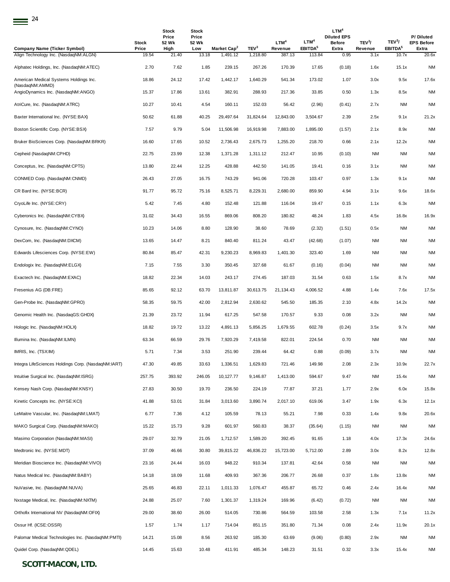| <b>Company Name (Ticker Symbol)</b>                       | Stock<br>Price | Stock<br>Price<br>52 Wk<br>High | <b>Stock</b><br>Price<br>52 Wk<br>Low | Market Cap <sup>2</sup> | TEV <sup>3</sup> | LTM <sup>4</sup><br>Revenue | LTM <sup>4</sup><br>EBITDA <sup>5</sup> | LTM <sup>4</sup><br><b>Diluted EPS</b><br><b>Before</b><br>Extra | TEV <sup>3</sup> /<br>Revenue | TEV <sup>3</sup> /<br>EBITDA <sup>5</sup> | P/Diluted<br><b>EPS Before</b><br>Extra |
|-----------------------------------------------------------|----------------|---------------------------------|---------------------------------------|-------------------------|------------------|-----------------------------|-----------------------------------------|------------------------------------------------------------------|-------------------------------|-------------------------------------------|-----------------------------------------|
| Align Technology Inc. (NasdaqNM:ALGN)                     | 19.54          | 21.40                           | 13.18                                 | 1,491.12                | 1,218.80         | 387.13                      | 113.84                                  | 0.95                                                             | 3.1x                          | 10.7x                                     | 20.6x                                   |
| Alphatec Holdings, Inc. (NasdaqNM:ATEC)                   | 2.70           | 7.62                            | 1.85                                  | 239.15                  | 267.26           | 170.39                      | 17.65                                   | (0.18)                                                           | 1.6x                          | 15.1x                                     | <b>NM</b>                               |
| American Medical Systems Holdings Inc.<br>(NasdaqNM:AMMD) | 18.86          | 24.12                           | 17.42                                 | 1,442.17                | 1,640.29         | 541.34                      | 173.02                                  | 1.07                                                             | 3.0x                          | 9.5x                                      | 17.6x                                   |
| AngioDynamics Inc. (NasdaqNM:ANGO)                        | 15.37          | 17.86                           | 13.61                                 | 382.91                  | 288.93           | 217.36                      | 33.85                                   | 0.50                                                             | 1.3x                          | 8.5x                                      | <b>NM</b>                               |
| AtriCure, Inc. (NasdaqNM:ATRC)                            | 10.27          | 10.41                           | 4.54                                  | 160.11                  | 152.03           | 56.42                       | (2.96)                                  | (0.41)                                                           | 2.7x                          | <b>NM</b>                                 | <b>NM</b>                               |
| Baxter International Inc. (NYSE:BAX)                      | 50.62          | 61.88                           | 40.25                                 | 29,497.64               | 31,824.64        | 12,843.00                   | 3,504.67                                | 2.39                                                             | 2.5x                          | 9.1x                                      | 21.2x                                   |
| Boston Scientific Corp. (NYSE:BSX)                        | 7.57           | 9.79                            | 5.04                                  | 11,506.98               | 16,919.98        | 7,883.00                    | 1,895.00                                | (1.57)                                                           | 2.1x                          | 8.9x                                      | NM                                      |
| Bruker BioSciences Corp. (NasdaqNM:BRKR)                  | 16.60          | 17.65                           | 10.52                                 | 2,736.43                | 2,675.73         | 1,255.20                    | 218.70                                  | 0.66                                                             | 2.1x                          | 12.2x                                     | <b>NM</b>                               |
| Cepheid (NasdaqNM:CPHD)                                   | 22.75          | 23.99                           | 12.38                                 | 1,371.28                | 1,311.12         | 212.47                      | 10.95                                   | (0.10)                                                           | NM                            | <b>NM</b>                                 | NM                                      |
| Conceptus, Inc. (NasdaqNM:CPTS)                           | 13.80          | 22.44                           | 12.25                                 | 428.88                  | 442.50           | 141.05                      | 19.41                                   | 0.16                                                             | 3.1x                          | <b>NM</b>                                 | <b>NM</b>                               |
| CONMED Corp. (NasdaqNM:CNMD)                              | 26.43          | 27.05                           | 16.75                                 | 743.29                  | 941.06           | 720.28                      | 103.47                                  | 0.97                                                             | 1.3x                          | 9.1x                                      | <b>NM</b>                               |
| CR Bard Inc. (NYSE:BCR)                                   | 91.77          | 95.72                           | 75.16                                 | 8,525.71                | 8,229.31         | 2,680.00                    | 859.90                                  | 4.94                                                             | 3.1x                          | 9.6x                                      | 18.6x                                   |
| CryoLife Inc. (NYSE:CRY)                                  | 5.42           | 7.45                            | 4.80                                  | 152.48                  | 121.88           | 116.04                      | 19.47                                   | 0.15                                                             | 1.1x                          | 6.3x                                      | <b>NM</b>                               |
| Cyberonics Inc. (NasdaqNM:CYBX)                           | 31.02          | 34.43                           | 16.55                                 | 869.06                  | 808.20           | 180.82                      | 48.24                                   | 1.83                                                             | 4.5x                          | 16.8x                                     | 16.9x                                   |
| Cynosure, Inc. (NasdaqNM:CYNO)                            | 10.23          | 14.06                           | 8.80                                  | 128.90                  | 38.60            | 78.69                       | (2.32)                                  | (1.51)                                                           | 0.5x                          | ΝM                                        | <b>NM</b>                               |
| DexCom, Inc. (NasdaqNM:DXCM)                              | 13.65          | 14.47                           | 8.21                                  | 840.40                  | 811.24           | 43.47                       | (42.68)                                 | (1.07)                                                           | NM                            | ΝM                                        | NM                                      |
| Edwards Lifesciences Corp. (NYSE:EW)                      | 80.84          | 85.47                           | 42.31                                 | 9,230.23                | 8,969.83         | 1,401.30                    | 323.40                                  | 1.69                                                             | NM                            | <b>NM</b>                                 | NM                                      |
| Endologix Inc. (NasdaqNM:ELGX)                            | 7.15           | 7.55                            | 3.30                                  | 350.45                  | 327.68           | 61.67                       | (0.16)                                  | (0.04)                                                           | <b>NM</b>                     | <b>NM</b>                                 | <b>NM</b>                               |
| Exactech Inc. (NasdaqNM:EXAC)                             | 18.82          | 22.34                           | 14.03                                 | 243.17                  | 274.45           | 187.03                      | 31.54                                   | 0.63                                                             | 1.5x                          | 8.7x                                      | <b>NM</b>                               |
| Fresenius AG (DB:FRE)                                     | 85.65          | 92.12                           | 63.70                                 | 13,811.87               | 30,613.75        | 21,134.43                   | 4,006.52                                | 4.88                                                             | 1.4x                          | 7.6x                                      | 17.5x                                   |
| Gen-Probe Inc. (NasdaqNM:GPRO)                            | 58.35          | 59.75                           | 42.00                                 | 2,812.94                | 2,630.62         | 545.50                      | 185.35                                  | 2.10                                                             | 4.8x                          | 14.2x                                     | <b>NM</b>                               |
| Genomic Health Inc. (NasdaqGS:GHDX)                       | 21.39          | 23.72                           | 11.94                                 | 617.25                  | 547.58           | 170.57                      | 9.33                                    | 0.08                                                             | 3.2x                          | <b>NM</b>                                 | NM                                      |
| Hologic Inc. (NasdaqNM:HOLX)                              | 18.82          | 19.72                           | 13.22                                 | 4,891.13                | 5,856.25         | 1,679.55                    | 602.78                                  | (0.24)                                                           | 3.5x                          | 9.7x                                      | NM                                      |
| Illumina Inc. (NasdaqNM:ILMN)                             | 63.34          | 66.59                           | 29.76                                 | 7,920.29                | 7,419.58         | 822.01                      | 224.54                                  | 0.70                                                             | <b>NM</b>                     | ΝM                                        | NM                                      |
| IMRIS, Inc. (TSX:IM)                                      | 5.71           | 7.34                            | 3.53                                  | 251.90                  | 239.44           | 64.42                       | 0.88                                    | (0.09)                                                           | 3.7x                          | <b>NM</b>                                 | <b>NM</b>                               |
| Integra LifeSciences Holdings Corp. (NasdagNM:IART)       | 47.30          | 49.85                           | 33.63                                 | 1,336.51                | 1,629.83         | 721.46                      | 149.98                                  | 2.08                                                             | 2.3x                          | 10.9x                                     | 22.7x                                   |
| Intuitive Surgical Inc. (NasdaqNM:ISRG)                   | 257.75         | 393.92                          | 246.05                                | 10, 127.77              | 9,146.87         | 1,413.00                    | 594.67                                  | 9.47                                                             | <b>NM</b>                     | 15.4x                                     | <b>NM</b>                               |
| Kensey Nash Corp. (NasdaqNM:KNSY)                         | 27.83          | 30.50                           | 19.70                                 | 236.50                  | 224.19           | 77.87                       | 37.21                                   | 1.77                                                             | 2.9x                          | 6.0x                                      | 15.8x                                   |
| Kinetic Concepts Inc. (NYSE:KCI)                          | 41.88          | 53.01                           | 31.84                                 | 3,013.60                | 3,890.74         | 2,017.10                    | 619.06                                  | 3.47                                                             | 1.9x                          | 6.3x                                      | 12.1x                                   |
| LeMaitre Vascular, Inc. (NasdaqNM:LMAT)                   | 6.77           | 7.36                            | 4.12                                  | 105.59                  | 78.13            | 55.21                       | 7.98                                    | 0.33                                                             | 1.4x                          | 9.8x                                      | 20.6x                                   |
| MAKO Surgical Corp. (NasdaqNM:MAKO)                       | 15.22          | 15.73                           | 9.28                                  | 601.97                  | 560.83           | 38.37                       | (35.64)                                 | (1.15)                                                           | <b>NM</b>                     | <b>NM</b>                                 | <b>NM</b>                               |
| Masimo Corporation (NasdaqNM:MASI)                        | 29.07          | 32.79                           | 21.05                                 | 1,712.57                | 1,589.20         | 392.45                      | 91.65                                   | 1.18                                                             | 4.0x                          | 17.3x                                     | 24.6x                                   |
| Medtronic Inc. (NYSE:MDT)                                 | 37.09          | 46.66                           | 30.80                                 | 39,815.22               | 46,836.22        | 15,723.00                   | 5,712.00                                | 2.89                                                             | 3.0x                          | 8.2x                                      | 12.8x                                   |
| Meridian Bioscience Inc. (NasdaqNM:VIVO)                  | 23.16          | 24.44                           | 16.03                                 | 948.22                  | 910.34           | 137.81                      | 42.64                                   | 0.58                                                             | <b>NM</b>                     | <b>NM</b>                                 | <b>NM</b>                               |
| Natus Medical Inc. (NasdaqNM:BABY)                        | 14.18          | 18.09                           | 11.68                                 | 409.93                  | 367.36           | 206.77                      | 26.68                                   | 0.37                                                             | 1.8x                          | 13.8x                                     | <b>NM</b>                               |
| NuVasive, Inc. (NasdaqNM:NUVA)                            | 25.65          | 46.83                           | 22.11                                 | 1,011.33                | 1,076.47         | 455.87                      | 65.72                                   | 0.46                                                             | 2.4x                          | 16.4x                                     | <b>NM</b>                               |
| Nxstage Medical, Inc. (NasdaqNM:NXTM)                     | 24.88          | 25.07                           | 7.60                                  | 1,301.37                | 1,319.24         | 169.96                      | (6.42)                                  | (0.72)                                                           | NM                            | <b>NM</b>                                 | <b>NM</b>                               |
| Orthofix International NV (NasdaqNM:OFIX)                 | 29.00          | 38.60                           | 26.00                                 | 514.05                  | 730.86           | 564.59                      | 103.58                                  | 2.58                                                             | 1.3x                          | 7.1x                                      | 11.2x                                   |
| Ossur Hf. (ICSE:OSSR)                                     | 1.57           | 1.74                            | 1.17                                  | 714.04                  | 851.15           | 351.80                      | 71.34                                   | 0.08                                                             | 2.4x                          | 11.9x                                     | 20.1x                                   |
| Palomar Medical Technologies Inc. (NasdaqNM:PMTI)         | 14.21          | 15.08                           | 8.56                                  | 263.92                  | 185.30           | 63.69                       | (9.06)                                  | (0.80)                                                           | 2.9x                          | <b>NM</b>                                 | <b>NM</b>                               |
| Quidel Corp. (NasdaqNM:QDEL)                              | 14.45          | 15.63                           | 10.48                                 | 411.91                  | 485.34           | 148.23                      | 31.51                                   | 0.32                                                             | 3.3x                          | 15.4x                                     | <b>NM</b>                               |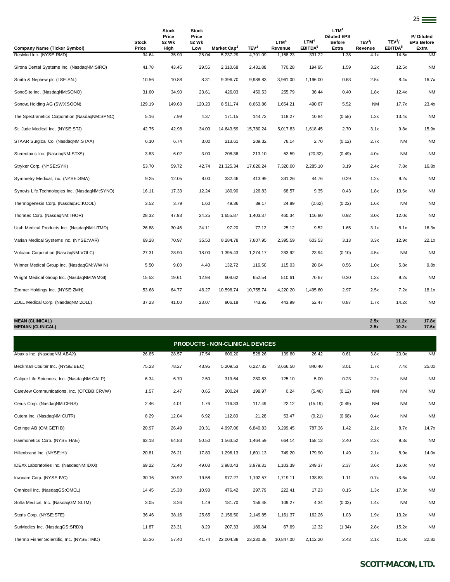| Company Name (Ticker Symbol)                   | Stock<br>Price | <b>Stock</b><br>Price<br>52 Wk<br>High | <b>Stock</b><br>Price<br>52 Wk<br>Low | Market Cap <sup>2</sup> | TEV <sup>3</sup> | LTM <sup>4</sup><br>Revenue | LTM <sup>4</sup><br>EBITDA <sup>5</sup> | LTM <sup>4</sup><br><b>Diluted EPS</b><br>Before<br>Extra | TEV <sup>3</sup> /<br>Revenue | TEV <sup>3</sup> /<br>EBITDA <sup>5</sup> | P/Diluted<br><b>EPS Before</b><br>Extra |
|------------------------------------------------|----------------|----------------------------------------|---------------------------------------|-------------------------|------------------|-----------------------------|-----------------------------------------|-----------------------------------------------------------|-------------------------------|-------------------------------------------|-----------------------------------------|
| ResMed Inc. (NYSE:RMD)                         | 34.64          | 35.90                                  | 25.04                                 | 5,237.29                | 4,791.09         | 1,158.23                    | 331.22                                  | 1.38                                                      | 4.1x                          | 14.5x                                     | <b>NM</b>                               |
| Sirona Dental Systems Inc. (NasdaqNM:SIRO)     | 41.78          | 43.45                                  | 29.55                                 | 2,310.68                | 2,431.88         | 770.28                      | 194.95                                  | 1.59                                                      | 3.2x                          | 12.5x                                     | <b>NM</b>                               |
| Smith & Nephew plc (LSE:SN.)                   | 10.56          | 10.88                                  | 8.31                                  | 9,396.70                | 9.988.83         | 3,961.00                    | 1,196.00                                | 0.63                                                      | 2.5x                          | 8.4x                                      | 16.7x                                   |
| SonoSite Inc. (NasdaqNM:SONO)                  | 31.60          | 34.90                                  | 23.61                                 | 426.03                  | 450.53           | 255.79                      | 36.44                                   | 0.40                                                      | 1.8x                          | 12.4x                                     | <b>NM</b>                               |
| Sonova Holding AG (SWX:SOON)                   | 129.19         | 149.63                                 | 120.20                                | 8,511.74                | 8,663.86         | 1,654.21                    | 490.67                                  | 5.52                                                      | <b>NM</b>                     | 17.7x                                     | 23.4x                                   |
| The Spectranetics Corporation (NasdaqNM:SPNC)  | 5.16           | 7.99                                   | 4.37                                  | 171.15                  | 144.72           | 118.27                      | 10.84                                   | (0.58)                                                    | 1.2x                          | 13.4x                                     | <b>NM</b>                               |
| St. Jude Medical Inc. (NYSE:STJ)               | 42.75          | 42.98                                  | 34.00                                 | 14,643.59               | 15,780.24        | 5,017.83                    | 1,618.45                                | 2.70                                                      | 3.1x                          | 9.8x                                      | 15.9x                                   |
| STAAR Surgical Co. (NasdaqNM:STAA)             | 6.10           | 6.74                                   | 3.00                                  | 213.61                  | 209.32           | 78.14                       | 2.70                                    | (0.12)                                                    | 2.7x                          | <b>NM</b>                                 | <b>NM</b>                               |
| Stereotaxis Inc. (NasdaqNM:STXS)               | 3.83           | 6.02                                   | 3.00                                  | 208.36                  | 213.10           | 53.59                       | (20.32)                                 | (0.49)                                                    | 4.0x                          | <b>NM</b>                                 | <b>NM</b>                               |
| Stryker Corp. (NYSE:SYK)                       | 53.70          | 59.72                                  | 42.74                                 | 21,325.34               | 17,826.24        | 7,320.00                    | 2,285.10                                | 3.19                                                      | 2.4x                          | 7.8x                                      | 16.8x                                   |
| Symmetry Medical, Inc. (NYSE:SMA)              | 9.25           | 12.05                                  | 8.00                                  | 332.46                  | 413.99           | 341.26                      | 44.76                                   | 0.29                                                      | 1.2x                          | 9.2x                                      | <b>NM</b>                               |
| Synovis Life Technologies Inc. (NasdagNM:SYNO) | 16.11          | 17.33                                  | 12.24                                 | 180.90                  | 126.83           | 68.57                       | 9.35                                    | 0.43                                                      | 1.8x                          | 13.6x                                     | <b>NM</b>                               |
| Thermogenesis Corp. (NasdaqSC:KOOL)            | 3.52           | 3.79                                   | 1.60                                  | 49.36                   | 39.17            | 24.89                       | (2.62)                                  | (0.22)                                                    | 1.6x                          | <b>NM</b>                                 | <b>NM</b>                               |
| Thoratec Corp. (NasdaqNM:THOR)                 | 28.32          | 47.93                                  | 24.25                                 | 1,655.87                | 1,403.37         | 460.34                      | 116.80                                  | 0.92                                                      | 3.0x                          | 12.0x                                     | <b>NM</b>                               |
| Utah Medical Products Inc. (NasdaqNM:UTMD)     | 26.88          | 30.46                                  | 24.11                                 | 97.20                   | 77.12            | 25.12                       | 9.52                                    | 1.65                                                      | 3.1x                          | 8.1x                                      | 16.3x                                   |
| Varian Medical Systems Inc. (NYSE:VAR)         | 69.28          | 70.97                                  | 35.50                                 | 8,284.78                | 7,807.95         | 2,395.59                    | 603.53                                  | 3.13                                                      | 3.3x                          | 12.9x                                     | 22.1x                                   |
| Volcano Corporation (NasdaqNM: VOLC)           | 27.31          | 28.90                                  | 18.00                                 | 1,395.43                | 1,274.17         | 283.92                      | 23.94                                   | (0.10)                                                    | 4.5x                          | <b>NM</b>                                 | <b>NM</b>                               |
| Winner Medical Group Inc. (NasdaqGM:WWIN)      | 5.50           | 9.00                                   | 4.40                                  | 132.72                  | 116.50           | 115.03                      | 20.04                                   | 0.56                                                      | 1.0x                          | 5.8x                                      | 9.8x                                    |
| Wright Medical Group Inc. (NasdaqNM:WMGI)      | 15.53          | 19.61                                  | 12.98                                 | 608.62                  | 652.54           | 510.61                      | 70.67                                   | 0.30                                                      | 1.3x                          | 9.2x                                      | <b>NM</b>                               |
| Zimmer Holdings Inc. (NYSE:ZMH)                | 53.68          | 64.77                                  | 46.27                                 | 10,598.74               | 10,755.74        | 4,220.20                    | 1,495.60                                | 2.97                                                      | 2.5x                          | 7.2x                                      | 18.1x                                   |
| ZOLL Medical Corp. (NasdaqNM:ZOLL)             | 37.23          | 41.00                                  | 23.07                                 | 806.18                  | 743.92           | 443.99                      | 52.47                                   | 0.87                                                      | 1.7x                          | 14.2x                                     | <b>NM</b>                               |

<u>25</u>

**MEAN (CLINICAL) 2.5x 11.2x 17.8x MEDIAN (CLINICAL) 2.5x 10.2x 17.6x**

| <b>PRODUCTS - NON-CLINICAL DEVICES</b>      |       |       |       |           |           |           |          |        |           |           |           |  |  |
|---------------------------------------------|-------|-------|-------|-----------|-----------|-----------|----------|--------|-----------|-----------|-----------|--|--|
| Abaxis Inc. (NasdaqNM:ABAX)                 | 26.85 | 28.57 | 17.54 | 600.20    | 528.26    | 139.80    | 26.42    | 0.61   | 3.8x      | 20.0x     | <b>NM</b> |  |  |
| Beckman Coulter Inc. (NYSE:BEC)             | 75.23 | 78.27 | 43.95 | 5,209.53  | 6,227.83  | 3,666.50  | 840.40   | 3.01   | 1.7x      | 7.4x      | 25.0x     |  |  |
| Caliper Life Sciences, Inc. (NasdaqNM:CALP) | 6.34  | 6.70  | 2.50  | 319.64    | 280.83    | 125.10    | 5.00     | 0.23   | 2.2x      | <b>NM</b> | <b>NM</b> |  |  |
| Careview Communications, Inc. (OTCBB:CRVW)  | 1.57  | 2.47  | 0.65  | 200.24    | 198.97    | 0.24      | (5.46)   | (0.12) | <b>NM</b> | <b>NM</b> | <b>NM</b> |  |  |
| Cerus Corp. (NasdaqNM:CERS)                 | 2.46  | 4.01  | 1.76  | 116.33    | 117.49    | 22.12     | (15.19)  | (0.49) | <b>NM</b> | <b>NM</b> | <b>NM</b> |  |  |
| Cutera Inc. (NasdaqNM:CUTR)                 | 8.29  | 12.04 | 6.92  | 112.80    | 21.28     | 53.47     | (9.21)   | (0.68) | 0.4x      | <b>NM</b> | <b>NM</b> |  |  |
| Getinge AB (OM:GETI B)                      | 20.97 | 26.49 | 20.31 | 4,997.06  | 6,840.83  | 3,299.45  | 787.36   | 1.42   | 2.1x      | 8.7x      | 14.7x     |  |  |
| Haemonetics Corp. (NYSE:HAE)                | 63.18 | 64.83 | 50.50 | 1,563.52  | 1,464.59  | 664.14    | 158.13   | 2.40   | 2.2x      | 9.3x      | <b>NM</b> |  |  |
| Hillenbrand Inc. (NYSE:HI)                  | 20.81 | 26.21 | 17.80 | 1,296.13  | 1,601.13  | 749.20    | 179.90   | 1.49   | 2.1x      | 8.9x      | 14.0x     |  |  |
| IDEXX Laboratories Inc. (NasdaqNM:IDXX)     | 69.22 | 72.40 | 49.03 | 3,980.43  | 3,979.31  | 1,103.39  | 249.37   | 2.37   | 3.6x      | 16.0x     | <b>NM</b> |  |  |
| Invacare Corp. (NYSE:IVC)                   | 30.16 | 30.92 | 19.58 | 977.27    | 1,192.57  | 1,719.11  | 138.83   | 1.11   | 0.7x      | 8.6x      | <b>NM</b> |  |  |
| Omnicell Inc. (NasdaqGS:OMCL)               | 14.45 | 15.38 | 10.93 | 476.42    | 297.79    | 222.41    | 17.23    | 0.15   | 1.3x      | 17.3x     | <b>NM</b> |  |  |
| Solta Medical, Inc. (NasdaqGM:SLTM)         | 3.05  | 3.26  | 1.49  | 181.70    | 156.48    | 109.27    | 4.34     | (0.03) | 1.4x      | <b>NM</b> | <b>NM</b> |  |  |
| Steris Corp. (NYSE:STE)                     | 36.46 | 38.16 | 25.65 | 2,156.50  | 2,149.85  | 1,161.37  | 162.26   | 1.03   | 1.9x      | 13.2x     | <b>NM</b> |  |  |
| SurModics Inc. (NasdaqGS:SRDX)              | 11.87 | 23.31 | 8.29  | 207.33    | 186.84    | 67.69     | 12.32    | (1.34) | 2.8x      | 15.2x     | <b>NM</b> |  |  |
| Thermo Fisher Scientific, Inc. (NYSE:TMO)   | 55.36 | 57.40 | 41.74 | 22,004.38 | 23,230.38 | 10,847.00 | 2,112.20 | 2.43   | 2.1x      | 11.0x     | 22.8x     |  |  |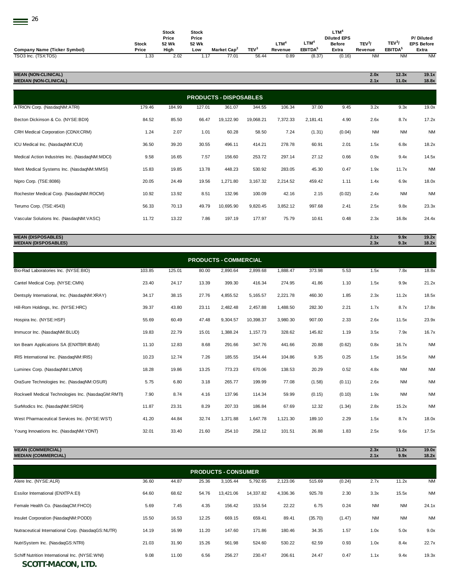| × |
|---|
|   |

| Company Name (Ticker Symbol) | <b>Stock</b><br>Price | <b>Stock</b><br>Price<br>52 Wk<br>High | Stock<br>Price<br>52 Wk<br>LOW | Market Cap <sup>2</sup> | TEV <sup>3</sup> | <b>LTM</b><br>Revenue | LTM <sup>4</sup><br>EBITDA <sup>5</sup> | $LTM^4$<br><b>Diluted EPS</b><br><b>Before</b><br>Extra | TEV <sup>3</sup> /<br>Revenue | TEV <sup>3</sup> /<br>EBITDA <sup>5</sup> | P/Diluted<br><b>EPS Before</b><br>Extra |
|------------------------------|-----------------------|----------------------------------------|--------------------------------|-------------------------|------------------|-----------------------|-----------------------------------------|---------------------------------------------------------|-------------------------------|-------------------------------------------|-----------------------------------------|
| TSO3 Inc. (TSX:TOS)          | 1.33                  | 2.02                                   | 1.17                           | 77.01                   | 56.44            | 0.89                  | (8.37)                                  | (0.16)                                                  | ΝM                            | ΝM                                        | NM                                      |

| <b>MEAN (NON-CLINICAL)</b><br><b>MEDIAN (NON-CLINICAL)</b> |        |        |        |                               |           |          |          |        | 2.0x<br>2.1x | 12.3x<br>11.0x | 19.1x<br>18.8x |
|------------------------------------------------------------|--------|--------|--------|-------------------------------|-----------|----------|----------|--------|--------------|----------------|----------------|
|                                                            |        |        |        | <b>PRODUCTS - DISPOSABLES</b> |           |          |          |        |              |                |                |
| ATRION Corp. (NasdaqNM:ATRI)                               | 179.46 | 184.99 | 127.01 | 361.07                        | 344.55    | 106.34   | 37.00    | 9.45   | 3.2x         | 9.3x           | 19.0x          |
| Becton Dickinson & Co. (NYSE:BDX)                          | 84.52  | 85.50  | 66.47  | 19,122.90                     | 19,068.21 | 7,372.33 | 2,181.41 | 4.90   | 2.6x         | 8.7x           | 17.2x          |
| CRH Medical Corporation (CDNX:CRM)                         | 1.24   | 2.07   | 1.01   | 60.28                         | 58.50     | 7.24     | (1.31)   | (0.04) | <b>NM</b>    | <b>NM</b>      | <b>NM</b>      |
| ICU Medical Inc. (NasdaqNM:ICUI)                           | 36.50  | 39.20  | 30.55  | 496.11                        | 414.21    | 278.78   | 60.91    | 2.01   | 1.5x         | 6.8x           | 18.2x          |
| Medical Action Industries Inc. (NasdaqNM:MDCI)             | 9.58   | 16.65  | 7.57   | 156.60                        | 253.72    | 297.14   | 27.12    | 0.66   | 0.9x         | 9.4x           | 14.5x          |
| Merit Medical Systems Inc. (NasdaqNM:MMSI)                 | 15.83  | 19.85  | 13.78  | 448.23                        | 530.92    | 283.05   | 45.30    | 0.47   | 1.9x         | 11.7x          | <b>NM</b>      |
| Nipro Corp. (TSE:8086)                                     | 20.05  | 24.49  | 19.56  | 1,271.80                      | 3,167.32  | 2,214.52 | 459.42   | 1.11   | 1.4x         | 6.9x           | 18.0x          |
| Rochester Medical Corp. (NasdaqNM:ROCM)                    | 10.92  | 13.92  | 8.51   | 132.96                        | 100.09    | 42.16    | 2.15     | (0.02) | 2.4x         | <b>NM</b>      | <b>NM</b>      |
| Terumo Corp. (TSE:4543)                                    | 56.33  | 70.13  | 49.79  | 10,695.90                     | 9,820.45  | 3,852.12 | 997.68   | 2.41   | 2.5x         | 9.8x           | 23.3x          |
| Vascular Solutions Inc. (NasdaqNM:VASC)                    | 11.72  | 13.22  | 7.86   | 197.19                        | 177.97    | 75.79    | 10.61    | 0.48   | 2.3x         | 16.8x          | 24.4x          |
|                                                            |        |        |        |                               |           |          |          |        |              |                |                |

## **MEAN (DISPOSABLES) 2.1x 9.9x 19.2x MEDIAN (DISPOSABLES) 2.3x 9.3x 18.2x**

|                                                    | <b>PRODUCTS - COMMERCIAL</b> |        |       |          |           |          |        |        |      |           |           |  |  |  |
|----------------------------------------------------|------------------------------|--------|-------|----------|-----------|----------|--------|--------|------|-----------|-----------|--|--|--|
| Bio-Rad Laboratories Inc. (NYSE:BIO)               | 103.85                       | 125.01 | 80.00 | 2,890.64 | 2,899.68  | 1,888.47 | 373.98 | 5.53   | 1.5x | 7.8x      | 18.8x     |  |  |  |
| Cantel Medical Corp. (NYSE:CMN)                    | 23.40                        | 24.17  | 13.39 | 399.30   | 416.34    | 274.95   | 41.86  | 1.10   | 1.5x | 9.9x      | 21.2x     |  |  |  |
| Dentsply International, Inc. (NasdaqNM:XRAY)       | 34.17                        | 38.15  | 27.76 | 4,855.52 | 5,165.57  | 2,221.78 | 460.30 | 1.85   | 2.3x | 11.2x     | 18.5x     |  |  |  |
| Hill-Rom Holdings, Inc. (NYSE:HRC)                 | 39.37                        | 43.80  | 23.11 | 2,482.48 | 2,457.88  | 1,488.50 | 282.30 | 2.21   | 1.7x | 8.7x      | 17.8x     |  |  |  |
| Hospira Inc. (NYSE:HSP)                            | 55.69                        | 60.49  | 47.48 | 9,304.57 | 10,398.37 | 3,980.30 | 907.00 | 2.33   | 2.6x | 11.5x     | 23.9x     |  |  |  |
| Immucor Inc. (NasdaqNM:BLUD)                       | 19.83                        | 22.79  | 15.01 | 1,388.24 | 1,157.73  | 328.62   | 145.82 | 1.19   | 3.5x | 7.9x      | 16.7x     |  |  |  |
| Ion Beam Applications SA (ENXTBR:IBAB)             | 11.10                        | 12.83  | 8.68  | 291.66   | 347.76    | 441.66   | 20.88  | (0.62) | 0.8x | 16.7x     | <b>NM</b> |  |  |  |
| IRIS International Inc. (NasdaqNM:IRIS)            | 10.23                        | 12.74  | 7.26  | 185.55   | 154.44    | 104.86   | 9.35   | 0.25   | 1.5x | 16.5x     | <b>NM</b> |  |  |  |
| Luminex Corp. (NasdaqNM:LMNX)                      | 18.28                        | 19.86  | 13.25 | 773.23   | 670.06    | 138.53   | 20.29  | 0.52   | 4.8x | <b>NM</b> | <b>NM</b> |  |  |  |
| OraSure Technologies Inc. (NasdagNM:OSUR)          | 5.75                         | 6.80   | 3.18  | 265.77   | 199.99    | 77.08    | (1.58) | (0.11) | 2.6x | <b>NM</b> | <b>NM</b> |  |  |  |
| Rockwell Medical Technologies Inc. (NasdaqGM:RMTI) | 7.90                         | 8.74   | 4.16  | 137.96   | 114.34    | 59.99    | (0.15) | (0.10) | 1.9x | <b>NM</b> | <b>NM</b> |  |  |  |
| SurModics Inc. (NasdaqNM:SRDX)                     | 11.87                        | 23.31  | 8.29  | 207.33   | 186.84    | 67.69    | 12.32  | (1.34) | 2.8x | 15.2x     | <b>NM</b> |  |  |  |
| West Pharmaceutical Services Inc. (NYSE:WST)       | 41.20                        | 44.84  | 32.74 | 1,371.88 | 1.647.78  | 1,121.30 | 189.10 | 2.29   | 1.5x | 8.7x      | 18.0x     |  |  |  |
| Young Innovations Inc. (NasdaqNM:YDNT)             | 32.01                        | 33.40  | 21.60 | 254.10   | 258.12    | 101.51   | 26.88  | 1.83   | 2.5x | 9.6x      | 17.5x     |  |  |  |

**MEAN (COMMERCIAL) 2.3x 11.2x 19.0x MEDIAN (COMMERCIAL)** Alere Inc. (NYSE:ALR) 36.60 44.87 25.36 3,105.44 5,792.65 2,123.06 515.69 (0.24) 2.7x 11.2x NM Essilor International (ENXTPA:EI) 64.60 68.62 54.76 13,421.06 14,337.82 4,336.36 925.78 2.30 3.3x 15.5x NM Female Health Co. (NasdaqCM:FHCO) 5.69 7.45 4.35 156.42 153.54 22.22 6.75 0.24 NM NM 24.1x Insulet Corporation (NasdaqNM:PODD) 15.50 16.53 12.25 669.15 659.41 89.41 (35.70) (1.47) NM NM NM Nutraceutical International Corp. (NasdaqGS:NUTR) 14.19 16.99 11.20 147.60 171.86 180.46 34.35 1.57 1.0x 5.0x 9.0x NutriSystem Inc. (NasdaqGS:NTRI) 21.03 31.90 15.26 561.98 524.60 530.22 62.59 0.93 1.0x 8.4x 22.7x Schiff Nutrition International Inc. (NYSE:WNI) 9.08 11.00 6.56 256.27 230.47 206.61 24.47 0.47 1.1x 9.4x 19.3x **PRODUCTS - CONSUMER**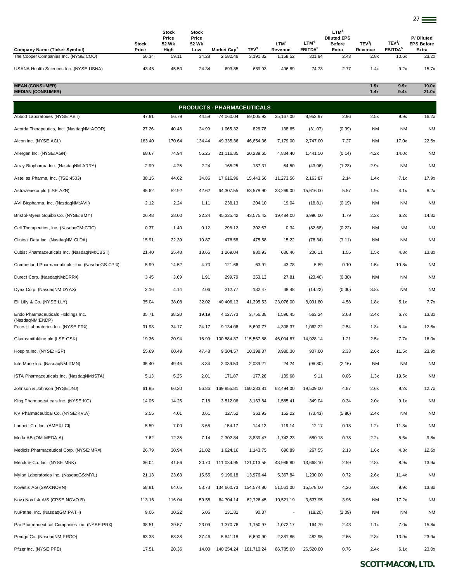|                                                                      |                | <b>Stock</b>   | Stock          |                                     |                              |                          |                               | LTM <sup>4</sup>                    |                    |                              |                                |
|----------------------------------------------------------------------|----------------|----------------|----------------|-------------------------------------|------------------------------|--------------------------|-------------------------------|-------------------------------------|--------------------|------------------------------|--------------------------------|
|                                                                      | Stock          | Price<br>52 Wk | Price<br>52 Wk |                                     |                              | LTM <sup>4</sup>         | LTM <sup>4</sup>              | <b>Diluted EPS</b><br><b>Before</b> | TEV <sup>3</sup> / | TEV <sup>3</sup> /           | P/Diluted<br><b>EPS Before</b> |
| Company Name (Ticker Symbol)<br>The Cooper Companies Inc. (NYSE:COO) | Price<br>56.34 | High<br>59.11  | Low<br>34.28   | Market Cap <sup>2</sup><br>2.582.46 | TEV <sup>3</sup><br>3,191.32 | Revenue<br>1,158.52      | EBITDA <sup>5</sup><br>301.84 | Extra<br>2.43                       | Revenue<br>2.8x    | EBITDA <sup>5</sup><br>10.6x | Extra<br>23.2x                 |
| USANA Health Sciences Inc. (NYSE:USNA)                               | 43.45          | 45.50          | 24.34          | 693.85                              | 689.93                       | 496.89                   | 74.73                         | 2.77                                | 1.4x               | 9.2x                         | 15.7x                          |
| <b>MEAN (CONSUMER)</b><br><b>MEDIAN (CONSUMER)</b>                   |                |                |                |                                     |                              |                          |                               |                                     | 1.9x               | 9.9x<br>9.4x                 | 19.0x                          |
|                                                                      |                |                |                |                                     |                              |                          |                               |                                     | 1.4x               |                              | 21.0x                          |
|                                                                      |                |                |                | <b>PRODUCTS - PHARMACEUTICALS</b>   |                              |                          |                               |                                     |                    |                              |                                |
| Abbott Laboratories (NYSE:ABT)                                       | 47.91          | 56.79          | 44.59          | 74,060.04                           | 89,005.93                    | 35,167.00                | 8,953.97                      | 2.96                                | 2.5x               | 9.9x                         | 16.2x                          |
| Acorda Therapeutics, Inc. (NasdaqNM:ACOR)                            | 27.26          | 40.48          | 24.99          | 1.065.32                            | 826.78                       | 138.65                   | (31.07)                       | (0.99)                              | <b>NM</b>          | <b>NM</b>                    | <b>NM</b>                      |
| Alcon Inc. (NYSE:ACL)                                                | 163.40         | 170.64         | 134.44         | 49,335.36                           | 46,654.36                    | 7,179.00                 | 2,747.00                      | 7.27                                | <b>NM</b>          | 17.0x                        | 22.5x                          |
| Allergan Inc. (NYSE:AGN)                                             | 68.67          | 74.94          | 55.25          | 21,116.85                           | 20,239.65                    | 4,834.40                 | 1,441.50                      | (0.14)                              | 4.2x               | 14.0x                        | <b>NM</b>                      |
| Array Biopharma Inc. (NasdaqNM:ARRY)                                 | 2.99           | 4.25           | 2.24           | 165.25                              | 187.31                       | 64.50                    | (43.96)                       | (1.23)                              | 2.9x               | <b>NM</b>                    | <b>NM</b>                      |
| Astellas Pharma, Inc. (TSE:4503)                                     | 38.15          | 44.62          | 34.86          | 17,616.96                           | 15,443.66                    | 11.273.56                | 2.163.87                      | 2.14                                | 1.4x               | 7.1x                         | 17.9x                          |
| AstraZeneca plc (LSE:AZN)                                            | 45.62          | 52.92          | 42.62          | 64,307.55                           | 63,578.90                    | 33,269.00                | 15,616.00                     | 5.57                                | 1.9x               | 4.1x                         | 8.2x                           |
| AVI Biopharma, Inc. (NasdaqNM:AVII)                                  | 2.12           | 2.24           | 1.11           | 238.13                              | 204.10                       | 19.04                    | (18.81)                       | (0.19)                              | <b>NM</b>          | ΝM                           | <b>NM</b>                      |
| Bristol-Myers Squibb Co. (NYSE:BMY)                                  | 26.48          | 28.00          | 22.24          | 45,325.42                           | 43,575.42                    | 19,484.00                | 6,996.00                      | 1.79                                | 2.2x               | 6.2x                         | 14.8x                          |
| Cell Therapeutics, Inc. (NasdaqCM:CTIC)                              | 0.37           | 1.40           | 0.12           | 298.12                              | 302.67                       | 0.34                     | (82.68)                       | (0.22)                              | <b>NM</b>          | <b>NM</b>                    | <b>NM</b>                      |
| Clinical Data Inc. (NasdaqNM:CLDA)                                   | 15.91          | 22.39          | 10.87          | 476.58                              | 475.58                       | 15.22                    | (76.34)                       | (3.11)                              | <b>NM</b>          | ΝM                           | <b>NM</b>                      |
| Cubist Pharmaceuticals Inc. (NasdaqNM:CBST)                          | 21.40          | 25.48          | 18.66          | 1,269.04                            | 980.93                       | 636.46                   | 206.11                        | 1.55                                | 1.5x               | 4.8x                         | 13.8x                          |
| Cumberland Pharmaceuticals, Inc. (NasdaqGS:CPIX)                     | 5.99           | 14.52          | 4.70           | 121.66                              | 63.91                        | 43.78                    | 5.89                          | 0.10                                | 1.5x               | 10.8x                        | <b>NM</b>                      |
| Durect Corp. (NasdaqNM:DRRX)                                         | 3.45           | 3.69           | 1.91           | 299.79                              | 253.13                       | 27.81                    | (23.46)                       | (0.30)                              | <b>NM</b>          | <b>NM</b>                    | <b>NM</b>                      |
| Dyax Corp. (NasdaqNM:DYAX)                                           | 2.16           | 4.14           | 2.06           | 212.77                              | 182.47                       | 48.48                    | (14.22)                       | (0.30)                              | 3.8x               | <b>NM</b>                    | <b>NM</b>                      |
| Eli Lilly & Co. (NYSE:LLY)                                           | 35.04          | 38.08          | 32.02          | 40,406.13                           | 41,395.53                    | 23,076.00                | 8,091.80                      | 4.58                                | 1.8x               | 5.1x                         | 7.7x                           |
| Endo Pharmaceuticals Holdings Inc.<br>(NasdaqNM:ENDP)                | 35.71          | 38.20          | 19.19          | 4,127.73                            | 3,756.38                     | 1,596.45                 | 563.24                        | 2.68                                | 2.4x               | 6.7x                         | 13.3x                          |
| Forest Laboratories Inc. (NYSE:FRX)                                  | 31.98          | 34.17          | 24.17          | 9,134.06                            | 5,690.77                     | 4,308.37                 | 1,062.22                      | 2.54                                | 1.3x               | 5.4x                         | 12.6x                          |
| Glaxosmithkline plc (LSE:GSK)                                        | 19.36          | 20.94          | 16.99          | 100,584.37                          | 115,567.58                   | 46,004.87                | 14,928.14                     | 1.21                                | 2.5x               | 7.7x                         | 16.0x                          |
| Hospira Inc. (NYSE:HSP)                                              | 55.69          | 60.49          | 47.48          | 9,304.57                            | 10,398.37                    | 3,980.30                 | 907.00                        | 2.33                                | 2.6x               | 11.5x                        | 23.9x                          |
| InterMune Inc. (NasdaqNM:ITMN)                                       | 36.40          | 49.46          | 8.34           | 2,039.53                            | 2,039.21                     | 24.24                    | (96.80)                       | (2.16)                              | <b>NM</b>          | <b>NM</b>                    | <b>NM</b>                      |
| ISTA Pharmaceuticals Inc. (NasdaqNM:ISTA)                            | 5.13           | 5.25           | 2.01           | 171.87                              | 177.26                       | 139.68                   | 9.11                          | 0.06                                | 1.3x               | 19.5x                        | <b>NM</b>                      |
| Johnson & Johnson (NYSE: JNJ)                                        | 61.85          | 66.20          | 56.86          | 169,855.81                          | 160,283.81                   | 62,494.00                | 19,509.00                     | 4.87                                | 2.6x               | 8.2x                         | 12.7x                          |
| King Pharmaceuticals Inc. (NYSE:KG)                                  | 14.05          | 14.25          | 7.18           | 3,512.06                            | 3,163.84                     | 1,565.41                 | 349.04                        | 0.34                                | 2.0x               | 9.1x                         | <b>NM</b>                      |
| KV Pharmaceutical Co. (NYSE:KV.A)                                    | 2.55           | 4.01           | 0.61           | 127.52                              | 363.93                       | 152.22                   | (73.43)                       | (5.80)                              | 2.4x               | <b>NM</b>                    | <b>NM</b>                      |
| Lannett Co. Inc. (AMEX:LCI)                                          | 5.59           | 7.00           | 3.66           | 154.17                              | 144.12                       | 119.14                   | 12.17                         | 0.18                                | 1.2x               | 11.8x                        | <b>NM</b>                      |
| Meda AB (OM:MEDA A)                                                  | 7.62           | 12.35          | 7.14           | 2,302.84                            | 3,839.47                     | 1,742.23                 | 680.18                        | 0.78                                | 2.2x               | 5.6x                         | 9.8x                           |
| Medicis Pharmaceutical Corp. (NYSE:MRX)                              | 26.79          | 30.94          | 21.02          | 1,624.16                            | 1,143.75                     | 696.89                   | 267.55                        | 2.13                                | 1.6x               | 4.3x                         | 12.6x                          |
| Merck & Co. Inc. (NYSE:MRK)                                          | 36.04          | 41.56          | 30.70          | 111,034.95                          | 121,013.55                   | 43,986.80                | 13,668.10                     | 2.59                                | 2.8x               | 8.9x                         | 13.9x                          |
| Mylan Laboratories Inc. (NasdaqGS:MYL)                               | 21.13          | 23.63          | 16.55          | 9,196.18                            | 13,976.44                    | 5,367.84                 | 1,230.00                      | 0.72                                | 2.6x               | 11.4x                        | <b>NM</b>                      |
| Novartis AG (SWX:NOVN)                                               | 58.81          | 64.65          | 53.73          | 134,660.73                          | 154,574.80                   | 51,561.00                | 15,578.00                     | 4.26                                | 3.0x               | 9.9x                         | 13.8x                          |
| Novo Nordisk A/S (CPSE:NOVO B)                                       | 113.16         | 116.04         | 59.55          | 64,704.14                           | 62,726.45                    | 10,521.19                | 3,637.95                      | 3.95                                | <b>NM</b>          | 17.2x                        | <b>NM</b>                      |
| NuPathe, Inc. (NasdaqGM:PATH)                                        | 9.06           | 10.22          | 5.06           | 131.81                              | 90.37                        | $\overline{\phantom{a}}$ | (18.20)                       | (2.09)                              | <b>NM</b>          | <b>NM</b>                    | <b>NM</b>                      |
| Par Pharmaceutical Companies Inc. (NYSE:PRX)                         | 38.51          | 39.57          | 23.09          | 1,370.76                            | 1,150.97                     | 1,072.17                 | 164.79                        | 2.43                                | 1.1x               | 7.0x                         | 15.8x                          |
| Perrigo Co. (NasdaqNM:PRGO)                                          | 63.33          | 68.38          | 37.46          | 5,841.18                            | 6,690.90                     | 2,381.86                 | 482.95                        | 2.65                                | 2.8x               | 13.9x                        | 23.9x                          |
| Pfizer Inc. (NYSE:PFE)                                               | 17.51          | 20.36          | 14.00          | 140,254.24                          | 161,710.24                   | 66,785.00                | 26,520.00                     | 0.76                                | 2.4x               | 6.1x                         | 23.0x                          |
|                                                                      |                |                |                |                                     |                              |                          |                               |                                     |                    |                              |                                |

27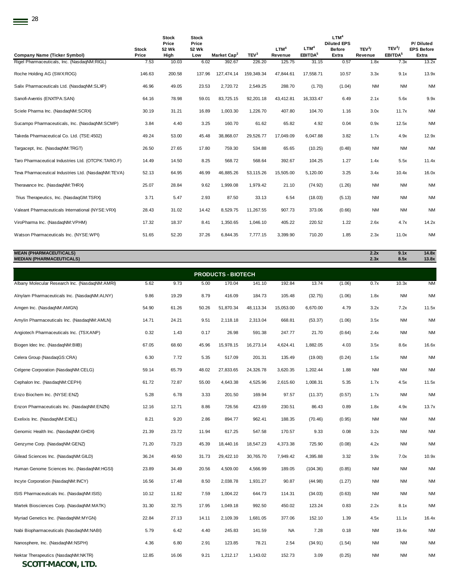|                                                     | <b>Stock</b> | <b>Stock</b><br>Price<br>52 Wk | <b>Stock</b><br>Price<br>52 Wk |                         |                  | LTM <sup>4</sup> | LTM <sup>4</sup>    | LTM <sup>4</sup><br><b>Diluted EPS</b><br><b>Before</b> | TEV <sup>3</sup> / | TEV <sup>3</sup> /  | P/Diluted<br><b>EPS Before</b> |
|-----------------------------------------------------|--------------|--------------------------------|--------------------------------|-------------------------|------------------|------------------|---------------------|---------------------------------------------------------|--------------------|---------------------|--------------------------------|
| <b>Company Name (Ticker Symbol)</b>                 | Price        | High                           | Low                            | Market Cap <sup>2</sup> | TEV <sup>3</sup> | Revenue          | EBITDA <sup>5</sup> | Extra                                                   | Revenue            | EBITDA <sup>5</sup> | Extra                          |
| Rigel Pharmaceuticals, Inc. (NasdaqNM:RIGL)         | 7.53         | 10.03                          | 6.02                           | 392.67                  | 226.20           | 125.75           | 31.15               | 0.57                                                    | 1.8x               | 7.3x                | 13.2x                          |
| Roche Holding AG (SWX:ROG)                          | 146.63       | 200.58                         | 137.96                         | 127,474.14              | 159,349.34       | 47.844.61        | 17,558.71           | 10.57                                                   | 3.3x               | 9.1x                | 13.9x                          |
| Salix Pharmaceuticals Ltd. (NasdaqNM:SLXP)          | 46.96        | 49.05                          | 23.53                          | 2,720.72                | 2,549.25         | 288.70           | (1.70)              | (1.04)                                                  | <b>NM</b>          | <b>NM</b>           | <b>NM</b>                      |
| Sanofi-Aventis (ENXTPA:SAN)                         | 64.16        | 78.98                          | 59.01                          | 83,725.15               | 92,201.18        | 43,412.81        | 16,333.47           | 6.49                                                    | 2.1x               | 5.6x                | 9.9x                           |
| Sciele Pharma Inc. (NasdaqNM:SCRX)                  | 30.19        | 31.21                          | 16.89                          | 1,003.30                | 1,226.70         | 407.80           | 104.70              | 1.16                                                    | 3.0x               | 11.7x               | <b>NM</b>                      |
| Sucampo Pharmaceuticals, Inc. (NasdaqNM:SCMP)       | 3.84         | 4.40                           | 3.25                           | 160.70                  | 61.62            | 65.82            | 4.92                | 0.04                                                    | 0.9x               | 12.5x               | <b>NM</b>                      |
| Takeda Pharmaceutical Co. Ltd. (TSE:4502)           | 49.24        | 53.00                          | 45.48                          | 38,868.07               | 29,526.77        | 17.049.09        | 6.047.88            | 3.82                                                    | 1.7x               | 4.9x                | 12.9x                          |
| Targacept, Inc. (NasdagNM:TRGT)                     | 26.50        | 27.65                          | 17.80                          | 759.30                  | 534.88           | 65.65            | (10.25)             | (0.48)                                                  | <b>NM</b>          | <b>NM</b>           | <b>NM</b>                      |
| Taro Pharmaceutical Industries Ltd. (OTCPK:TARO.F)  | 14.49        | 14.50                          | 8.25                           | 568.72                  | 568.64           | 392.67           | 104.25              | 1.27                                                    | 1.4x               | 5.5x                | 11.4x                          |
| Teva Pharmaceutical Industries Ltd. (NasdaqNM:TEVA) | 52.13        | 64.95                          | 46.99                          | 46,885.26               | 53,115.26        | 15,505.00        | 5,120.00            | 3.25                                                    | 3.4x               | 10.4x               | 16.0x                          |
| Theravance Inc. (NasdaqNM:THRX)                     | 25.07        | 28.84                          | 9.62                           | 1,999.08                | 1,979.42         | 21.10            | (74.92)             | (1.26)                                                  | <b>NM</b>          | <b>NM</b>           | <b>NM</b>                      |
| Trius Therapeutics, Inc. (NasdaqGM:TSRX)            | 3.71         | 5.47                           | 2.93                           | 87.50                   | 33.13            | 6.54             | (18.03)             | (5.13)                                                  | <b>NM</b>          | <b>NM</b>           | <b>NM</b>                      |
| Valeant Pharmaceuticals International (NYSE:VRX)    | 28.43        | 31.02                          | 14.42                          | 8,529.75                | 11,267.55        | 907.73           | 373.06              | (0.66)                                                  | <b>NM</b>          | <b>NM</b>           | <b>NM</b>                      |
| ViroPharma Inc. (NasdaqNM:VPHM)                     | 17.32        | 18.37                          | 8.41                           | 1,350.65                | 1,046.10         | 405.22           | 220.52              | 1.22                                                    | 2.6x               | 4.7x                | 14.2x                          |
| Watson Pharmaceuticals Inc. (NYSE:WPI)              | 51.65        | 52.20                          | 37.26                          | 6.844.35                | 7,777.15         | 3,399.90         | 710.20              | 1.85                                                    | 2.3x               | 11.0x               | <b>NM</b>                      |

## **MEAN (PHARMACEUTICALS) 2.2x 9.1x 14.8x MEDIAN (PHARMACEUTICALS) 2.3x 8.5x 13.8x**

|                                                |       |       |       | <b>PRODUCTS - BIOTECH</b> |           |           |          |        |           |           |           |
|------------------------------------------------|-------|-------|-------|---------------------------|-----------|-----------|----------|--------|-----------|-----------|-----------|
| Albany Molecular Research Inc. (NasdaqNM:AMRI) | 5.62  | 9.73  | 5.00  | 170.04                    | 141.10    | 192.84    | 13.74    | (1.06) | 0.7x      | 10.3x     | <b>NM</b> |
| Alnylam Pharmaceuticals Inc. (NasdaqNM:ALNY)   | 9.86  | 19.29 | 8.79  | 416.09                    | 184.73    | 105.48    | (32.75)  | (1.06) | 1.8x      | <b>NM</b> | <b>NM</b> |
| Amgen Inc. (NasdaqNM:AMGN)                     | 54.90 | 61.26 | 50.26 | 51,870.34                 | 48,113.34 | 15,053.00 | 6,670.00 | 4.79   | 3.2x      | 7.2x      | 11.5x     |
| Amylin Pharmaceuticals Inc. (NasdaqNM:AMLN)    | 14.71 | 24.21 | 9.51  | 2,118.18                  | 2,313.04  | 668.81    | (53.37)  | (1.06) | 3.5x      | NM        | <b>NM</b> |
| Angiotech Pharmaceuticals Inc. (TSX:ANP)       | 0.32  | 1.43  | 0.17  | 26.98                     | 591.38    | 247.77    | 21.70    | (0.64) | 2.4x      | NM        | <b>NM</b> |
| Biogen Idec Inc. (NasdaqNM:BIIB)               | 67.05 | 68.60 | 45.96 | 15,978.15                 | 16,273.14 | 4,624.41  | 1,882.05 | 4.03   | 3.5x      | 8.6x      | 16.6x     |
| Celera Group (NasdaqGS:CRA)                    | 6.30  | 7.72  | 5.35  | 517.09                    | 201.31    | 135.49    | (19.00)  | (0.24) | 1.5x      | NM        | <b>NM</b> |
| Celgene Corporation (NasdaqNM:CELG)            | 59.14 | 65.79 | 48.02 | 27,833.65                 | 24,326.78 | 3,620.35  | 1,202.44 | 1.88   | <b>NM</b> | NM        | <b>NM</b> |
| Cephalon Inc. (NasdaqNM:CEPH)                  | 61.72 | 72.87 | 55.00 | 4,643.38                  | 4,525.96  | 2,615.60  | 1,008.31 | 5.35   | 1.7x      | 4.5x      | 11.5x     |
| Enzo Biochem Inc. (NYSE:ENZ)                   | 5.28  | 6.78  | 3.33  | 201.50                    | 169.94    | 97.57     | (11.37)  | (0.57) | 1.7x      | NM        | <b>NM</b> |
| Enzon Pharmaceuticals Inc. (NasdaqNM:ENZN)     | 12.16 | 12.71 | 8.86  | 726.56                    | 423.69    | 230.51    | 86.43    | 0.89   | 1.8x      | 4.9x      | 13.7x     |
| Exelixis Inc. (NasdaqNM:EXEL)                  | 8.21  | 9.20  | 2.86  | 894.77                    | 962.41    | 188.35    | (70.46)  | (0.95) | <b>NM</b> | NM        | <b>NM</b> |
| Genomic Health Inc. (NasdaqNM:GHDX)            | 21.39 | 23.72 | 11.94 | 617.25                    | 547.58    | 170.57    | 9.33     | 0.08   | 3.2x      | <b>NM</b> | <b>NM</b> |
| Genzyme Corp. (NasdaqNM:GENZ)                  | 71.20 | 73.23 | 45.39 | 18,440.16                 | 18,547.23 | 4,373.38  | 725.90   | (0.08) | 4.2x      | NM        | <b>NM</b> |
| Gilead Sciences Inc. (NasdaqNM:GILD)           | 36.24 | 49.50 | 31.73 | 29,422.10                 | 30,765.70 | 7,949.42  | 4,395.88 | 3.32   | 3.9x      | 7.0x      | 10.9x     |
| Human Genome Sciences Inc. (NasdaqNM:HGSI)     | 23.89 | 34.49 | 20.56 | 4,509.00                  | 4,566.99  | 189.05    | (104.36) | (0.85) | <b>NM</b> | <b>NM</b> | <b>NM</b> |
| Incyte Corporation (NasdaqNM:INCY)             | 16.56 | 17.48 | 8.50  | 2,038.78                  | 1,931.27  | 90.87     | (44.98)  | (1.27) | <b>NM</b> | NM        | <b>NM</b> |
| ISIS Pharmaceuticals Inc. (NasdaqNM:ISIS)      | 10.12 | 11.82 | 7.59  | 1,004.22                  | 644.73    | 114.31    | (34.03)  | (0.63) | <b>NM</b> | NM        | <b>NM</b> |
| Martek Biosciences Corp. (NasdaqNM:MATK)       | 31.30 | 32.75 | 17.95 | 1,049.18                  | 992.50    | 450.02    | 123.24   | 0.83   | 2.2x      | 8.1x      | <b>NM</b> |
| Myriad Genetics Inc. (NasdaqNM:MYGN)           | 22.84 | 27.13 | 14.11 | 2,109.39                  | 1,681.05  | 377.06    | 152.10   | 1.39   | 4.5x      | 11.1x     | 16.4x     |
| Nabi Biopharmaceuticals (NasdaqNM:NABI)        | 5.79  | 6.42  | 4.40  | 245.83                    | 141.59    | NA        | 7.28     | 0.18   | <b>NM</b> | 19.4x     | <b>NM</b> |
| Nanosphere, Inc. (NasdaqNM:NSPH)               | 4.36  | 6.80  | 2.91  | 123.85                    | 78.21     | 2.54      | (34.91)  | (1.54) | <b>NM</b> | NM        | <b>NM</b> |
| Nektar Therapeutics (NasdaqNM:NKTR)            | 12.85 | 16.06 | 9.21  | 1,212.17                  | 1,143.02  | 152.73    | 3.09     | (0.25) | <b>NM</b> | <b>NM</b> | <b>NM</b> |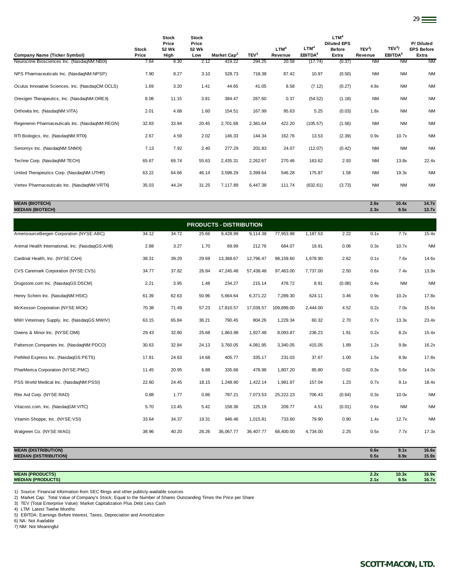| <b>Company Name (Ticker Symbol)</b>              | <b>Stock</b><br>Price | <b>Stock</b><br>Price<br>52 Wk<br>High | <b>Stock</b><br>Price<br>52 Wk<br>Low | Market Cap <sup>2</sup> | TEV <sup>3</sup> | LTM <sup>4</sup><br>Revenue | LTM <sup>4</sup><br>EBITDA <sup>5</sup> | LTM <sup>4</sup><br><b>Diluted EPS</b><br><b>Before</b><br>Extra | TEV <sup>3</sup> /<br>Revenue | TEV <sup>3</sup> /<br>EBITDA <sup>5</sup> | P/Diluted<br><b>EPS Before</b><br>Extra |
|--------------------------------------------------|-----------------------|----------------------------------------|---------------------------------------|-------------------------|------------------|-----------------------------|-----------------------------------------|------------------------------------------------------------------|-------------------------------|-------------------------------------------|-----------------------------------------|
| Neurocrine Biosciences Inc. (NasdaqNM:NBIX)      | 7.64                  | 9.30                                   | 2.12                                  | 419.22                  | 294.25           | 20.58                       | (17.74)                                 | (0.37)                                                           | <b>NM</b>                     | <b>NM</b>                                 | <b>NM</b>                               |
| NPS Pharmaceuticals Inc. (NasdaqNM:NPSP)         | 7.90                  | 8.27                                   | 3.10                                  | 528.73                  | 718.38           | 87.42                       | 10.97                                   | (0.50)                                                           | <b>NM</b>                     | <b>NM</b>                                 | <b>NM</b>                               |
| Oculus Innovative Sciences, Inc. (NasdaqCM:OCLS) | 1.69                  | 3.20                                   | 1.41                                  | 44.65                   | 41.05            | 8.58                        | (7.12)                                  | (0.27)                                                           | 4.8x                          | <b>NM</b>                                 | <b>NM</b>                               |
| Orexigen Therapeutics, Inc. (NasdagNM:OREX)      | 8.08                  | 11.15                                  | 3.81                                  | 384.47                  | 287.60           | 0.37                        | (54.52)                                 | (1.18)                                                           | <b>NM</b>                     | <b>NM</b>                                 | <b>NM</b>                               |
| Orthovita Inc. (NasdaqNM:VITA)                   | 2.01                  | 4.68                                   | 1.60                                  | 154.51                  | 167.99           | 95.63                       | 5.25                                    | (0.03)                                                           | 1.8x                          | <b>NM</b>                                 | <b>NM</b>                               |
| Regeneron Pharmaceuticals Inc. (NasdaqNM:REGN)   | 32.83                 | 33.94                                  | 20.45                                 | 2,701.68                | 2,381.64         | 422.20                      | (105.57)                                | (1.56)                                                           | <b>NM</b>                     | <b>NM</b>                                 | <b>NM</b>                               |
| RTI Biologics, Inc. (NasdaqNM:RTIX)              | 2.67                  | 4.59                                   | 2.02                                  | 146.33                  | 144.34           | 162.76                      | 13.53                                   | (2.39)                                                           | 0.9x                          | 10.7x                                     | <b>NM</b>                               |
| Senomyx Inc. (NasdaqNM:SNMX)                     | 7.13                  | 7.92                                   | 2.40                                  | 277.29                  | 201.83           | 24.07                       | (12.07)                                 | (0.42)                                                           | <b>NM</b>                     | <b>NM</b>                                 | <b>NM</b>                               |
| Techne Corp. (NasdaqNM:TECH)                     | 65.67                 | 69.74                                  | 55.63                                 | 2,435.31                | 2,262.67         | 270.46                      | 163.62                                  | 2.93                                                             | <b>NM</b>                     | 13.8x                                     | 22.4x                                   |
| United Therapeutics Corp. (NasdaqNM:UTHR)        | 63.22                 | 64.66                                  | 46.14                                 | 3,598.29                | 3,399.64         | 546.28                      | 175.87                                  | 1.58                                                             | <b>NM</b>                     | 19.3x                                     | <b>NM</b>                               |
| Vertex Pharmaceuticals Inc. (NasdaqNM:VRTX)      | 35.03                 | 44.24                                  | 31.25                                 | 7,117.89                | 6,447.38         | 111.74                      | (632.61)                                | (3.73)                                                           | <b>NM</b>                     | <b>NM</b>                                 | <b>NM</b>                               |

29

#### **MEAN (BIOTECH) 2.6x 10.4x 14.7x**

**MEDIAN (BIOTECH) 2.3x 9.5x 13.7x**

| <b>PRODUCTS - DISTRIBUTION</b>                    |       |       |       |           |           |            |          |        |      |           |           |
|---------------------------------------------------|-------|-------|-------|-----------|-----------|------------|----------|--------|------|-----------|-----------|
| AmerisourceBergen Corporation (NYSE:ABC)          | 34.12 | 34.72 | 25.66 | 9,428.99  | 9,114.38  | 77,953.98  | 1,187.53 | 2.22   | 0.1x | 7.7x      | 15.4x     |
| Animal Health International, Inc. (NasdaqGS:AHII) | 2.88  | 3.27  | 1.70  | 69.99     | 212.76    | 684.07     | 19.91    | 0.06   | 0.3x | 10.7x     | <b>NM</b> |
| Cardinal Health, Inc. (NYSE:CAH)                  | 38.31 | 39.29 | 29.69 | 13,368.67 | 12,796.47 | 98,159.60  | 1,678.90 | 2.62   | 0.1x | 7.6x      | 14.6x     |
| CVS Caremark Corporation (NYSE:CVS)               | 34.77 | 37.82 | 26.84 | 47,245.48 | 57,438.48 | 97,463.00  | 7,737.00 | 2.50   | 0.6x | 7.4x      | 13.9x     |
| Drugstore.com Inc. (NasdagGS:DSCM)                | 2.21  | 3.95  | 1.48  | 234.27    | 215.14    | 478.72     | 8.91     | (0.08) | 0.4x | <b>NM</b> | <b>NM</b> |
| Henry Schein Inc. (NasdaqNM:HSIC)                 | 61.39 | 62.63 | 50.96 | 5,664.64  | 6,371.22  | 7,289.30   | 624.11   | 3.46   | 0.9x | 10.2x     | 17.8x     |
| McKesson Corporation (NYSE:MCK)                   | 70.38 | 71.49 | 57.23 | 17,810.57 | 17,039.57 | 109,899.00 | 2,444.00 | 4.52   | 0.2x | 7.0x      | 15.6x     |
| MWI Veterinary Supply, Inc. (NasdaqGS:MWIV)       | 63.15 | 65.84 | 36.21 | 790.45    | 804.26    | 1,229.34   | 60.32    | 2.70   | 0.7x | 13.3x     | 23.4x     |
| Owens & Minor Inc. (NYSE:OMI)                     | 29.43 | 32.80 | 25.68 | 1,863.98  | 1,927.48  | 8,093.87   | 236.23   | 1.91   | 0.2x | 8.2x      | 15.4x     |
| Patterson Companies Inc. (NasdaqNM:PDCO)          | 30.63 | 32.84 | 24.13 | 3,760.05  | 4,081.95  | 3,340.05   | 415.05   | 1.89   | 1.2x | 9.8x      | 16.2x     |
| PetMed Express Inc. (NasdaqGS:PETS)               | 17.81 | 24.63 | 14.68 | 405.77    | 335.17    | 231.03     | 37.67    | 1.00   | 1.5x | 8.9x      | 17.8x     |
| PharMerica Corporation (NYSE:PMC)                 | 11.45 | 20.95 | 6.88  | 335.66    | 478.96    | 1,807.20   | 85.80    | 0.82   | 0.3x | 5.6x      | 14.0x     |
| PSS World Medical Inc. (NasdaqNM:PSSI)            | 22.60 | 24.45 | 18.15 | 1,248.90  | 1,422.14  | 1,981.97   | 157.04   | 1.23   | 0.7x | 9.1x      | 18.4x     |
| Rite Aid Corp. (NYSE:RAD)                         | 0.88  | 1.77  | 0.86  | 787.21    | 7,073.53  | 25,222.23  | 706.43   | (0.64) | 0.3x | 10.0x     | <b>NM</b> |
| Vitacost.com, Inc. (NasdaqGM:VITC)                | 5.70  | 13.45 | 5.42  | 158.36    | 125.19    | 209.77     | 4.51     | (0.01) | 0.6x | <b>NM</b> | <b>NM</b> |
| Vitamin Shoppe, Inc. (NYSE:VSI)                   | 33.64 | 34.37 | 19.31 | 946.46    | 1,015.81  | 733.60     | 79.90    | 0.90   | 1.4x | 12.7x     | <b>NM</b> |
| Walgreen Co. (NYSE:WAG)                           | 38.96 | 40.20 | 26.26 | 36,067.77 | 36,407.77 | 68,400.00  | 4,734.00 | 2.25   | 0.5x | 7.7x      | 17.3x     |
|                                                   |       |       |       |           |           |            |          |        |      |           |           |

| <b>MEAN (DISTRIBUTION)</b>   | 0.6x | 9.1x  | 16.6x |
|------------------------------|------|-------|-------|
| <b>MEDIAN (DISTRIBUTION)</b> | 0.5x | 8.9x  | 15.9x |
|                              |      |       |       |
|                              |      |       |       |
| <b>MEAN (PRODUCTS)</b>       | 2.2x | 10.3x | 16.9x |
| <b>MEDIAN (PRODUCTS)</b>     | 2.1x | 9.5x  | 16.7x |

1) Source: Financial Information from SEC filings and other publicly-available sources<br>2) Market Cap: Total Value of Company's Stock; Equal to the Number of Shares Outstanding Times the Price per Share<br>3) TEV (Total Enterp

4) LTM: Latest Twelve Months

5) EBITDA: Earnings Before Interest, Taxes, Depreciation and Amortization 6) NA: Not Available

7) NM: Not Meaningful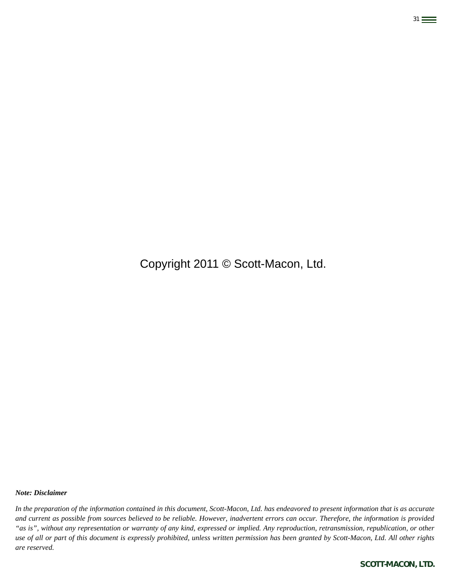# Copyright 2011 © Scott-Macon, Ltd.

31

#### *Note: Disclaimer*

*In the preparation of the information contained in this document, Scott-Macon, Ltd. has endeavored to present information that is as accurate and current as possible from sources believed to be reliable. However, inadvertent errors can occur. Therefore, the information is provided "as is", without any representation or warranty of any kind, expressed or implied. Any reproduction, retransmission, republication, or other use of all or part of this document is expressly prohibited, unless written permission has been granted by Scott-Macon, Ltd. All other rights are reserved.*